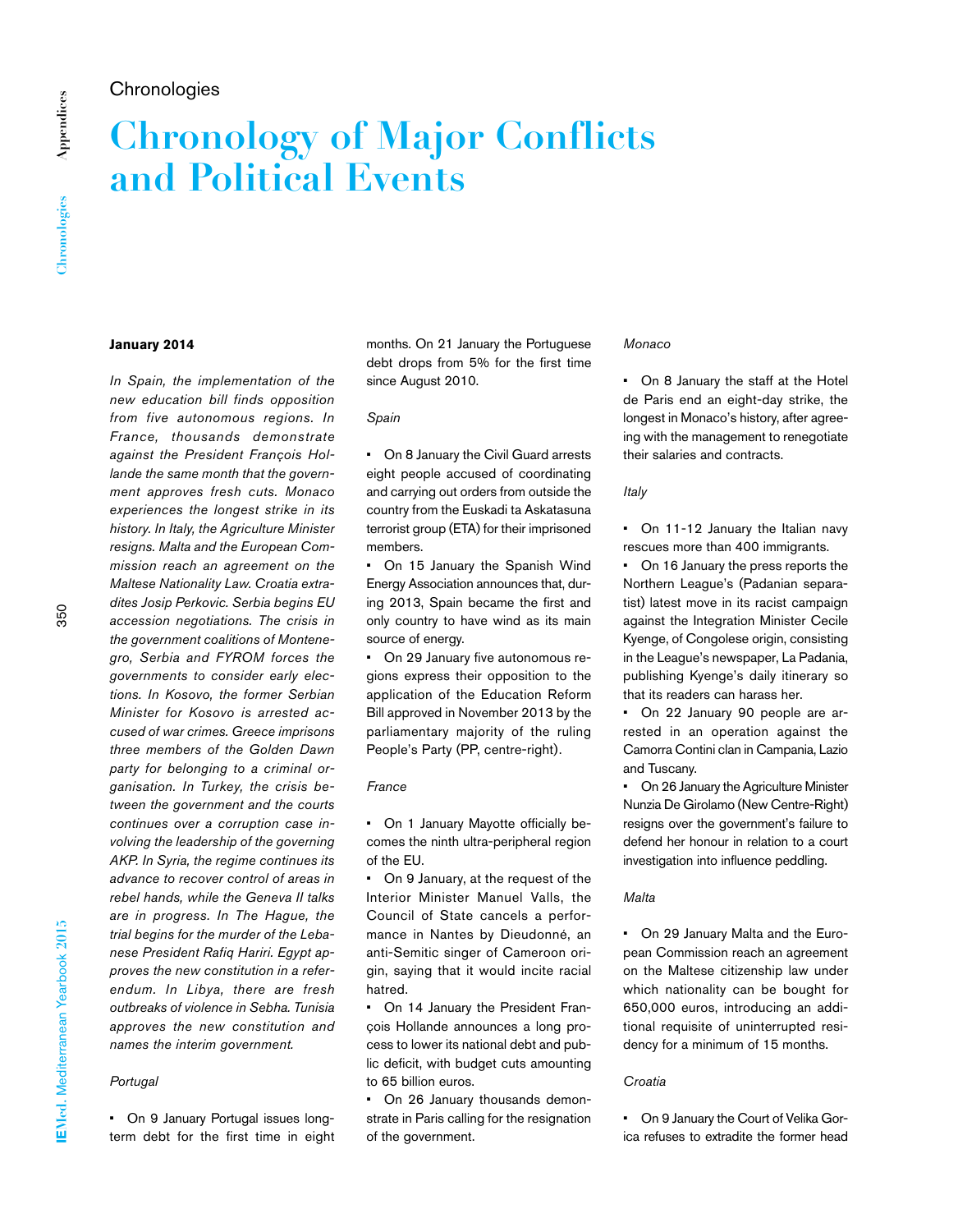# **Chronologies**

# **Chronology of Major Conflicts and Political Events**

# **January 2014**

*In Spain, the implementation of the new education bill finds opposition from five autonomous regions. In France, thousands demonstrate against the President François Hollande the same month that the government approves fresh cuts. Monaco experiences the longest strike in its history. In Italy, the Agriculture Minister resigns. Malta and the European Commission reach an agreement on the Maltese Nationality Law. Croatia extradites Josip Perkovic. Serbia begins EU accession negotiations. The crisis in the government coalitions of Montenegro, Serbia and FYROM forces the governments to consider early elections. In Kosovo, the former Serbian Minister for Kosovo is arrested accused of war crimes. Greece imprisons three members of the Golden Dawn party for belonging to a criminal organisation. In Turkey, the crisis between the government and the courts continues over a corruption case involving the leadership of the governing AKP. In Syria, the regime continues its advance to recover control of areas in rebel hands, while the Geneva II talks are in progress. In The Hague, the trial begins for the murder of the Lebanese President Rafiq Hariri. Egypt approves the new constitution in a referendum. In Libya, there are fresh outbreaks of violence in Sebha. Tunisia approves the new constitution and names the interim government.* 

# *Portugal*

• On 9 January Portugal issues longterm debt for the first time in eight months. On 21 January the Portuguese debt drops from 5% for the first time since August 2010.

### *Spain*

• On 8 January the Civil Guard arrests eight people accused of coordinating and carrying out orders from outside the country from the Euskadi ta Askatasuna terrorist group (ETA) for their imprisoned members.

• On 15 January the Spanish Wind Energy Association announces that, during 2013, Spain became the first and only country to have wind as its main source of energy.

• On 29 January five autonomous regions express their opposition to the application of the Education Reform Bill approved in November 2013 by the parliamentary majority of the ruling People's Party (PP, centre-right).

### *France*

• On 1 January Mayotte officially becomes the ninth ultra-peripheral region of the EU.

• On 9 January, at the request of the Interior Minister Manuel Valls, the Council of State cancels a performance in Nantes by Dieudonné, an anti-Semitic singer of Cameroon origin, saying that it would incite racial hatred.

• On 14 January the President François Hollande announces a long process to lower its national debt and public deficit, with budget cuts amounting to 65 billion euros.

• On 26 January thousands demonstrate in Paris calling for the resignation of the government.

#### *Monaco*

• On 8 January the staff at the Hotel de Paris end an eight-day strike, the longest in Monaco's history, after agreeing with the management to renegotiate their salaries and contracts.

# *Italy*

• On 11-12 January the Italian navy rescues more than 400 immigrants.

On 16 January the press reports the Northern League's (Padanian separatist) latest move in its racist campaign against the Integration Minister Cecile Kyenge, of Congolese origin, consisting in the League's newspaper, La Padania, publishing Kyenge's daily itinerary so that its readers can harass her.

• On 22 January 90 people are arrested in an operation against the Camorra Contini clan in Campania, Lazio and Tuscany.

On 26 January the Agriculture Minister Nunzia De Girolamo (New Centre-Right) resigns over the government's failure to defend her honour in relation to a court investigation into influence peddling.

# *Malta*

• On 29 January Malta and the European Commission reach an agreement on the Maltese citizenship law under which nationality can be bought for 650,000 euros, introducing an additional requisite of uninterrupted residency for a minimum of 15 months.

# *Croatia*

• On 9 January the Court of Velika Gorica refuses to extradite the former head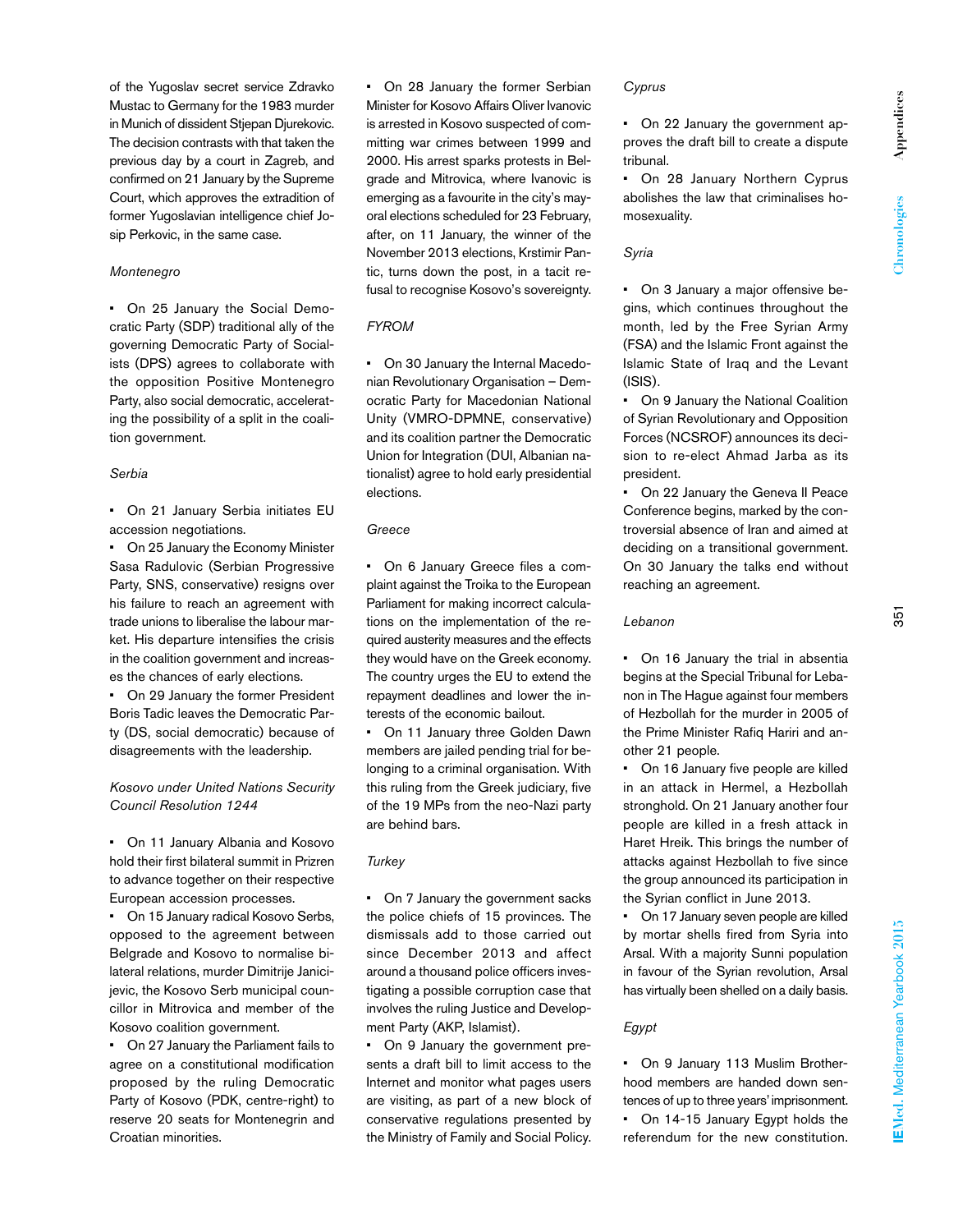of the Yugoslav secret service Zdravko Mustac to Germany for the 1983 murder in Munich of dissident Stjepan Djurekovic. The decision contrasts with that taken the previous day by a court in Zagreb, and confirmed on 21 January by the Supreme Court, which approves the extradition of former Yugoslavian intelligence chief Josip Perkovic, in the same case.

# *Montenegro*

• On 25 January the Social Democratic Party (SDP) traditional ally of the governing Democratic Party of Socialists (DPS) agrees to collaborate with the opposition Positive Montenegro Party, also social democratic, accelerating the possibility of a split in the coalition government.

# *Serbia*

• On 21 January Serbia initiates EU accession negotiations.

• On 25 January the Economy Minister Sasa Radulovic (Serbian Progressive Party, SNS, conservative) resigns over his failure to reach an agreement with trade unions to liberalise the labour market. His departure intensifies the crisis in the coalition government and increases the chances of early elections.

• On 29 January the former President Boris Tadic leaves the Democratic Party (DS, social democratic) because of disagreements with the leadership.

# *Kosovo under United Nations Security Council Resolution 1244*

• On 11 January Albania and Kosovo hold their first bilateral summit in Prizren to advance together on their respective European accession processes.

• On 15 January radical Kosovo Serbs, opposed to the agreement between Belgrade and Kosovo to normalise bilateral relations, murder Dimitrije Janicijevic, the Kosovo Serb municipal councillor in Mitrovica and member of the Kosovo coalition government.

• On 27 January the Parliament fails to agree on a constitutional modification proposed by the ruling Democratic Party of Kosovo (PDK, centre-right) to reserve 20 seats for Montenegrin and Croatian minorities.

• On 28 January the former Serbian Minister for Kosovo Affairs Oliver Ivanovic is arrested in Kosovo suspected of committing war crimes between 1999 and 2000. His arrest sparks protests in Belgrade and Mitrovica, where Ivanovic is emerging as a favourite in the city's mayoral elections scheduled for 23 February, after, on 11 January, the winner of the November 2013 elections, Krstimir Pantic, turns down the post, in a tacit refusal to recognise Kosovo's sovereignty.

# *FYROM*

• On 30 January the Internal Macedonian Revolutionary Organisation – Democratic Party for Macedonian National Unity (VMRO-DPMNE, conservative) and its coalition partner the Democratic Union for Integration (DUI, Albanian nationalist) agree to hold early presidential elections.

# *Greece*

• On 6 January Greece files a complaint against the Troika to the European Parliament for making incorrect calculations on the implementation of the required austerity measures and the effects they would have on the Greek economy. The country urges the EU to extend the repayment deadlines and lower the interests of the economic bailout.

• On 11 January three Golden Dawn members are jailed pending trial for belonging to a criminal organisation. With this ruling from the Greek judiciary, five of the 19 MPs from the neo-Nazi party are behind bars.

# *Turkey*

• On 7 January the government sacks the police chiefs of 15 provinces. The dismissals add to those carried out since December 2013 and affect around a thousand police officers investigating a possible corruption case that involves the ruling Justice and Development Party (AKP, Islamist).

• On 9 January the government presents a draft bill to limit access to the Internet and monitor what pages users are visiting, as part of a new block of conservative regulations presented by the Ministry of Family and Social Policy.

### *Cyprus*

• On 22 January the government approves the draft bill to create a dispute tribunal.

• On 28 January Northern Cyprus abolishes the law that criminalises homosexuality.

### *Syria*

• On 3 January a major offensive begins, which continues throughout the month, led by the Free Syrian Army (FSA) and the Islamic Front against the Islamic State of Iraq and the Levant  $(ISIS)$ .

• On 9 January the National Coalition of Syrian Revolutionary and Opposition Forces (NCSROF) announces its decision to re-elect Ahmad Jarba as its president.

On 22 January the Geneva II Peace Conference begins, marked by the controversial absence of Iran and aimed at deciding on a transitional government. On 30 January the talks end without reaching an agreement.

### *Lebanon*

• On 16 January the trial in absentia begins at the Special Tribunal for Lebanon in The Hague against four members of Hezbollah for the murder in 2005 of the Prime Minister Rafiq Hariri and another 21 people.

• On 16 January five people are killed in an attack in Hermel, a Hezbollah stronghold. On 21 January another four people are killed in a fresh attack in Haret Hreik. This brings the number of attacks against Hezbollah to five since the group announced its participation in the Syrian conflict in June 2013.

• On 17 January seven people are killed by mortar shells fired from Syria into Arsal. With a majority Sunni population in favour of the Syrian revolution, Arsal has virtually been shelled on a daily basis.

# *Egypt*

• On 9 January 113 Muslim Brotherhood members are handed down sentences of up to three years' imprisonment. • On 14-15 January Egypt holds the referendum for the new constitution.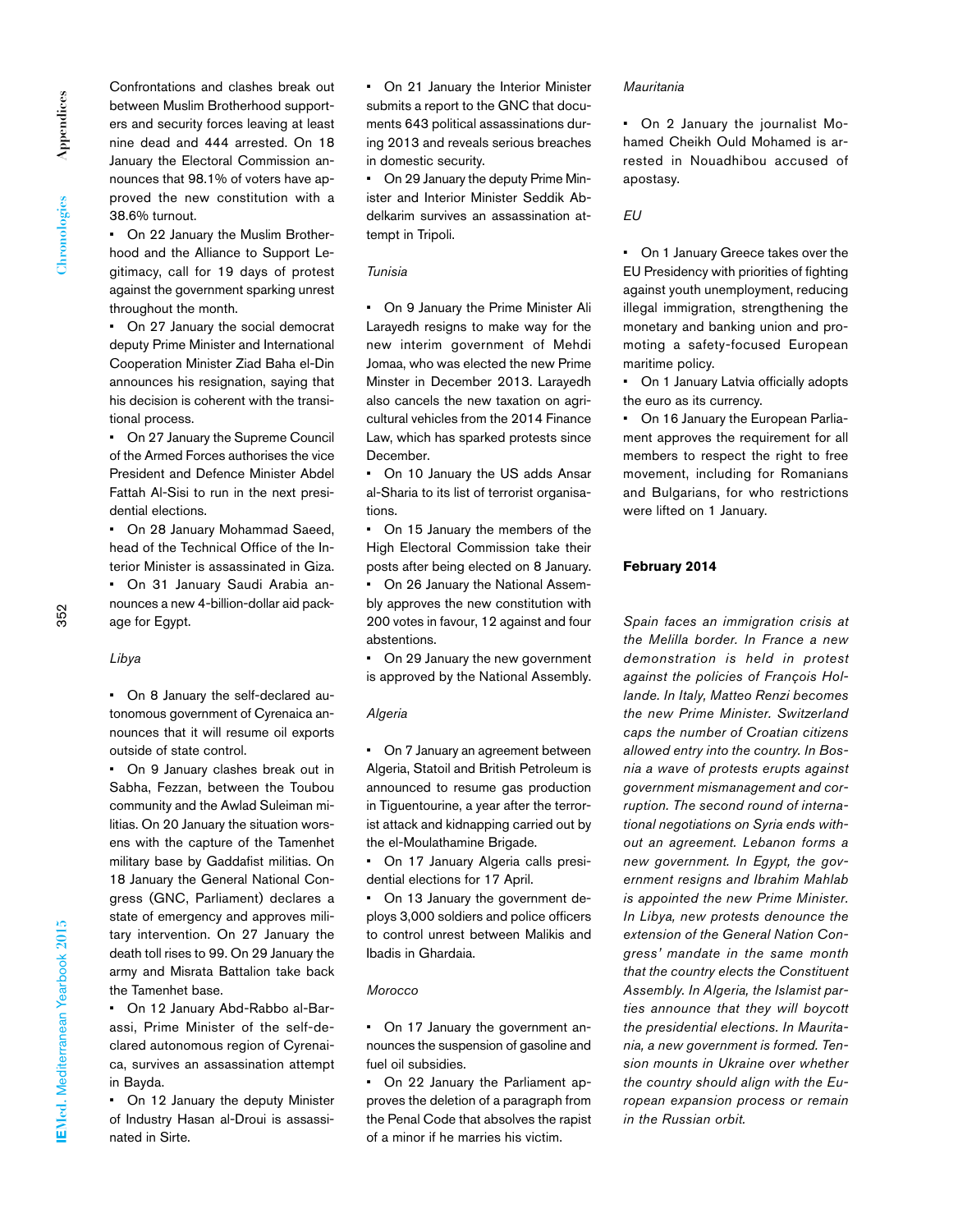Appendices **Appendices** Chronologies **Chronologies** Confrontations and clashes break out between Muslim Brotherhood supporters and security forces leaving at least nine dead and 444 arrested. On 18 January the Electoral Commission announces that 98.1% of voters have approved the new constitution with a 38.6% turnout.

• On 22 January the Muslim Brotherhood and the Alliance to Support Legitimacy, call for 19 days of protest against the government sparking unrest throughout the month.

• On 27 January the social democrat deputy Prime Minister and International Cooperation Minister Ziad Baha el-Din announces his resignation, saying that his decision is coherent with the transitional process.

• On 27 January the Supreme Council of the Armed Forces authorises the vice President and Defence Minister Abdel Fattah Al-Sisi to run in the next presidential elections.

• On 28 January Mohammad Saeed, head of the Technical Office of the Interior Minister is assassinated in Giza.

• On 31 January Saudi Arabia announces a new 4-billion-dollar aid package for Egypt.

# *Libya*

• On 8 January the self-declared autonomous government of Cyrenaica announces that it will resume oil exports outside of state control.

• On 9 January clashes break out in Sabha, Fezzan, between the Toubou community and the Awlad Suleiman militias. On 20 January the situation worsens with the capture of the Tamenhet military base by Gaddafist militias. On 18 January the General National Congress (GNC, Parliament) declares a state of emergency and approves military intervention. On 27 January the death toll rises to 99. On 29 January the army and Misrata Battalion take back the Tamenhet base.

• On 12 January Abd-Rabbo al-Barassi, Prime Minister of the self-declared autonomous region of Cyrenaica, survives an assassination attempt in Bayda.

• On 12 January the deputy Minister of Industry Hasan al-Droui is assassinated in Sirte.

• On 21 January the Interior Minister submits a report to the GNC that documents 643 political assassinations during 2013 and reveals serious breaches in domestic security.

• On 29 January the deputy Prime Minister and Interior Minister Seddik Abdelkarim survives an assassination attempt in Tripoli.

# *Tunisia*

• On 9 January the Prime Minister Ali Larayedh resigns to make way for the new interim government of Mehdi Jomaa, who was elected the new Prime Minster in December 2013. Larayedh also cancels the new taxation on agricultural vehicles from the 2014 Finance Law, which has sparked protests since December.

• On 10 January the US adds Ansar al-Sharia to its list of terrorist organisations.

• On 15 January the members of the High Electoral Commission take their posts after being elected on 8 January.

• On 26 January the National Assembly approves the new constitution with 200 votes in favour, 12 against and four abstentions.

• On 29 January the new government is approved by the National Assembly.

#### *Algeria*

• On 7 January an agreement between Algeria, Statoil and British Petroleum is announced to resume gas production in Tiguentourine, a year after the terrorist attack and kidnapping carried out by the el-Moulathamine Brigade.

• On 17 January Algeria calls presidential elections for 17 April.

• On 13 January the government deploys 3,000 soldiers and police officers to control unrest between Malikis and Ibadis in Ghardaia.

#### *Morocco*

• On 17 January the government announces the suspension of gasoline and fuel oil subsidies.

• On 22 January the Parliament approves the deletion of a paragraph from the Penal Code that absolves the rapist of a minor if he marries his victim.

#### *Mauritania*

• On 2 January the journalist Mohamed Cheikh Ould Mohamed is arrested in Nouadhibou accused of apostasy.

#### *EU*

• On 1 January Greece takes over the EU Presidency with priorities of fighting against youth unemployment, reducing illegal immigration, strengthening the monetary and banking union and promoting a safety-focused European maritime policy.

• On 1 January Latvia officially adopts the euro as its currency.

On 16 January the European Parliament approves the requirement for all members to respect the right to free movement, including for Romanians and Bulgarians, for who restrictions were lifted on 1 January.

### **February 2014**

*Spain faces an immigration crisis at the Melilla border. In France a new demonstration is held in protest against the policies of François Hollande. In Italy, Matteo Renzi becomes the new Prime Minister. Switzerland caps the number of Croatian citizens allowed entry into the country. In Bosnia a wave of protests erupts against government mismanagement and corruption. The second round of international negotiations on Syria ends without an agreement. Lebanon forms a new government. In Egypt, the government resigns and Ibrahim Mahlab is appointed the new Prime Minister. In Libya, new protests denounce the extension of the General Nation Congress' mandate in the same month that the country elects the Constituent Assembly. In Algeria, the Islamist parties announce that they will boycott the presidential elections. In Mauritania, a new government is formed. Tension mounts in Ukraine over whether the country should align with the European expansion process or remain in the Russian orbit.*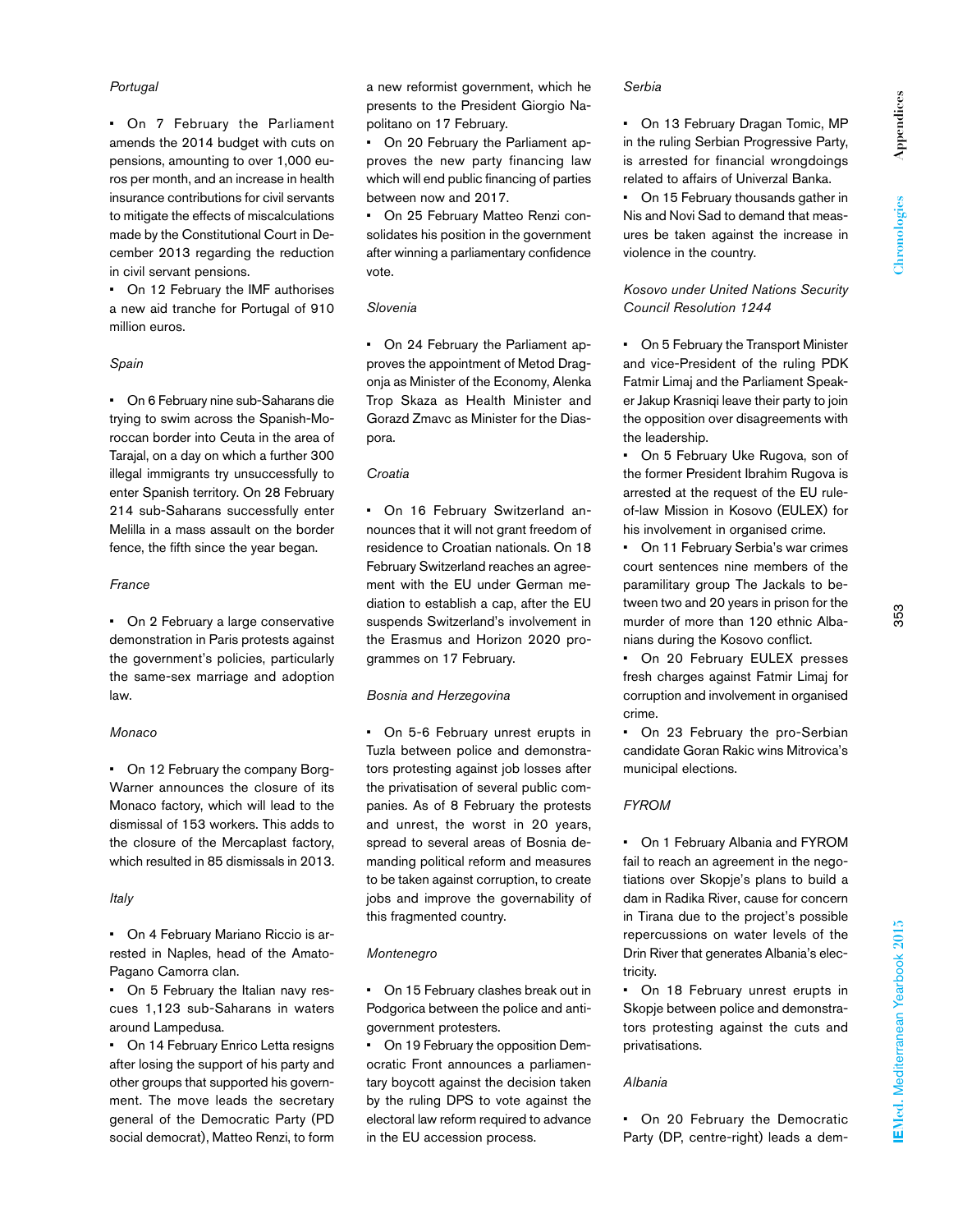# *Portugal*

• On 7 February the Parliament amends the 2014 budget with cuts on pensions, amounting to over 1,000 euros per month, and an increase in health insurance contributions for civil servants to mitigate the effects of miscalculations made by the Constitutional Court in December 2013 regarding the reduction in civil servant pensions.

• On 12 February the IMF authorises a new aid tranche for Portugal of 910 million euros.

### *Spain*

• On 6 February nine sub-Saharans die trying to swim across the Spanish-Moroccan border into Ceuta in the area of Tarajal, on a day on which a further 300 illegal immigrants try unsuccessfully to enter Spanish territory. On 28 February 214 sub-Saharans successfully enter Melilla in a mass assault on the border fence, the fifth since the year began.

# *France*

• On 2 February a large conservative demonstration in Paris protests against the government's policies, particularly the same-sex marriage and adoption law.

# *Monaco*

• On 12 February the company Borg-Warner announces the closure of its Monaco factory, which will lead to the dismissal of 153 workers. This adds to the closure of the Mercaplast factory, which resulted in 85 dismissals in 2013.

# *Italy*

• On 4 February Mariano Riccio is arrested in Naples, head of the Amato-Pagano Camorra clan.

• On 5 February the Italian navy rescues 1,123 sub-Saharans in waters around Lampedusa.

• On 14 February Enrico Letta resigns after losing the support of his party and other groups that supported his government. The move leads the secretary general of the Democratic Party (PD social democrat), Matteo Renzi, to form

a new reformist government, which he presents to the President Giorgio Napolitano on 17 February.

• On 20 February the Parliament approves the new party financing law which will end public financing of parties between now and 2017.

• On 25 February Matteo Renzi consolidates his position in the government after winning a parliamentary confidence vote.

### *Slovenia*

• On 24 February the Parliament approves the appointment of Metod Dragonja as Minister of the Economy, Alenka Trop Skaza as Health Minister and Gorazd Zmavc as Minister for the Diaspora.

# *Croatia*

• On 16 February Switzerland announces that it will not grant freedom of residence to Croatian nationals. On 18 February Switzerland reaches an agreement with the EU under German mediation to establish a cap, after the EU suspends Switzerland's involvement in the Erasmus and Horizon 2020 programmes on 17 February.

# *Bosnia and Herzegovina*

• On 5-6 February unrest erupts in Tuzla between police and demonstrators protesting against job losses after the privatisation of several public companies. As of 8 February the protests and unrest, the worst in 20 years, spread to several areas of Bosnia demanding political reform and measures to be taken against corruption, to create jobs and improve the governability of this fragmented country.

# *Montenegro*

• On 15 February clashes break out in Podgorica between the police and antigovernment protesters.

• On 19 February the opposition Democratic Front announces a parliamentary boycott against the decision taken by the ruling DPS to vote against the electoral law reform required to advance in the EU accession process.

### *Serbia*

• On 13 February Dragan Tomic, MP in the ruling Serbian Progressive Party, is arrested for financial wrongdoings related to affairs of Univerzal Banka.

On 15 February thousands gather in Nis and Novi Sad to demand that measures be taken against the increase in violence in the country.

*Kosovo under United Nations Security Council Resolution 1244*

• On 5 February the Transport Minister and vice-President of the ruling PDK Fatmir Limaj and the Parliament Speaker Jakup Krasniqi leave their party to join the opposition over disagreements with the leadership.

• On 5 February Uke Rugova, son of the former President Ibrahim Rugova is arrested at the request of the EU ruleof-law Mission in Kosovo (EULEX) for his involvement in organised crime.

• On 11 February Serbia's war crimes court sentences nine members of the paramilitary group The Jackals to between two and 20 years in prison for the murder of more than 120 ethnic Albanians during the Kosovo conflict.

• On 20 February EULEX presses fresh charges against Fatmir Limaj for corruption and involvement in organised crime.

• On 23 February the pro-Serbian candidate Goran Rakic wins Mitrovica's municipal elections.

# *FYROM*

• On 1 February Albania and FYROM fail to reach an agreement in the negotiations over Skopje's plans to build a dam in Radika River, cause for concern in Tirana due to the project's possible repercussions on water levels of the Drin River that generates Albania's electricity.

• On 18 February unrest erupts in Skopje between police and demonstrators protesting against the cuts and privatisations.

# *Albania*

• On 20 February the Democratic Party (DP, centre-right) leads a dem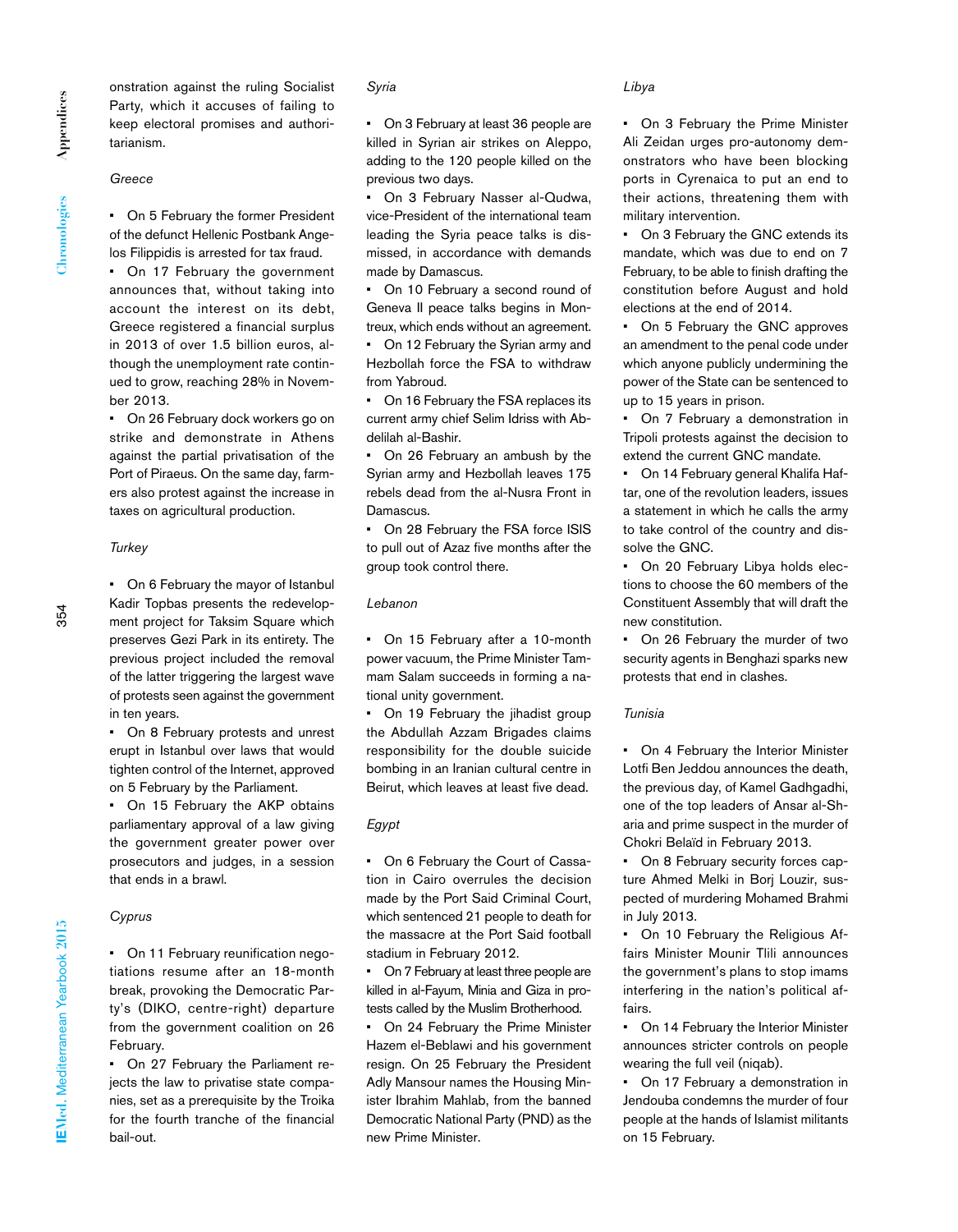onstration against the ruling Socialist Party, which it accuses of failing to keep electoral promises and authoritarianism.

*Greece*

• On 5 February the former President of the defunct Hellenic Postbank Angelos Filippidis is arrested for tax fraud.

• On 17 February the government announces that, without taking into account the interest on its debt, Greece registered a financial surplus in 2013 of over 1.5 billion euros, although the unemployment rate continued to grow, reaching 28% in November 2013.

• On 26 February dock workers go on strike and demonstrate in Athens against the partial privatisation of the Port of Piraeus. On the same day, farmers also protest against the increase in taxes on agricultural production.

#### *Turkey*

• On 6 February the mayor of Istanbul Kadir Topbas presents the redevelopment project for Taksim Square which preserves Gezi Park in its entirety. The previous project included the removal of the latter triggering the largest wave of protests seen against the government in ten years.

• On 8 February protests and unrest erupt in Istanbul over laws that would tighten control of the Internet, approved on 5 February by the Parliament.

• On 15 February the AKP obtains parliamentary approval of a law giving the government greater power over prosecutors and judges, in a session that ends in a brawl.

# *Cyprus*

• On 11 February reunification negotiations resume after an 18-month break, provoking the Democratic Party's (DIKO, centre-right) departure from the government coalition on 26 February.

• On 27 February the Parliament rejects the law to privatise state companies, set as a prerequisite by the Troika for the fourth tranche of the financial bail-out.

# *Syria*

• On 3 February at least 36 people are killed in Syrian air strikes on Aleppo, adding to the 120 people killed on the previous two days.

• On 3 February Nasser al-Qudwa, vice-President of the international team leading the Syria peace talks is dismissed, in accordance with demands made by Damascus.

• On 10 February a second round of Geneva II peace talks begins in Montreux, which ends without an agreement. • On 12 February the Syrian army and Hezbollah force the FSA to withdraw from Yabroud.

• On 16 February the FSA replaces its current army chief Selim Idriss with Abdelilah al-Bashir.

• On 26 February an ambush by the Syrian army and Hezbollah leaves 175 rebels dead from the al-Nusra Front in Damascus.

• On 28 February the FSA force ISIS to pull out of Azaz five months after the group took control there.

### *Lebanon*

• On 15 February after a 10-month power vacuum, the Prime Minister Tammam Salam succeeds in forming a national unity government.

• On 19 February the jihadist group the Abdullah Azzam Brigades claims responsibility for the double suicide bombing in an Iranian cultural centre in Beirut, which leaves at least five dead.

# *Egypt*

• On 6 February the Court of Cassation in Cairo overrules the decision made by the Port Said Criminal Court, which sentenced 21 people to death for the massacre at the Port Said football stadium in February 2012.

• On 7 February at least three people are killed in al-Fayum, Minia and Giza in protests called by the Muslim Brotherhood.

• On 24 February the Prime Minister Hazem el-Beblawi and his government resign. On 25 February the President Adly Mansour names the Housing Minister Ibrahim Mahlab, from the banned Democratic National Party (PND) as the new Prime Minister.

#### *Libya*

• On 3 February the Prime Minister Ali Zeidan urges pro-autonomy demonstrators who have been blocking ports in Cyrenaica to put an end to their actions, threatening them with military intervention.

• On 3 February the GNC extends its mandate, which was due to end on 7 February, to be able to finish drafting the constitution before August and hold elections at the end of 2014.

On 5 February the GNC approves an amendment to the penal code under which anyone publicly undermining the power of the State can be sentenced to up to 15 years in prison.

• On 7 February a demonstration in Tripoli protests against the decision to extend the current GNC mandate.

• On 14 February general Khalifa Haftar, one of the revolution leaders, issues a statement in which he calls the army to take control of the country and dissolve the GNC.

On 20 February Libya holds elections to choose the 60 members of the Constituent Assembly that will draft the new constitution.

• On 26 February the murder of two security agents in Benghazi sparks new protests that end in clashes.

#### *Tunisia*

• On 4 February the Interior Minister Lotfi Ben Jeddou announces the death, the previous day, of Kamel Gadhgadhi, one of the top leaders of Ansar al-Sharia and prime suspect in the murder of Chokri Belaïd in February 2013.

• On 8 February security forces capture Ahmed Melki in Borj Louzir, suspected of murdering Mohamed Brahmi in July 2013.

• On 10 February the Religious Affairs Minister Mounir Tlili announces the government's plans to stop imams interfering in the nation's political affairs.

• On 14 February the Interior Minister announces stricter controls on people wearing the full veil (niqab).

• On 17 February a demonstration in Jendouba condemns the murder of four people at the hands of Islamist militants on 15 February.

 $354$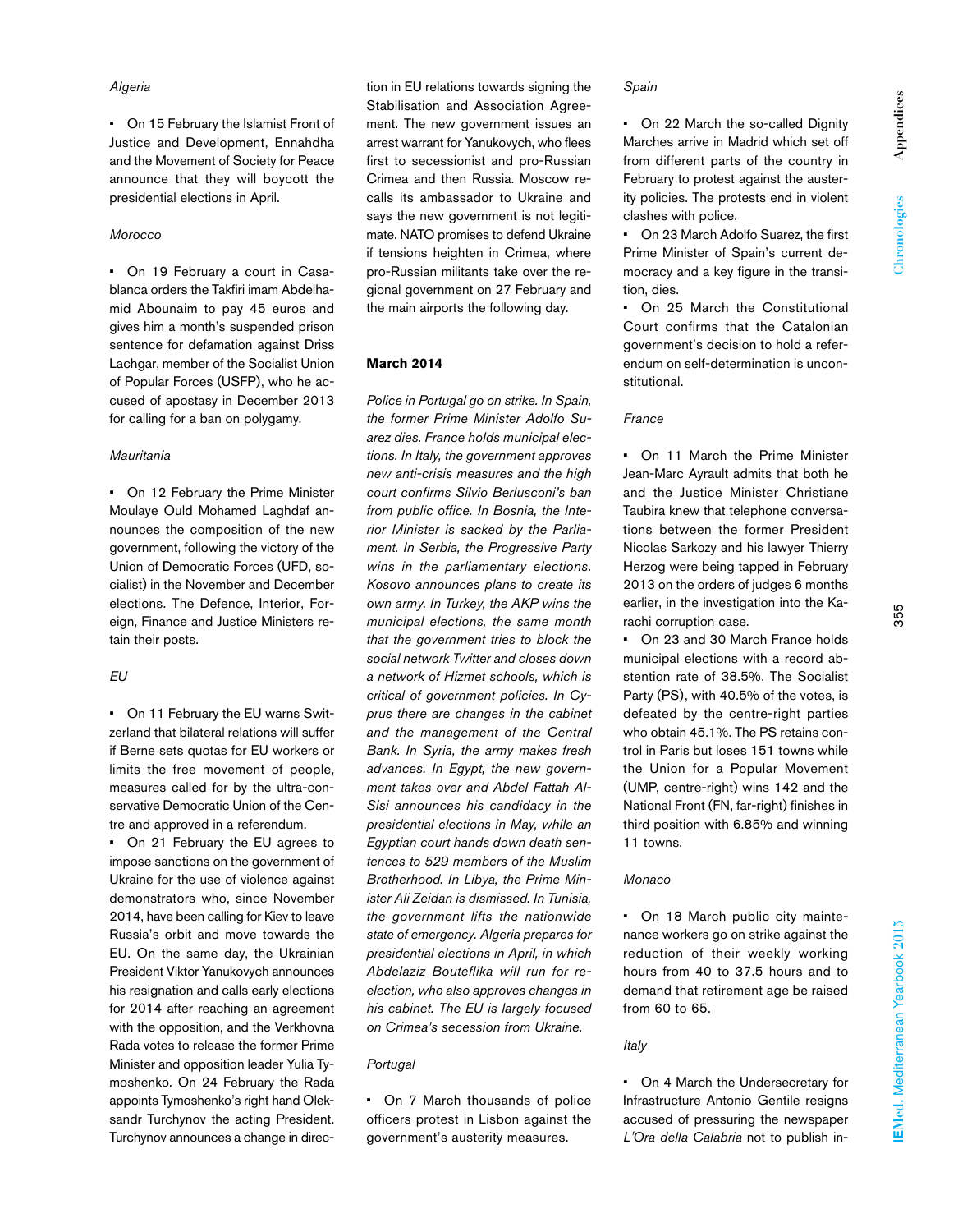# *Algeria*

• On 15 February the Islamist Front of Justice and Development, Ennahdha and the Movement of Society for Peace announce that they will boycott the presidential elections in April.

# *Morocco*

• On 19 February a court in Casablanca orders the Takfiri imam Abdelhamid Abounaim to pay 45 euros and gives him a month's suspended prison sentence for defamation against Driss Lachgar, member of the Socialist Union of Popular Forces (USFP), who he accused of apostasy in December 2013 for calling for a ban on polygamy.

### *Mauritania*

• On 12 February the Prime Minister Moulaye Ould Mohamed Laghdaf announces the composition of the new government, following the victory of the Union of Democratic Forces (UFD, socialist) in the November and December elections. The Defence, Interior, Foreign, Finance and Justice Ministers retain their posts.

# *EU*

• On 11 February the EU warns Switzerland that bilateral relations will suffer if Berne sets quotas for EU workers or limits the free movement of people, measures called for by the ultra-conservative Democratic Union of the Centre and approved in a referendum.

• On 21 February the EU agrees to impose sanctions on the government of Ukraine for the use of violence against demonstrators who, since November 2014, have been calling for Kiev to leave Russia's orbit and move towards the EU. On the same day, the Ukrainian President Viktor Yanukovych announces his resignation and calls early elections for 2014 after reaching an agreement with the opposition, and the Verkhovna Rada votes to release the former Prime Minister and opposition leader Yulia Tymoshenko. On 24 February the Rada appoints Tymoshenko's right hand Oleksandr Turchynov the acting President. Turchynov announces a change in direc-

tion in EU relations towards signing the Stabilisation and Association Agreement. The new government issues an arrest warrant for Yanukovych, who flees first to secessionist and pro-Russian Crimea and then Russia. Moscow recalls its ambassador to Ukraine and says the new government is not legitimate. NATO promises to defend Ukraine if tensions heighten in Crimea, where pro-Russian militants take over the regional government on 27 February and the main airports the following day.

# **March 2014**

*Police in Portugal go on strike. In Spain, the former Prime Minister Adolfo Suarez dies. France holds municipal elections. In Italy, the government approves new anti-crisis measures and the high court confirms Silvio Berlusconi's ban from public office. In Bosnia, the Interior Minister is sacked by the Parliament. In Serbia, the Progressive Party wins in the parliamentary elections. Kosovo announces plans to create its own army. In Turkey, the AKP wins the municipal elections, the same month that the government tries to block the social network Twitter and closes down a network of Hizmet schools, which is critical of government policies. In Cyprus there are changes in the cabinet and the management of the Central Bank. In Syria, the army makes fresh advances. In Egypt, the new government takes over and Abdel Fattah Al-Sisi announces his candidacy in the presidential elections in May, while an Egyptian court hands down death sentences to 529 members of the Muslim Brotherhood. In Libya, the Prime Minister Ali Zeidan is dismissed. In Tunisia, the government lifts the nationwide state of emergency. Algeria prepares for presidential elections in April, in which Abdelaziz Bouteflika will run for reelection, who also approves changes in his cabinet. The EU is largely focused on Crimea's secession from Ukraine.* 

# *Portugal*

• On 7 March thousands of police officers protest in Lisbon against the government's austerity measures.

#### *Spain*

• On 22 March the so-called Dignity Marches arrive in Madrid which set off from different parts of the country in February to protest against the austerity policies. The protests end in violent clashes with police.

• On 23 March Adolfo Suarez, the first Prime Minister of Spain's current democracy and a key figure in the transition, dies.

• On 25 March the Constitutional Court confirms that the Catalonian government's decision to hold a referendum on self-determination is unconstitutional.

# *France*

• On 11 March the Prime Minister Jean-Marc Ayrault admits that both he and the Justice Minister Christiane Taubira knew that telephone conversations between the former President Nicolas Sarkozy and his lawyer Thierry Herzog were being tapped in February 2013 on the orders of judges 6 months earlier, in the investigation into the Karachi corruption case.

• On 23 and 30 March France holds municipal elections with a record abstention rate of 38.5%. The Socialist Party (PS), with 40.5% of the votes, is defeated by the centre-right parties who obtain 45.1%. The PS retains control in Paris but loses 151 towns while the Union for a Popular Movement (UMP, centre-right) wins 142 and the National Front (FN, far-right) finishes in third position with 6.85% and winning 11 towns.

### *Monaco*

• On 18 March public city maintenance workers go on strike against the reduction of their weekly working hours from 40 to 37.5 hours and to demand that retirement age be raised from 60 to 65.

# *Italy*

• On 4 March the Undersecretary for Infrastructure Antonio Gentile resigns accused of pressuring the newspaper *L'Ora della Calabria* not to publish in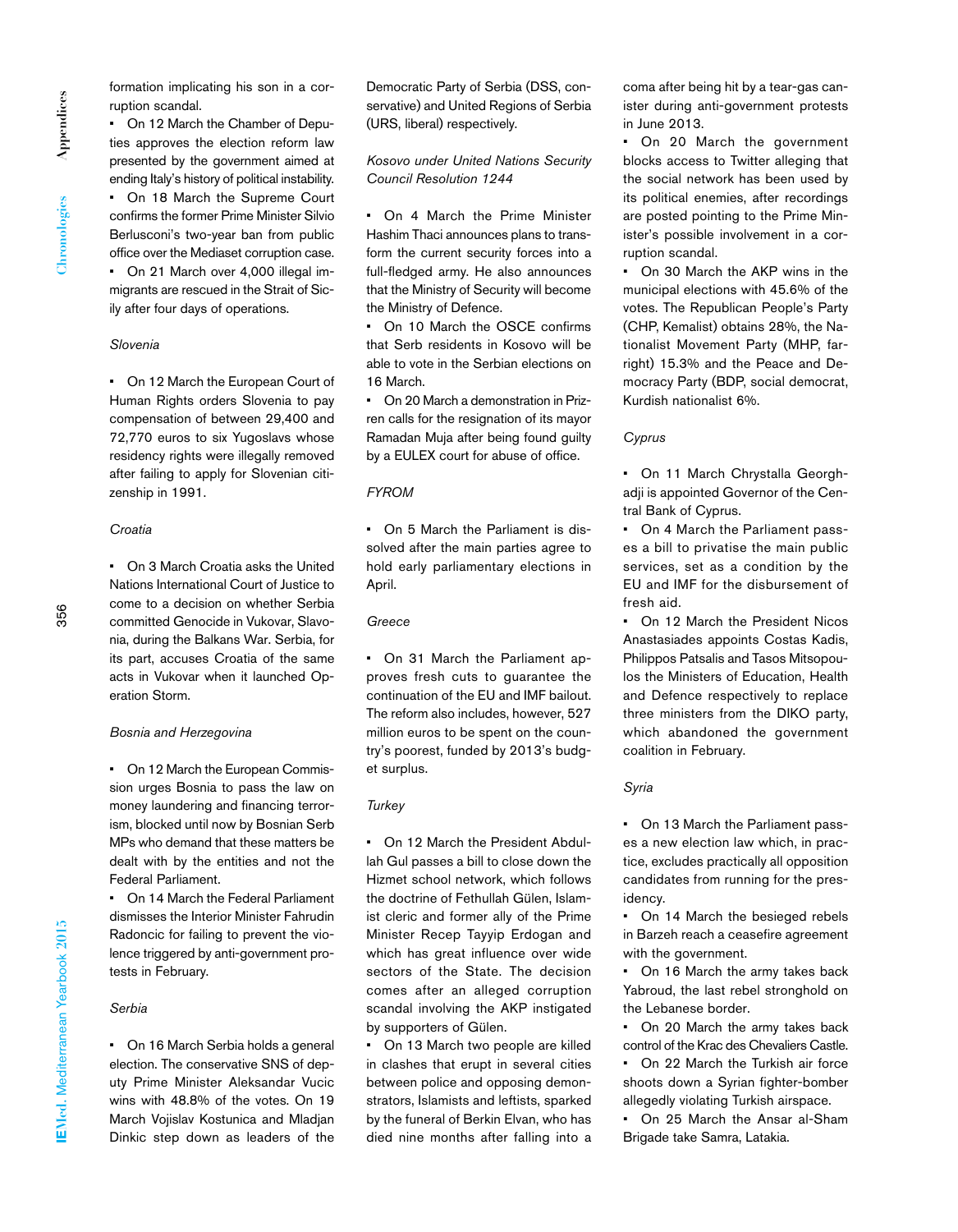formation implicating his son in a corruption scandal.

• On 12 March the Chamber of Deputies approves the election reform law presented by the government aimed at ending Italy's history of political instability. • On 18 March the Supreme Court confirms the former Prime Minister Silvio Berlusconi's two-year ban from public office over the Mediaset corruption case. • On 21 March over 4,000 illegal immigrants are rescued in the Strait of Sicily after four days of operations.

# *Slovenia*

• On 12 March the European Court of Human Rights orders Slovenia to pay compensation of between 29,400 and 72,770 euros to six Yugoslavs whose residency rights were illegally removed after failing to apply for Slovenian citizenship in 1991.

# *Croatia*

• On 3 March Croatia asks the United Nations International Court of Justice to come to a decision on whether Serbia committed Genocide in Vukovar, Slavonia, during the Balkans War. Serbia, for its part, accuses Croatia of the same acts in Vukovar when it launched Operation Storm.

# *Bosnia and Herzegovina*

• On 12 March the European Commission urges Bosnia to pass the law on money laundering and financing terrorism, blocked until now by Bosnian Serb MPs who demand that these matters be dealt with by the entities and not the Federal Parliament.

• On 14 March the Federal Parliament dismisses the Interior Minister Fahrudin Radoncic for failing to prevent the violence triggered by anti-government protests in February.

### *Serbia*

• On 16 March Serbia holds a general election. The conservative SNS of deputy Prime Minister Aleksandar Vucic wins with 48.8% of the votes. On 19 March Vojislav Kostunica and Mladjan Dinkic step down as leaders of the

Democratic Party of Serbia (DSS, conservative) and United Regions of Serbia (URS, liberal) respectively.

*Kosovo under United Nations Security Council Resolution 1244*

• On 4 March the Prime Minister Hashim Thaci announces plans to transform the current security forces into a full-fledged army. He also announces that the Ministry of Security will become the Ministry of Defence.

On 10 March the OSCE confirms that Serb residents in Kosovo will be able to vote in the Serbian elections on 16 March.

• On 20 March a demonstration in Prizren calls for the resignation of its mayor Ramadan Muja after being found guilty by a EULEX court for abuse of office.

#### *FYROM*

• On 5 March the Parliament is dissolved after the main parties agree to hold early parliamentary elections in April.

# *Greece*

• On 31 March the Parliament approves fresh cuts to guarantee the continuation of the EU and IMF bailout. The reform also includes, however, 527 million euros to be spent on the country's poorest, funded by 2013's budget surplus.

# *Turkey*

• On 12 March the President Abdullah Gul passes a bill to close down the Hizmet school network, which follows the doctrine of Fethullah Gülen, Islamist cleric and former ally of the Prime Minister Recep Tayyip Erdogan and which has great influence over wide sectors of the State. The decision comes after an alleged corruption scandal involving the AKP instigated by supporters of Gülen.

• On 13 March two people are killed in clashes that erupt in several cities between police and opposing demonstrators, Islamists and leftists, sparked by the funeral of Berkin Elvan, who has died nine months after falling into a coma after being hit by a tear-gas canister during anti-government protests in June 2013.

• On 20 March the government blocks access to Twitter alleging that the social network has been used by its political enemies, after recordings are posted pointing to the Prime Minister's possible involvement in a corruption scandal.

On 30 March the AKP wins in the municipal elections with 45.6% of the votes. The Republican People's Party (CHP, Kemalist) obtains 28%, the Nationalist Movement Party (MHP, farright) 15.3% and the Peace and Democracy Party (BDP, social democrat, Kurdish nationalist 6%.

# *Cyprus*

• On 11 March Chrystalla Georghadji is appointed Governor of the Central Bank of Cyprus.

• On 4 March the Parliament passes a bill to privatise the main public services, set as a condition by the EU and IMF for the disbursement of fresh aid.

• On 12 March the President Nicos Anastasiades appoints Costas Kadis, Philippos Patsalis and Tasos Mitsopoulos the Ministers of Education, Health and Defence respectively to replace three ministers from the DIKO party, which abandoned the government coalition in February.

#### *Syria*

• On 13 March the Parliament passes a new election law which, in practice, excludes practically all opposition candidates from running for the presidency.

• On 14 March the besieged rebels in Barzeh reach a ceasefire agreement with the government.

• On 16 March the army takes back Yabroud, the last rebel stronghold on the Lebanese border.

On 20 March the army takes back control of the Krac des Chevaliers Castle.

• On 22 March the Turkish air force shoots down a Syrian fighter-bomber allegedly violating Turkish airspace.

• On 25 March the Ansar al-Sham Brigade take Samra, Latakia.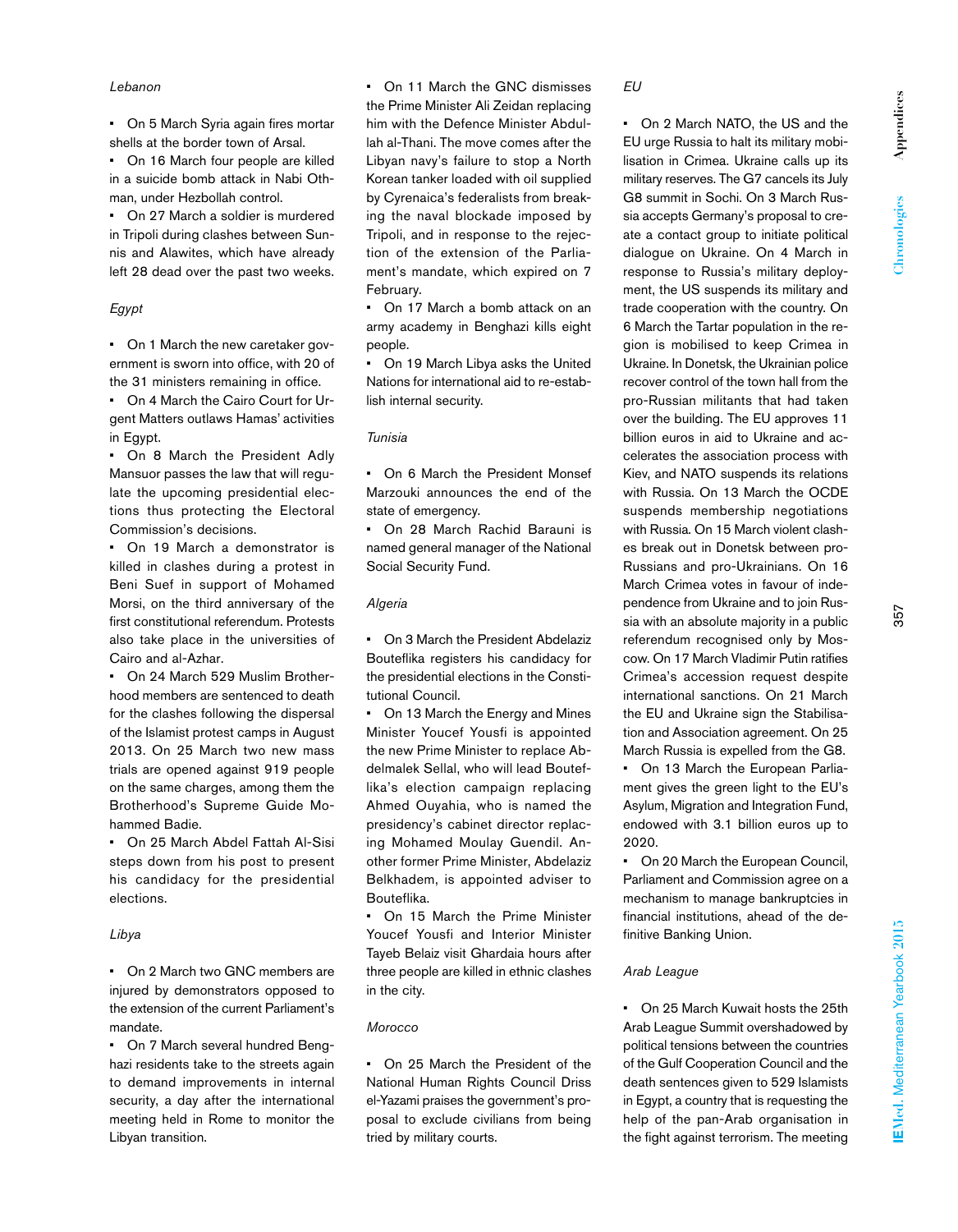### *Lebanon*

• On 5 March Syria again fires mortar shells at the border town of Arsal.

On 16 March four people are killed in a suicide bomb attack in Nabi Othman, under Hezbollah control.

• On 27 March a soldier is murdered in Tripoli during clashes between Sunnis and Alawites, which have already left 28 dead over the past two weeks.

# *Egypt*

• On 1 March the new caretaker government is sworn into office, with 20 of the 31 ministers remaining in office.

• On 4 March the Cairo Court for Urgent Matters outlaws Hamas' activities in Egypt.

• On 8 March the President Adly Mansuor passes the law that will regulate the upcoming presidential elections thus protecting the Electoral Commission's decisions.

• On 19 March a demonstrator is killed in clashes during a protest in Beni Suef in support of Mohamed Morsi, on the third anniversary of the first constitutional referendum. Protests also take place in the universities of Cairo and al-Azhar.

• On 24 March 529 Muslim Brotherhood members are sentenced to death for the clashes following the dispersal of the Islamist protest camps in August 2013. On 25 March two new mass trials are opened against 919 people on the same charges, among them the Brotherhood's Supreme Guide Mohammed Badie.

• On 25 March Abdel Fattah Al-Sisi steps down from his post to present his candidacy for the presidential elections.

# *Libya*

• On 2 March two GNC members are injured by demonstrators opposed to the extension of the current Parliament's mandate.

• On 7 March several hundred Benghazi residents take to the streets again to demand improvements in internal security, a day after the international meeting held in Rome to monitor the Libyan transition.

• On 11 March the GNC dismisses the Prime Minister Ali Zeidan replacing him with the Defence Minister Abdullah al-Thani. The move comes after the Libyan navy's failure to stop a North Korean tanker loaded with oil supplied by Cyrenaica's federalists from breaking the naval blockade imposed by Tripoli, and in response to the rejection of the extension of the Parliament's mandate, which expired on 7 February.

• On 17 March a bomb attack on an army academy in Benghazi kills eight people.

• On 19 March Libya asks the United Nations for international aid to re-establish internal security.

# *Tunisia*

• On 6 March the President Monsef Marzouki announces the end of the state of emergency.

• On 28 March Rachid Barauni is named general manager of the National Social Security Fund.

### *Algeria*

• On 3 March the President Abdelaziz Bouteflika registers his candidacy for the presidential elections in the Constitutional Council.

• On 13 March the Energy and Mines Minister Youcef Yousfi is appointed the new Prime Minister to replace Abdelmalek Sellal, who will lead Bouteflika's election campaign replacing Ahmed Ouyahia, who is named the presidency's cabinet director replacing Mohamed Moulay Guendil. Another former Prime Minister, Abdelaziz Belkhadem, is appointed adviser to Bouteflika.

• On 15 March the Prime Minister Youcef Yousfi and Interior Minister Tayeb Belaiz visit Ghardaia hours after three people are killed in ethnic clashes in the city.

#### *Morocco*

• On 25 March the President of the National Human Rights Council Driss el-Yazami praises the government's proposal to exclude civilians from being tried by military courts.

#### *EU*

• On 2 March NATO, the US and the EU urge Russia to halt its military mobilisation in Crimea. Ukraine calls up its military reserves. The G7 cancels its July G8 summit in Sochi. On 3 March Russia accepts Germany's proposal to create a contact group to initiate political dialogue on Ukraine. On 4 March in response to Russia's military deployment, the US suspends its military and trade cooperation with the country. On 6 March the Tartar population in the region is mobilised to keep Crimea in Ukraine. In Donetsk, the Ukrainian police recover control of the town hall from the pro-Russian militants that had taken over the building. The EU approves 11 billion euros in aid to Ukraine and accelerates the association process with Kiev, and NATO suspends its relations with Russia. On 13 March the OCDE suspends membership negotiations with Russia. On 15 March violent clashes break out in Donetsk between pro-Russians and pro-Ukrainians. On 16 March Crimea votes in favour of independence from Ukraine and to join Russia with an absolute majority in a public referendum recognised only by Moscow. On 17 March Vladimir Putin ratifies Crimea's accession request despite international sanctions. On 21 March the EU and Ukraine sign the Stabilisation and Association agreement. On 25 March Russia is expelled from the G8. • On 13 March the European Parliament gives the green light to the EU's Asylum, Migration and Integration Fund, endowed with 3.1 billion euros up to 2020.

• On 20 March the European Council, Parliament and Commission agree on a mechanism to manage bankruptcies in financial institutions, ahead of the definitive Banking Union.

# *Arab League*

• On 25 March Kuwait hosts the 25th Arab League Summit overshadowed by political tensions between the countries of the Gulf Cooperation Council and the death sentences given to 529 Islamists in Egypt, a country that is requesting the help of the pan-Arab organisation in the fight against terrorism. The meeting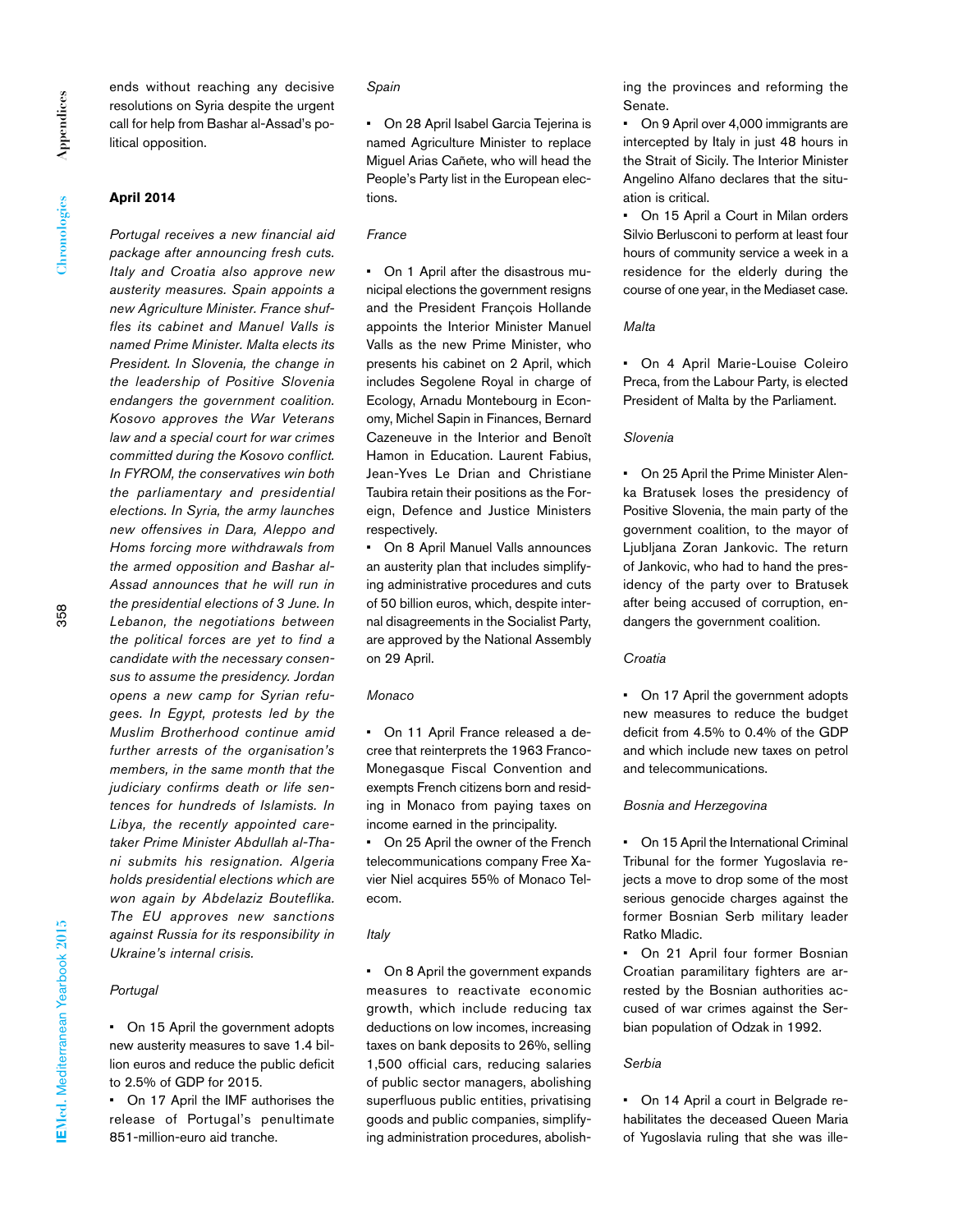ends without reaching any decisive resolutions on Syria despite the urgent call for help from Bashar al-Assad's political opposition.

# **April 2014**

*Portugal receives a new financial aid package after announcing fresh cuts. Italy and Croatia also approve new austerity measures. Spain appoints a new Agriculture Minister. France shuffles its cabinet and Manuel Valls is named Prime Minister. Malta elects its President. In Slovenia, the change in the leadership of Positive Slovenia endangers the government coalition. Kosovo approves the War Veterans law and a special court for war crimes committed during the Kosovo conflict. In FYROM, the conservatives win both the parliamentary and presidential elections. In Syria, the army launches new offensives in Dara, Aleppo and Homs forcing more withdrawals from the armed opposition and Bashar al-Assad announces that he will run in the presidential elections of 3 June. In Lebanon, the negotiations between the political forces are yet to find a candidate with the necessary consensus to assume the presidency. Jordan opens a new camp for Syrian refugees. In Egypt, protests led by the Muslim Brotherhood continue amid further arrests of the organisation's members, in the same month that the judiciary confirms death or life sentences for hundreds of Islamists. In Libya, the recently appointed caretaker Prime Minister Abdullah al-Thani submits his resignation. Algeria holds presidential elections which are won again by Abdelaziz Bouteflika. The EU approves new sanctions against Russia for its responsibility in Ukraine's internal crisis.*

# *Portugal*

• On 15 April the government adopts new austerity measures to save 1.4 billion euros and reduce the public deficit to 2.5% of GDP for 2015.

• On 17 April the IMF authorises the release of Portugal's penultimate 851-million-euro aid tranche.

# *Spain*

• On 28 April Isabel Garcia Tejerina is named Agriculture Minister to replace Miguel Arias Cañete, who will head the People's Party list in the European elections.

# *France*

• On 1 April after the disastrous municipal elections the government resigns and the President François Hollande appoints the Interior Minister Manuel Valls as the new Prime Minister, who presents his cabinet on 2 April, which includes Segolene Royal in charge of Ecology, Arnadu Montebourg in Economy, Michel Sapin in Finances, Bernard Cazeneuve in the Interior and Benoît Hamon in Education. Laurent Fabius, Jean-Yves Le Drian and Christiane Taubira retain their positions as the Foreign, Defence and Justice Ministers respectively.

• On 8 April Manuel Valls announces an austerity plan that includes simplifying administrative procedures and cuts of 50 billion euros, which, despite internal disagreements in the Socialist Party, are approved by the National Assembly on 29 April.

### *Monaco*

• On 11 April France released a decree that reinterprets the 1963 Franco-Monegasque Fiscal Convention and exempts French citizens born and residing in Monaco from paying taxes on income earned in the principality.

• On 25 April the owner of the French telecommunications company Free Xavier Niel acquires 55% of Monaco Telecom.

# *Italy*

• On 8 April the government expands measures to reactivate economic growth, which include reducing tax deductions on low incomes, increasing taxes on bank deposits to 26%, selling 1,500 official cars, reducing salaries of public sector managers, abolishing superfluous public entities, privatising goods and public companies, simplifying administration procedures, abolishing the provinces and reforming the Senate.

• On 9 April over 4,000 immigrants are intercepted by Italy in just 48 hours in the Strait of Sicily. The Interior Minister Angelino Alfano declares that the situation is critical.

• On 15 April a Court in Milan orders Silvio Berlusconi to perform at least four hours of community service a week in a residence for the elderly during the course of one year, in the Mediaset case.

# *Malta*

• On 4 April Marie-Louise Coleiro Preca, from the Labour Party, is elected President of Malta by the Parliament.

# *Slovenia*

• On 25 April the Prime Minister Alenka Bratusek loses the presidency of Positive Slovenia, the main party of the government coalition, to the mayor of Ljubljana Zoran Jankovic. The return of Jankovic, who had to hand the presidency of the party over to Bratusek after being accused of corruption, endangers the government coalition.

### *Croatia*

• On 17 April the government adopts new measures to reduce the budget deficit from 4.5% to 0.4% of the GDP and which include new taxes on petrol and telecommunications.

# *Bosnia and Herzegovina*

• On 15 April the International Criminal Tribunal for the former Yugoslavia rejects a move to drop some of the most serious genocide charges against the former Bosnian Serb military leader Ratko Mladic.

• On 21 April four former Bosnian Croatian paramilitary fighters are arrested by the Bosnian authorities accused of war crimes against the Serbian population of Odzak in 1992.

# *Serbia*

• On 14 April a court in Belgrade rehabilitates the deceased Queen Maria of Yugoslavia ruling that she was ille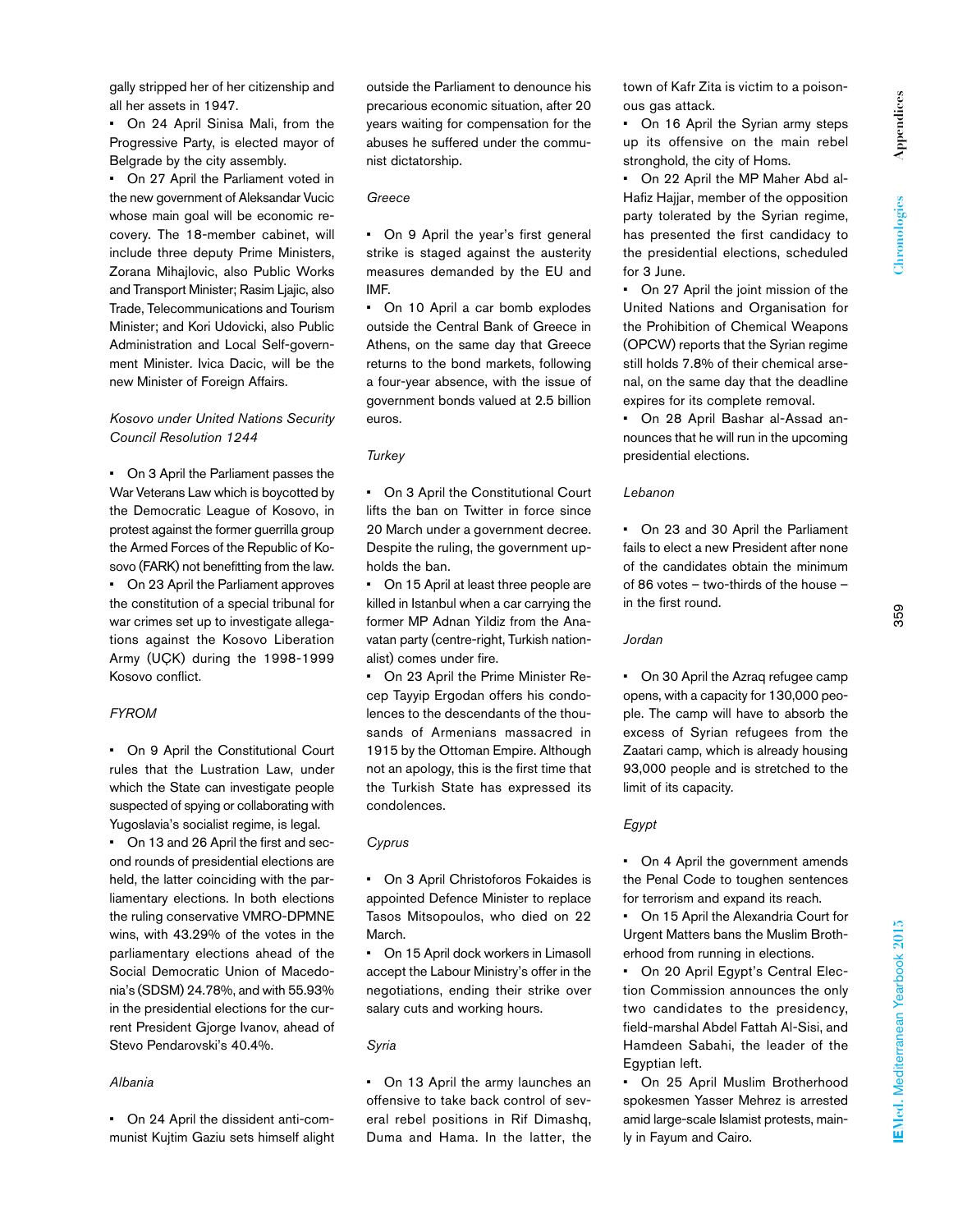gally stripped her of her citizenship and all her assets in 1947.

• On 24 April Sinisa Mali, from the Progressive Party, is elected mayor of Belgrade by the city assembly.

• On 27 April the Parliament voted in the new government of Aleksandar Vucic whose main goal will be economic recovery. The 18-member cabinet, will include three deputy Prime Ministers, Zorana Mihajlovic, also Public Works and Transport Minister; Rasim Ljajic, also Trade, Telecommunications and Tourism Minister; and Kori Udovicki, also Public Administration and Local Self-government Minister. Ivica Dacic, will be the new Minister of Foreign Affairs.

# *Kosovo under United Nations Security Council Resolution 1244*

• On 3 April the Parliament passes the War Veterans Law which is boycotted by the Democratic League of Kosovo, in protest against the former guerrilla group the Armed Forces of the Republic of Kosovo (FARK) not benefitting from the law. • On 23 April the Parliament approves the constitution of a special tribunal for war crimes set up to investigate allegations against the Kosovo Liberation Army (UÇK) during the 1998-1999 Kosovo conflict.

# *FYROM*

• On 9 April the Constitutional Court rules that the Lustration Law, under which the State can investigate people suspected of spying or collaborating with Yugoslavia's socialist regime, is legal.

• On 13 and 26 April the first and second rounds of presidential elections are held, the latter coinciding with the parliamentary elections. In both elections the ruling conservative VMRO-DPMNE wins, with 43.29% of the votes in the parliamentary elections ahead of the Social Democratic Union of Macedonia's (SDSM) 24.78%, and with 55.93% in the presidential elections for the current President Gjorge Ivanov, ahead of Stevo Pendarovski's 40.4%.

# *Albania*

• On 24 April the dissident anti-communist Kujtim Gaziu sets himself alight

outside the Parliament to denounce his precarious economic situation, after 20 years waiting for compensation for the abuses he suffered under the communist dictatorship.

# *Greece*

• On 9 April the year's first general strike is staged against the austerity measures demanded by the EU and IMF.

• On 10 April a car bomb explodes outside the Central Bank of Greece in Athens, on the same day that Greece returns to the bond markets, following a four-year absence, with the issue of government bonds valued at 2.5 billion euros.

# *Turkey*

• On 3 April the Constitutional Court lifts the ban on Twitter in force since 20 March under a government decree. Despite the ruling, the government upholds the ban.

• On 15 April at least three people are killed in Istanbul when a car carrying the former MP Adnan Yildiz from the Anavatan party (centre-right, Turkish nationalist) comes under fire.

• On 23 April the Prime Minister Recep Tayyip Ergodan offers his condolences to the descendants of the thousands of Armenians massacred in 1915 by the Ottoman Empire. Although not an apology, this is the first time that the Turkish State has expressed its condolences.

# *Cyprus*

• On 3 April Christoforos Fokaides is appointed Defence Minister to replace Tasos Mitsopoulos, who died on 22 March.

• On 15 April dock workers in Limasoll accept the Labour Ministry's offer in the negotiations, ending their strike over salary cuts and working hours.

# *Syria*

• On 13 April the army launches an offensive to take back control of several rebel positions in Rif Dimashq, Duma and Hama. In the latter, the town of Kafr Zita is victim to a poisonous gas attack.

• On 16 April the Syrian army steps up its offensive on the main rebel stronghold, the city of Homs.

• On 22 April the MP Maher Abd al-Hafiz Hajjar, member of the opposition party tolerated by the Syrian regime, has presented the first candidacy to the presidential elections, scheduled for 3 June.

• On 27 April the joint mission of the United Nations and Organisation for the Prohibition of Chemical Weapons (OPCW) reports that the Syrian regime still holds 7.8% of their chemical arsenal, on the same day that the deadline expires for its complete removal.

• On 28 April Bashar al-Assad announces that he will run in the upcoming presidential elections.

### *Lebanon*

• On 23 and 30 April the Parliament fails to elect a new President after none of the candidates obtain the minimum of 86 votes – two-thirds of the house – in the first round.

### *Jordan*

• On 30 April the Azraq refugee camp opens, with a capacity for 130,000 people. The camp will have to absorb the excess of Syrian refugees from the Zaatari camp, which is already housing 93,000 people and is stretched to the limit of its capacity.

# *Egypt*

• On 4 April the government amends the Penal Code to toughen sentences for terrorism and expand its reach.

• On 15 April the Alexandria Court for Urgent Matters bans the Muslim Brotherhood from running in elections.

• On 20 April Egypt's Central Election Commission announces the only two candidates to the presidency, field-marshal Abdel Fattah Al-Sisi, and Hamdeen Sabahi, the leader of the Egyptian left.

• On 25 April Muslim Brotherhood spokesmen Yasser Mehrez is arrested amid large-scale Islamist protests, mainly in Fayum and Cairo.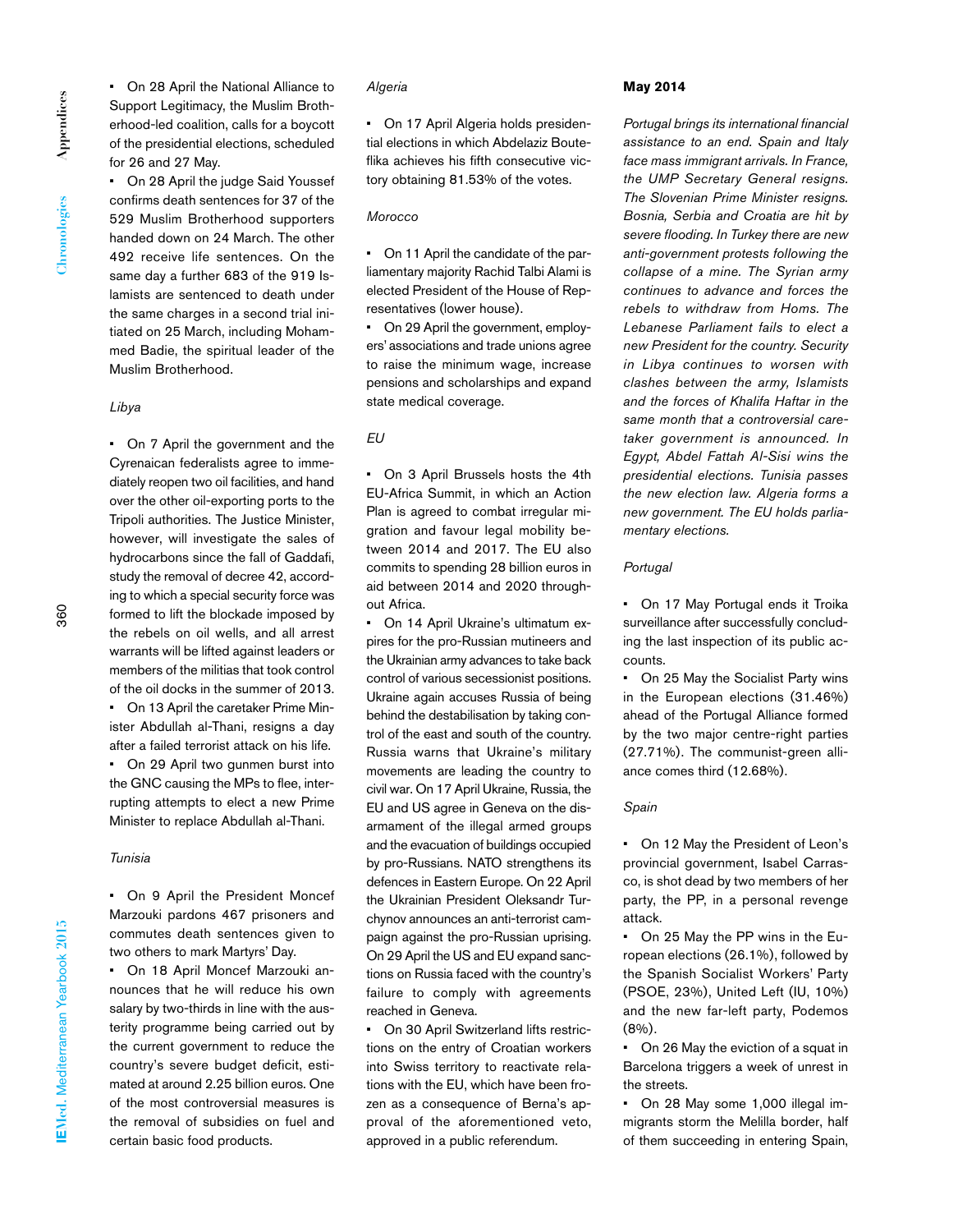• On 28 April the National Alliance to Support Legitimacy, the Muslim Brotherhood-led coalition, calls for a boycott of the presidential elections, scheduled for 26 and 27 May.

• On 28 April the judge Said Youssef confirms death sentences for 37 of the 529 Muslim Brotherhood supporters handed down on 24 March. The other 492 receive life sentences. On the same day a further 683 of the 919 Islamists are sentenced to death under the same charges in a second trial initiated on 25 March, including Mohammed Badie, the spiritual leader of the Muslim Brotherhood.

# *Libya*

• On 7 April the government and the Cyrenaican federalists agree to immediately reopen two oil facilities, and hand over the other oil-exporting ports to the Tripoli authorities. The Justice Minister, however, will investigate the sales of hydrocarbons since the fall of Gaddafi, study the removal of decree 42, according to which a special security force was formed to lift the blockade imposed by the rebels on oil wells, and all arrest warrants will be lifted against leaders or members of the militias that took control of the oil docks in the summer of 2013. • On 13 April the caretaker Prime Minister Abdullah al-Thani, resigns a day after a failed terrorist attack on his life. • On 29 April two gunmen burst into the GNC causing the MPs to flee, interrupting attempts to elect a new Prime Minister to replace Abdullah al-Thani.

# *Tunisia*

• On 9 April the President Moncef Marzouki pardons 467 prisoners and commutes death sentences given to two others to mark Martyrs' Day.

• On 18 April Moncef Marzouki announces that he will reduce his own salary by two-thirds in line with the austerity programme being carried out by the current government to reduce the country's severe budget deficit, estimated at around 2.25 billion euros. One of the most controversial measures is the removal of subsidies on fuel and certain basic food products.

### *Algeria*

• On 17 April Algeria holds presidential elections in which Abdelaziz Bouteflika achieves his fifth consecutive victory obtaining 81.53% of the votes.

#### *Morocco*

• On 11 April the candidate of the parliamentary majority Rachid Talbi Alami is elected President of the House of Representatives (lower house).

On 29 April the government, employers' associations and trade unions agree to raise the minimum wage, increase pensions and scholarships and expand state medical coverage.

# *EU*

• On 3 April Brussels hosts the 4th EU-Africa Summit, in which an Action Plan is agreed to combat irregular migration and favour legal mobility between 2014 and 2017. The EU also commits to spending 28 billion euros in aid between 2014 and 2020 throughout Africa.

• On 14 April Ukraine's ultimatum expires for the pro-Russian mutineers and the Ukrainian army advances to take back control of various secessionist positions. Ukraine again accuses Russia of being behind the destabilisation by taking control of the east and south of the country. Russia warns that Ukraine's military movements are leading the country to civil war. On 17 April Ukraine, Russia, the EU and US agree in Geneva on the disarmament of the illegal armed groups and the evacuation of buildings occupied by pro-Russians. NATO strengthens its defences in Eastern Europe. On 22 April the Ukrainian President Oleksandr Turchynov announces an anti-terrorist campaign against the pro-Russian uprising. On 29 April the US and EU expand sanctions on Russia faced with the country's failure to comply with agreements reached in Geneva.

• On 30 April Switzerland lifts restrictions on the entry of Croatian workers into Swiss territory to reactivate relations with the EU, which have been frozen as a consequence of Berna's approval of the aforementioned veto, approved in a public referendum.

#### **May 2014**

*Portugal brings its international financial assistance to an end. Spain and Italy face mass immigrant arrivals. In France, the UMP Secretary General resigns. The Slovenian Prime Minister resigns. Bosnia, Serbia and Croatia are hit by severe flooding. In Turkey there are new anti-government protests following the collapse of a mine. The Syrian army continues to advance and forces the rebels to withdraw from Homs. The Lebanese Parliament fails to elect a new President for the country. Security in Libya continues to worsen with clashes between the army, Islamists and the forces of Khalifa Haftar in the same month that a controversial caretaker government is announced. In Egypt, Abdel Fattah Al-Sisi wins the presidential elections. Tunisia passes the new election law. Algeria forms a new government. The EU holds parliamentary elections.*

# *Portugal*

• On 17 May Portugal ends it Troika surveillance after successfully concluding the last inspection of its public accounts.

• On 25 May the Socialist Party wins in the European elections (31.46%) ahead of the Portugal Alliance formed by the two major centre-right parties (27.71%). The communist-green alliance comes third (12.68%).

### *Spain*

• On 12 May the President of Leon's provincial government, Isabel Carrasco, is shot dead by two members of her party, the PP, in a personal revenge attack.

• On 25 May the PP wins in the European elections (26.1%), followed by the Spanish Socialist Workers' Party (PSOE, 23%), United Left (IU, 10%) and the new far-left party, Podemos (8%).

• On 26 May the eviction of a squat in Barcelona triggers a week of unrest in the streets.

• On 28 May some 1,000 illegal immigrants storm the Melilla border, half of them succeeding in entering Spain,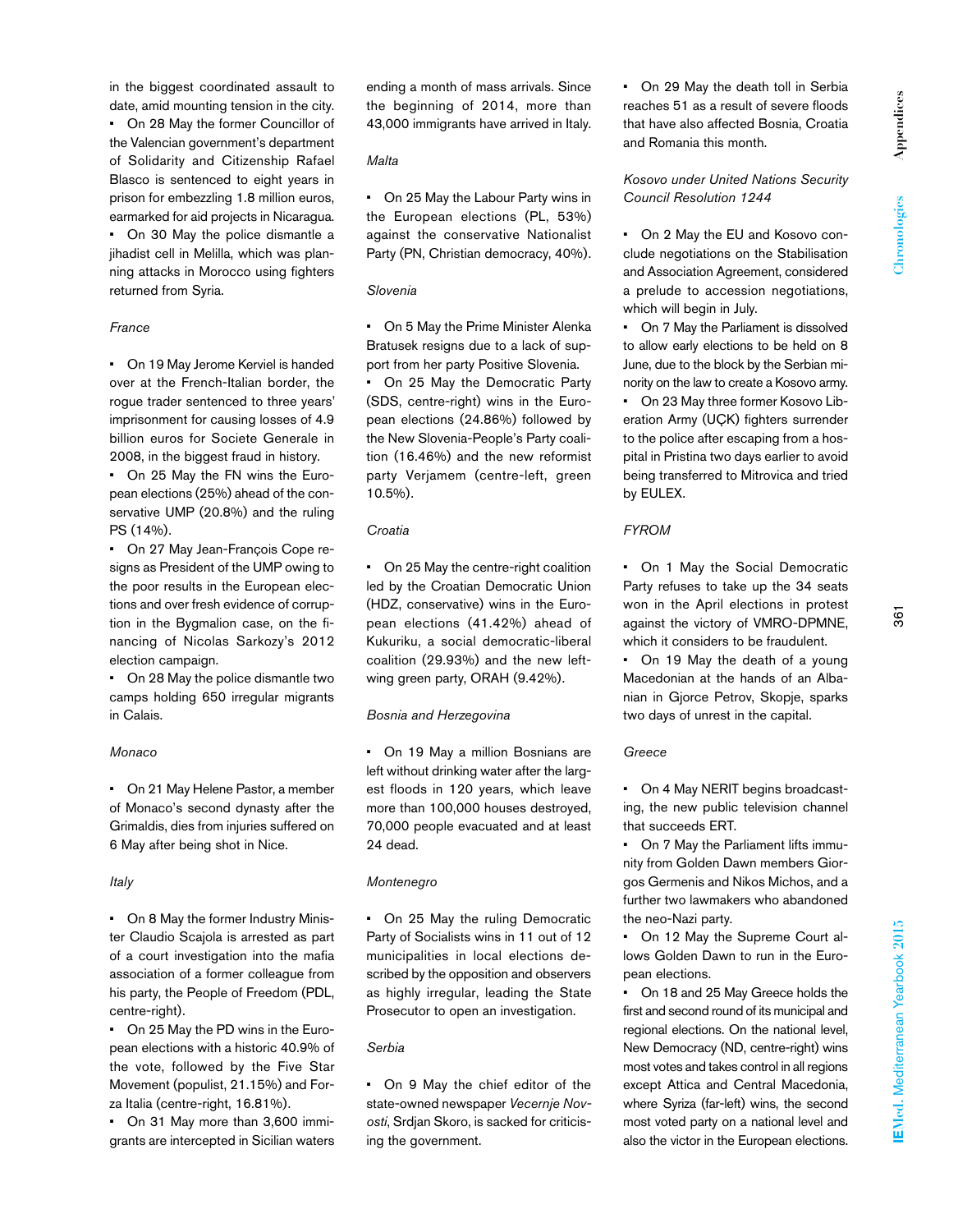in the biggest coordinated assault to date, amid mounting tension in the city. • On 28 May the former Councillor of the Valencian government's department of Solidarity and Citizenship Rafael Blasco is sentenced to eight years in prison for embezzling 1.8 million euros, earmarked for aid projects in Nicaragua. • On 30 May the police dismantle a jihadist cell in Melilla, which was planning attacks in Morocco using fighters returned from Syria.

### *France*

• On 19 May Jerome Kerviel is handed over at the French-Italian border, the rogue trader sentenced to three years' imprisonment for causing losses of 4.9 billion euros for Societe Generale in 2008, in the biggest fraud in history.

• On 25 May the FN wins the European elections (25%) ahead of the conservative UMP (20.8%) and the ruling PS (14%).

• On 27 May Jean-François Cope resigns as President of the UMP owing to the poor results in the European elections and over fresh evidence of corruption in the Bygmalion case, on the financing of Nicolas Sarkozy's 2012 election campaign.

• On 28 May the police dismantle two camps holding 650 irregular migrants in Calais.

# *Monaco*

• On 21 May Helene Pastor, a member of Monaco's second dynasty after the Grimaldis, dies from injuries suffered on 6 May after being shot in Nice.

### *Italy*

• On 8 May the former Industry Minister Claudio Scajola is arrested as part of a court investigation into the mafia association of a former colleague from his party, the People of Freedom (PDL, centre-right).

• On 25 May the PD wins in the European elections with a historic 40.9% of the vote, followed by the Five Star Movement (populist, 21.15%) and Forza Italia (centre-right, 16.81%).

• On 31 May more than 3,600 immigrants are intercepted in Sicilian waters ending a month of mass arrivals. Since the beginning of 2014, more than 43,000 immigrants have arrived in Italy.

# *Malta*

• On 25 May the Labour Party wins in the European elections (PL, 53%) against the conservative Nationalist Party (PN, Christian democracy, 40%).

# *Slovenia*

• On 5 May the Prime Minister Alenka Bratusek resigns due to a lack of support from her party Positive Slovenia.

• On 25 May the Democratic Party (SDS, centre-right) wins in the European elections (24.86%) followed by the New Slovenia-People's Party coalition (16.46%) and the new reformist party Verjamem (centre-left, green 10.5%).

# *Croatia*

• On 25 May the centre-right coalition led by the Croatian Democratic Union (HDZ, conservative) wins in the European elections (41.42%) ahead of Kukuriku, a social democratic-liberal coalition (29.93%) and the new leftwing green party, ORAH (9.42%).

# *Bosnia and Herzegovina*

• On 19 May a million Bosnians are left without drinking water after the largest floods in 120 years, which leave more than 100,000 houses destroyed, 70,000 people evacuated and at least 24 dead.

# *Montenegro*

• On 25 May the ruling Democratic Party of Socialists wins in 11 out of 12 municipalities in local elections described by the opposition and observers as highly irregular, leading the State Prosecutor to open an investigation.

# *Serbia*

• On 9 May the chief editor of the state-owned newspaper *Vecernje Novosti*, Srdjan Skoro, is sacked for criticising the government.

• On 29 May the death toll in Serbia reaches 51 as a result of severe floods that have also affected Bosnia, Croatia and Romania this month.

*Kosovo under United Nations Security Council Resolution 1244*

• On 2 May the EU and Kosovo conclude negotiations on the Stabilisation and Association Agreement, considered a prelude to accession negotiations, which will begin in July.

• On 7 May the Parliament is dissolved to allow early elections to be held on 8 June, due to the block by the Serbian minority on the law to create a Kosovo army. • On 23 May three former Kosovo Liberation Army (UÇK) fighters surrender to the police after escaping from a hospital in Pristina two days earlier to avoid being transferred to Mitrovica and tried by EULEX.

# *FYROM*

• On 1 May the Social Democratic Party refuses to take up the 34 seats won in the April elections in protest against the victory of VMRO-DPMNE, which it considers to be fraudulent.

 $\overline{36}$ 

• On 19 May the death of a young Macedonian at the hands of an Albanian in Gjorce Petrov, Skopje, sparks two days of unrest in the capital.

# *Greece*

• On 4 May NERIT begins broadcasting, the new public television channel that succeeds ERT.

• On 7 May the Parliament lifts immunity from Golden Dawn members Giorgos Germenis and Nikos Michos, and a further two lawmakers who abandoned the neo-Nazi party.

• On 12 May the Supreme Court allows Golden Dawn to run in the European elections.

• On 18 and 25 May Greece holds the first and second round of its municipal and regional elections. On the national level, New Democracy (ND, centre-right) wins most votes and takes control in all regions except Attica and Central Macedonia, where Syriza (far-left) wins, the second most voted party on a national level and also the victor in the European elections.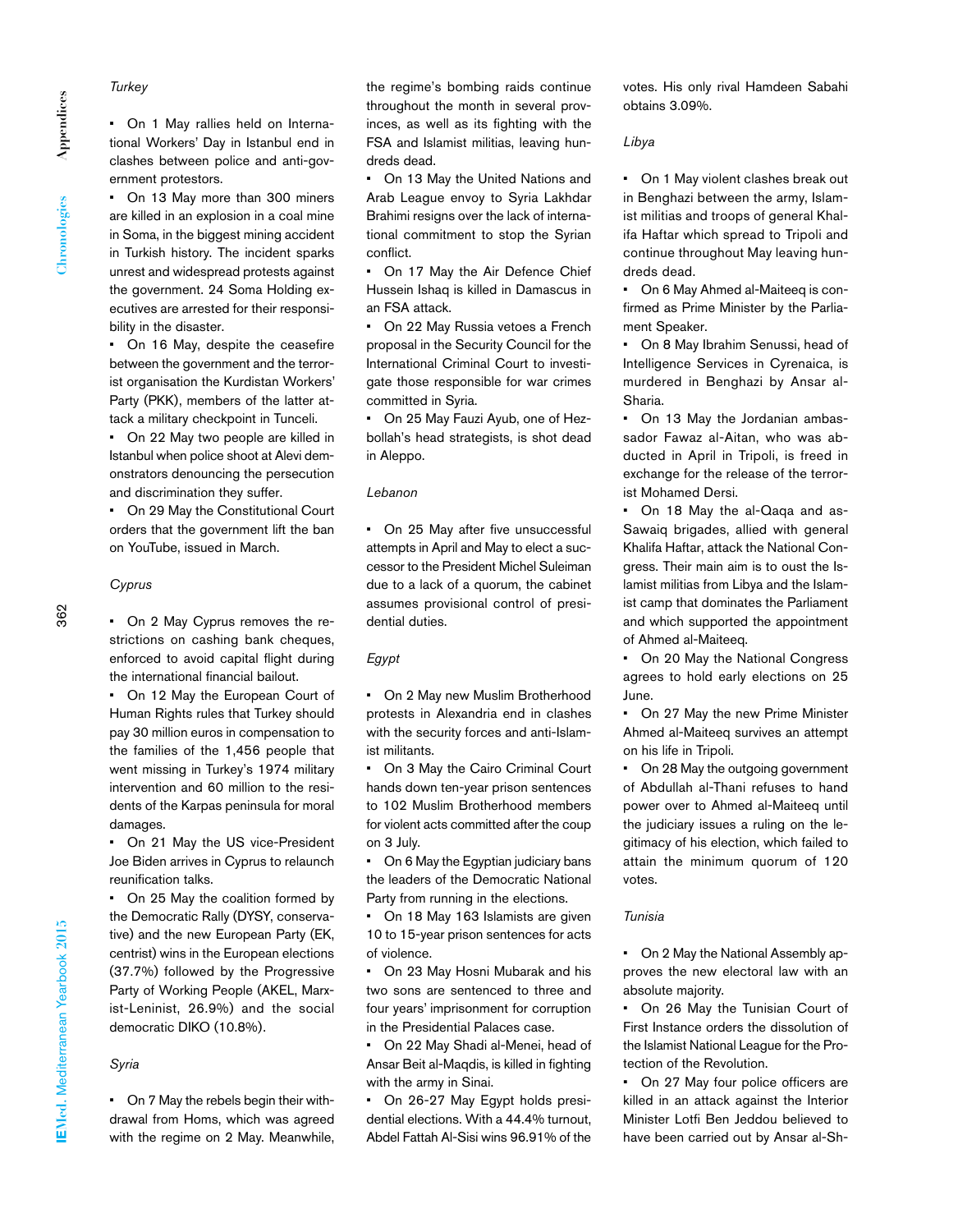Appendices **Appendices** Chronologies **Chronologies**

*Turkey*

• On 1 May rallies held on International Workers' Day in Istanbul end in clashes between police and anti-government protestors.

• On 13 May more than 300 miners are killed in an explosion in a coal mine in Soma, in the biggest mining accident in Turkish history. The incident sparks unrest and widespread protests against the government. 24 Soma Holding executives are arrested for their responsibility in the disaster.

• On 16 May, despite the ceasefire between the government and the terrorist organisation the Kurdistan Workers' Party (PKK), members of the latter attack a military checkpoint in Tunceli.

• On 22 May two people are killed in Istanbul when police shoot at Alevi demonstrators denouncing the persecution and discrimination they suffer.

• On 29 May the Constitutional Court orders that the government lift the ban on YouTube, issued in March.

*Cyprus*

• On 2 May Cyprus removes the restrictions on cashing bank cheques, enforced to avoid capital flight during the international financial bailout.

• On 12 May the European Court of Human Rights rules that Turkey should pay 30 million euros in compensation to the families of the 1,456 people that went missing in Turkey's 1974 military intervention and 60 million to the residents of the Karpas peninsula for moral damages.

• On 21 May the US vice-President Joe Biden arrives in Cyprus to relaunch reunification talks.

• On 25 May the coalition formed by the Democratic Rally (DYSY, conservative) and the new European Party (EK, centrist) wins in the European elections (37.7%) followed by the Progressive Party of Working People (AKEL, Marxist-Leninist, 26.9%) and the social democratic DIKO (10.8%).

#### *Syria*

• On 7 May the rebels begin their withdrawal from Homs, which was agreed with the regime on 2 May. Meanwhile,

the regime's bombing raids continue throughout the month in several provinces, as well as its fighting with the FSA and Islamist militias, leaving hundreds dead.

• On 13 May the United Nations and Arab League envoy to Syria Lakhdar Brahimi resigns over the lack of international commitment to stop the Syrian conflict.

• On 17 May the Air Defence Chief Hussein Ishaq is killed in Damascus in an FSA attack.

• On 22 May Russia vetoes a French proposal in the Security Council for the International Criminal Court to investigate those responsible for war crimes committed in Syria.

• On 25 May Fauzi Ayub, one of Hezbollah's head strategists, is shot dead in Aleppo.

#### *Lebanon*

• On 25 May after five unsuccessful attempts in April and May to elect a successor to the President Michel Suleiman due to a lack of a quorum, the cabinet assumes provisional control of presidential duties.

# *Egypt*

• On 2 May new Muslim Brotherhood protests in Alexandria end in clashes with the security forces and anti-Islamist militants.

• On 3 May the Cairo Criminal Court hands down ten-year prison sentences to 102 Muslim Brotherhood members for violent acts committed after the coup on 3 July.

• On 6 May the Egyptian judiciary bans the leaders of the Democratic National Party from running in the elections.

• On 18 May 163 Islamists are given 10 to 15-year prison sentences for acts of violence.

• On 23 May Hosni Mubarak and his two sons are sentenced to three and four years' imprisonment for corruption in the Presidential Palaces case.

• On 22 May Shadi al-Menei, head of Ansar Beit al-Maqdis, is killed in fighting with the army in Sinai.

• On 26-27 May Egypt holds presidential elections. With a 44.4% turnout, Abdel Fattah Al-Sisi wins 96.91% of the

votes. His only rival Hamdeen Sabahi obtains 3.09%.

### *Libya*

• On 1 May violent clashes break out in Benghazi between the army, Islamist militias and troops of general Khalifa Haftar which spread to Tripoli and continue throughout May leaving hundreds dead.

• On 6 May Ahmed al-Maiteeq is confirmed as Prime Minister by the Parliament Speaker.

• On 8 May Ibrahim Senussi, head of Intelligence Services in Cyrenaica, is murdered in Benghazi by Ansar al-Sharia.

• On 13 May the Jordanian ambassador Fawaz al-Aitan, who was abducted in April in Tripoli, is freed in exchange for the release of the terrorist Mohamed Dersi.

• On 18 May the al-Qaqa and as-Sawaiq brigades, allied with general Khalifa Haftar, attack the National Congress. Their main aim is to oust the Islamist militias from Libya and the Islamist camp that dominates the Parliament and which supported the appointment of Ahmed al-Maiteeq.

• On 20 May the National Congress agrees to hold early elections on 25 June.

• On 27 May the new Prime Minister Ahmed al-Maiteeq survives an attempt on his life in Tripoli.

• On 28 May the outgoing government of Abdullah al-Thani refuses to hand power over to Ahmed al-Maiteeq until the judiciary issues a ruling on the legitimacy of his election, which failed to attain the minimum quorum of 120 votes.

# *Tunisia*

• On 2 May the National Assembly approves the new electoral law with an absolute majority.

• On 26 May the Tunisian Court of First Instance orders the dissolution of the Islamist National League for the Protection of the Revolution.

On 27 May four police officers are killed in an attack against the Interior Minister Lotfi Ben Jeddou believed to have been carried out by Ansar al-Sh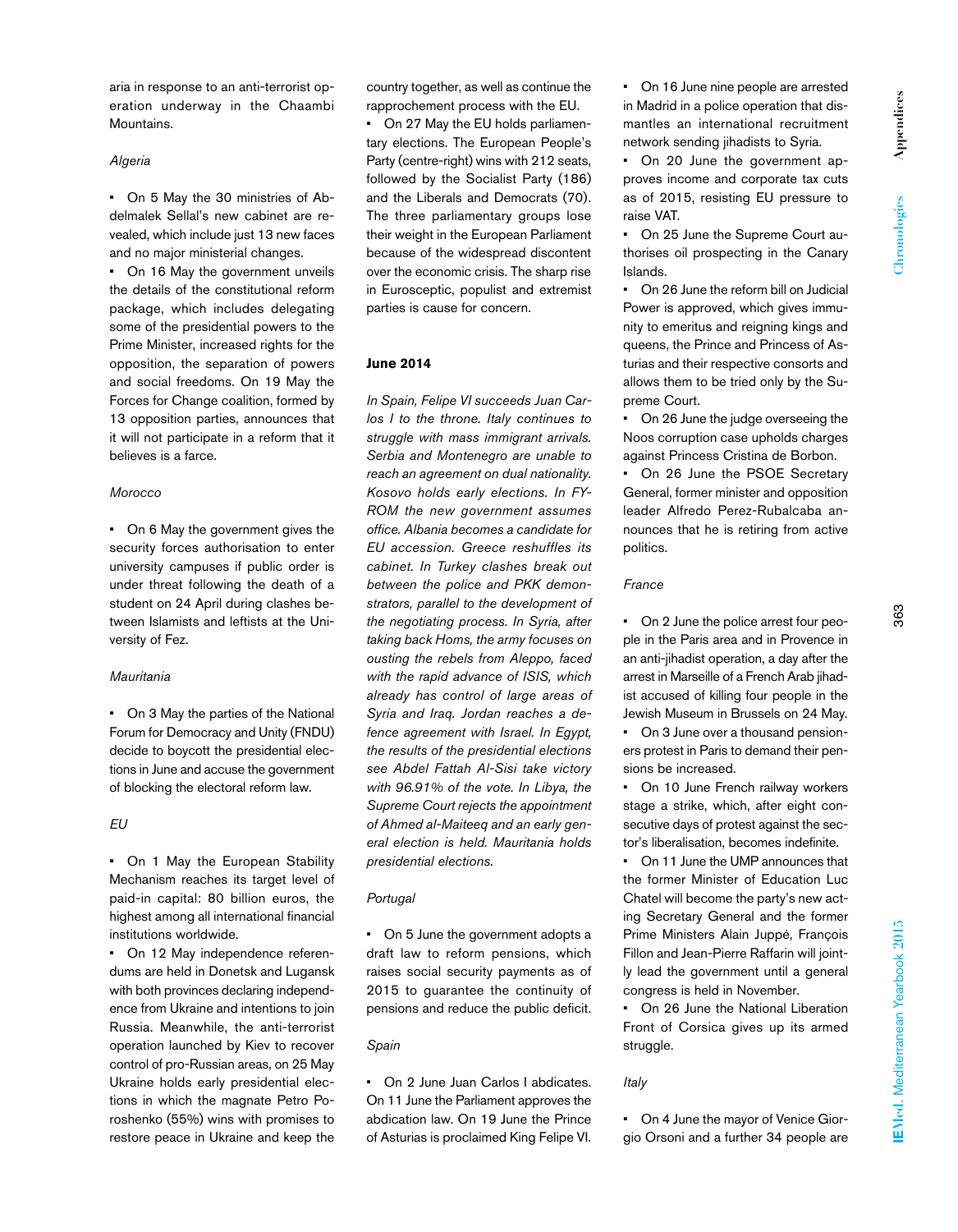aria in response to an anti-terrorist operation underway in the Chaambi Mountains.

# *Algeria*

• On 5 May the 30 ministries of Abdelmalek Sellal's new cabinet are revealed, which include just 13 new faces and no major ministerial changes.

• On 16 May the government unveils the details of the constitutional reform package, which includes delegating some of the presidential powers to the Prime Minister, increased rights for the opposition, the separation of powers and social freedoms. On 19 May the Forces for Change coalition, formed by 13 opposition parties, announces that it will not participate in a reform that it believes is a farce.

# *Morocco*

• On 6 May the government gives the security forces authorisation to enter university campuses if public order is under threat following the death of a student on 24 April during clashes between Islamists and leftists at the University of Fez.

#### *Mauritania*

• On 3 May the parties of the National Forum for Democracy and Unity (FNDU) decide to boycott the presidential elections in June and accuse the government of blocking the electoral reform law.

# *EU*

• On 1 May the European Stability Mechanism reaches its target level of paid-in capital: 80 billion euros, the highest among all international financial institutions worldwide.

• On 12 May independence referendums are held in Donetsk and Lugansk with both provinces declaring independence from Ukraine and intentions to join Russia. Meanwhile, the anti-terrorist operation launched by Kiev to recover control of pro-Russian areas, on 25 May Ukraine holds early presidential elections in which the magnate Petro Poroshenko (55%) wins with promises to restore peace in Ukraine and keep the

country together, as well as continue the rapprochement process with the EU.

• On 27 May the EU holds parliamentary elections. The European People's Party (centre-right) wins with 212 seats, followed by the Socialist Party (186) and the Liberals and Democrats (70). The three parliamentary groups lose their weight in the European Parliament because of the widespread discontent over the economic crisis. The sharp rise in Eurosceptic, populist and extremist parties is cause for concern.

### **June 2014**

*In Spain, Felipe VI succeeds Juan Carlos I to the throne. Italy continues to struggle with mass immigrant arrivals. Serbia and Montenegro are unable to reach an agreement on dual nationality. Kosovo holds early elections. In FY-ROM the new government assumes office. Albania becomes a candidate for EU accession. Greece reshuffles its cabinet. In Turkey clashes break out between the police and PKK demonstrators, parallel to the development of the negotiating process. In Syria, after taking back Homs, the army focuses on ousting the rebels from Aleppo, faced with the rapid advance of ISIS, which already has control of large areas of Syria and Iraq. Jordan reaches a defence agreement with Israel. In Egypt, the results of the presidential elections see Abdel Fattah Al-Sisi take victory with 96.91% of the vote. In Libya, the Supreme Court rejects the appointment of Ahmed al-Maiteeq and an early general election is held. Mauritania holds presidential elections.*

#### *Portugal*

• On 5 June the government adopts a draft law to reform pensions, which raises social security payments as of 2015 to guarantee the continuity of pensions and reduce the public deficit.

# *Spain*

• On 2 June Juan Carlos I abdicates. On 11 June the Parliament approves the abdication law. On 19 June the Prince of Asturias is proclaimed King Felipe VI.

• On 16 June nine people are arrested in Madrid in a police operation that dismantles an international recruitment network sending jihadists to Syria.

• On 20 June the government approves income and corporate tax cuts as of 2015, resisting EU pressure to raise VAT.

• On 25 June the Supreme Court authorises oil prospecting in the Canary Islands.

• On 26 June the reform bill on Judicial Power is approved, which gives immunity to emeritus and reigning kings and queens, the Prince and Princess of Asturias and their respective consorts and allows them to be tried only by the Supreme Court.

On 26 June the judge overseeing the Noos corruption case upholds charges against Princess Cristina de Borbon.

• On 26 June the PSOE Secretary General, former minister and opposition leader Alfredo Perez-Rubalcaba announces that he is retiring from active politics.

# *France*

• On 2 June the police arrest four people in the Paris area and in Provence in an anti-jihadist operation, a day after the arrest in Marseille of a French Arab jihadist accused of killing four people in the Jewish Museum in Brussels on 24 May. • On 3 June over a thousand pension-

ers protest in Paris to demand their pensions be increased.

On 10 June French railway workers stage a strike, which, after eight consecutive days of protest against the sector's liberalisation, becomes indefinite.

On 11 June the UMP announces that the former Minister of Education Luc Chatel will become the party's new acting Secretary General and the former Prime Ministers Alain Juppé, François Fillon and Jean-Pierre Raffarin will jointly lead the government until a general congress is held in November.

• On 26 June the National Liberation Front of Corsica gives up its armed struggle.

### *Italy*

• On 4 June the mayor of Venice Giorgio Orsoni and a further 34 people are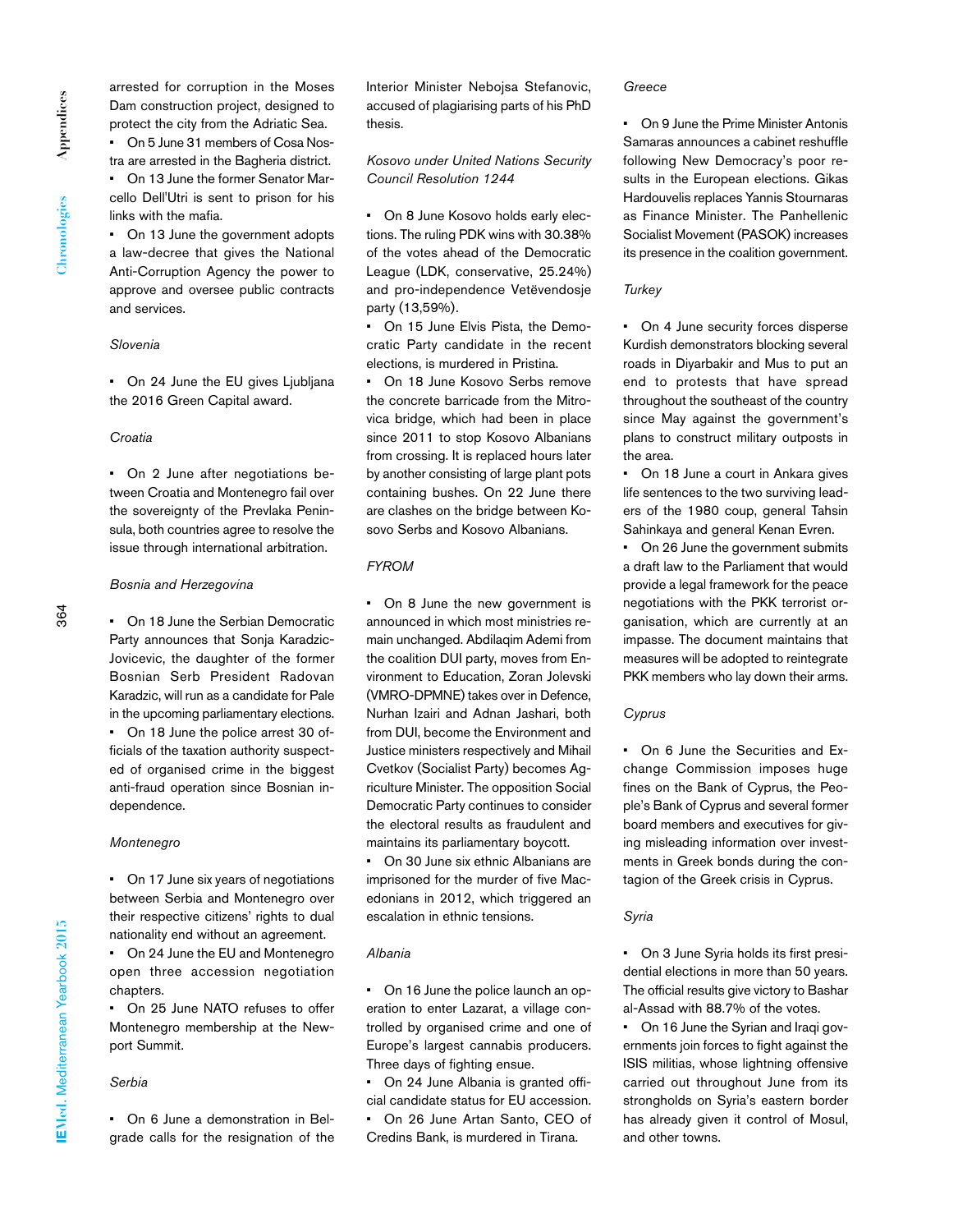arrested for corruption in the Moses Dam construction project, designed to protect the city from the Adriatic Sea. • On 5 June 31 members of Cosa Nos-

tra are arrested in the Bagheria district. • On 13 June the former Senator Mar-

cello Dell'Utri is sent to prison for his links with the mafia.

• On 13 June the government adopts a law-decree that gives the National Anti-Corruption Agency the power to approve and oversee public contracts and services.

# *Slovenia*

• On 24 June the EU gives Liubliana the 2016 Green Capital award.

# *Croatia*

• On 2 June after negotiations between Croatia and Montenegro fail over the sovereignty of the Prevlaka Peninsula, both countries agree to resolve the issue through international arbitration.

#### *Bosnia and Herzegovina*

• On 18 June the Serbian Democratic Party announces that Sonja Karadzic-Jovicevic, the daughter of the former Bosnian Serb President Radovan Karadzic, will run as a candidate for Pale in the upcoming parliamentary elections. • On 18 June the police arrest 30 officials of the taxation authority suspected of organised crime in the biggest anti-fraud operation since Bosnian independence.

#### *Montenegro*

• On 17 June six years of negotiations between Serbia and Montenegro over their respective citizens' rights to dual nationality end without an agreement.

• On 24 June the EU and Montenegro open three accession negotiation chapters.

• On 25 June NATO refuses to offer Montenegro membership at the Newport Summit.

### *Serbia*

• On 6 June a demonstration in Belgrade calls for the resignation of the Interior Minister Nebojsa Stefanovic, accused of plagiarising parts of his PhD thesis.

*Kosovo under United Nations Security Council Resolution 1244*

• On 8 June Kosovo holds early elections. The ruling PDK wins with 30.38% of the votes ahead of the Democratic League (LDK, conservative, 25.24%) and pro-independence Vetëvendosje party (13,59%).

On 15 June Elvis Pista, the Democratic Party candidate in the recent elections, is murdered in Pristina.

• On 18 June Kosovo Serbs remove the concrete barricade from the Mitrovica bridge, which had been in place since 2011 to stop Kosovo Albanians from crossing. It is replaced hours later by another consisting of large plant pots containing bushes. On 22 June there are clashes on the bridge between Kosovo Serbs and Kosovo Albanians.

# *FYROM*

• On 8 June the new government is announced in which most ministries remain unchanged. Abdilaqim Ademi from the coalition DUI party, moves from Environment to Education, Zoran Jolevski (VMRO-DPMNE) takes over in Defence, Nurhan Izairi and Adnan Jashari, both from DUI, become the Environment and Justice ministers respectively and Mihail Cvetkov (Socialist Party) becomes Agriculture Minister. The opposition Social Democratic Party continues to consider the electoral results as fraudulent and maintains its parliamentary boycott.

On 30 June six ethnic Albanians are imprisoned for the murder of five Macedonians in 2012, which triggered an escalation in ethnic tensions.

#### *Albania*

• On 16 June the police launch an operation to enter Lazarat, a village controlled by organised crime and one of Europe's largest cannabis producers. Three days of fighting ensue.

On 24 June Albania is granted official candidate status for EU accession. • On 26 June Artan Santo, CEO of

Credins Bank, is murdered in Tirana.

#### *Greece*

• On 9 June the Prime Minister Antonis Samaras announces a cabinet reshuffle following New Democracy's poor results in the European elections. Gikas Hardouvelis replaces Yannis Stournaras as Finance Minister. The Panhellenic Socialist Movement (PASOK) increases its presence in the coalition government.

# *Turkey*

• On 4 June security forces disperse Kurdish demonstrators blocking several roads in Diyarbakir and Mus to put an end to protests that have spread throughout the southeast of the country since May against the government's plans to construct military outposts in the area.

• On 18 June a court in Ankara gives life sentences to the two surviving leaders of the 1980 coup, general Tahsin Sahinkaya and general Kenan Evren.

• On 26 June the government submits a draft law to the Parliament that would provide a legal framework for the peace negotiations with the PKK terrorist organisation, which are currently at an impasse. The document maintains that measures will be adopted to reintegrate PKK members who lay down their arms.

#### *Cyprus*

• On 6 June the Securities and Exchange Commission imposes huge fines on the Bank of Cyprus, the People's Bank of Cyprus and several former board members and executives for giving misleading information over investments in Greek bonds during the contagion of the Greek crisis in Cyprus.

### *Syria*

• On 3 June Syria holds its first presidential elections in more than 50 years. The official results give victory to Bashar al-Assad with 88.7% of the votes.

• On 16 June the Syrian and Iraqi governments join forces to fight against the ISIS militias, whose lightning offensive carried out throughout June from its strongholds on Syria's eastern border has already given it control of Mosul, and other towns.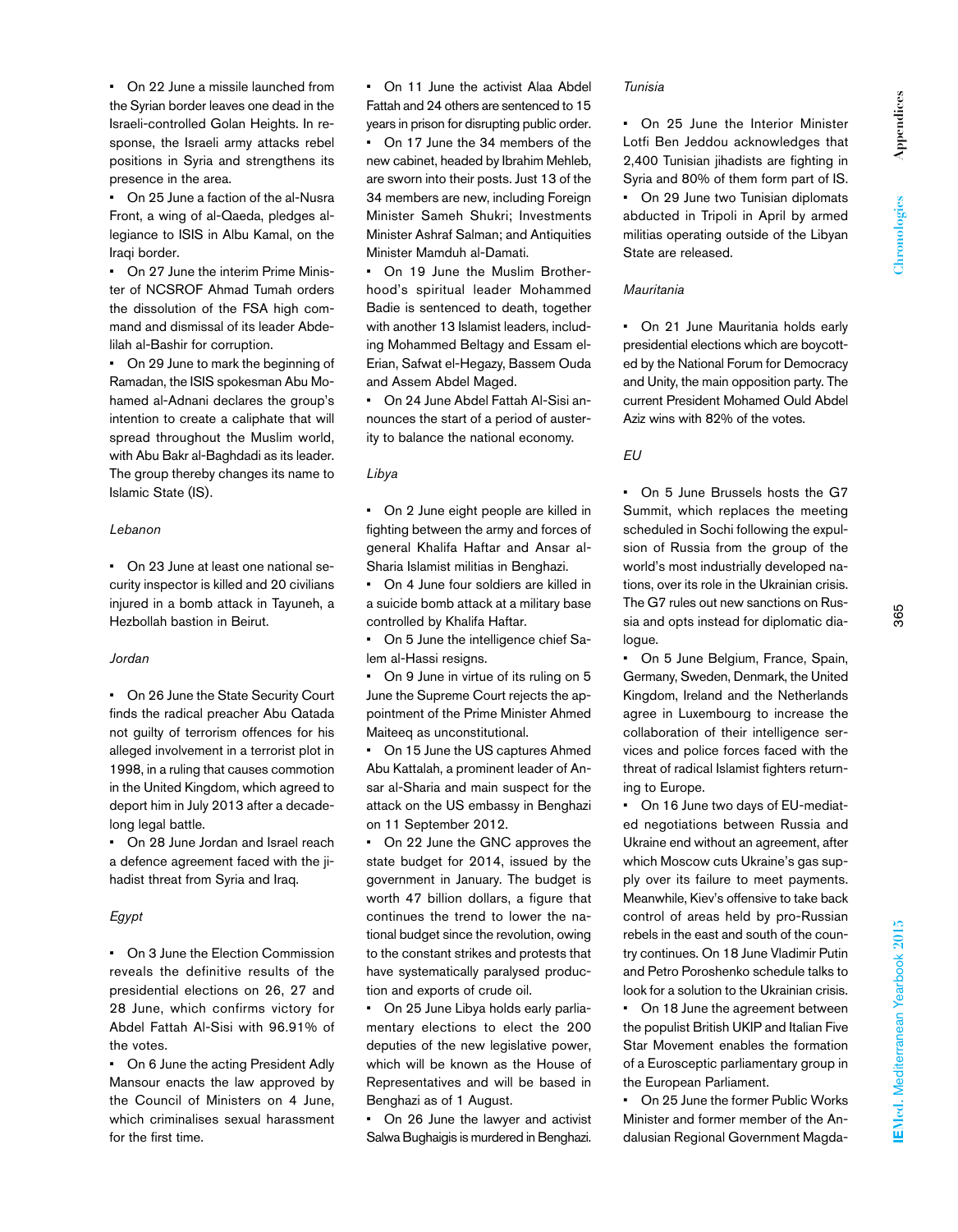• On 22 June a missile launched from the Syrian border leaves one dead in the Israeli-controlled Golan Heights. In response, the Israeli army attacks rebel positions in Syria and strengthens its presence in the area.

• On 25 June a faction of the al-Nusra Front, a wing of al-Qaeda, pledges allegiance to ISIS in Albu Kamal, on the Iraqi border.

• On 27 June the interim Prime Minister of NCSROF Ahmad Tumah orders the dissolution of the FSA high command and dismissal of its leader Abdelilah al-Bashir for corruption.

• On 29 June to mark the beginning of Ramadan, the ISIS spokesman Abu Mohamed al-Adnani declares the group's intention to create a caliphate that will spread throughout the Muslim world, with Abu Bakr al-Baghdadi as its leader. The group thereby changes its name to Islamic State (IS).

# *Lebanon*

• On 23 June at least one national security inspector is killed and 20 civilians injured in a bomb attack in Tayuneh, a Hezbollah bastion in Beirut.

# *Jordan*

• On 26 June the State Security Court finds the radical preacher Abu Qatada not guilty of terrorism offences for his alleged involvement in a terrorist plot in 1998, in a ruling that causes commotion in the United Kingdom, which agreed to deport him in July 2013 after a decadelong legal battle.

• On 28 June Jordan and Israel reach a defence agreement faced with the jihadist threat from Syria and Iraq.

# *Egypt*

• On 3 June the Election Commission reveals the definitive results of the presidential elections on 26, 27 and 28 June, which confirms victory for Abdel Fattah Al-Sisi with 96.91% of the votes.

• On 6 June the acting President Adly Mansour enacts the law approved by the Council of Ministers on 4 June, which criminalises sexual harassment for the first time.

• On 11 June the activist Alaa Abdel Fattah and 24 others are sentenced to 15 years in prison for disrupting public order. • On 17 June the 34 members of the new cabinet, headed by Ibrahim Mehleb, are sworn into their posts. Just 13 of the 34 members are new, including Foreign Minister Sameh Shukri; Investments Minister Ashraf Salman; and Antiquities Minister Mamduh al-Damati.

• On 19 June the Muslim Brotherhood's spiritual leader Mohammed Badie is sentenced to death, together with another 13 Islamist leaders, including Mohammed Beltagy and Essam el-Erian, Safwat el-Hegazy, Bassem Ouda and Assem Abdel Maged.

• On 24 June Abdel Fattah Al-Sisi announces the start of a period of austerity to balance the national economy.

# *Libya*

• On 2 June eight people are killed in fighting between the army and forces of general Khalifa Haftar and Ansar al-Sharia Islamist militias in Benghazi.

• On 4 June four soldiers are killed in a suicide bomb attack at a military base controlled by Khalifa Haftar.

On 5 June the intelligence chief Salem al-Hassi resigns.

• On 9 June in virtue of its ruling on 5 June the Supreme Court rejects the appointment of the Prime Minister Ahmed Maiteeq as unconstitutional.

• On 15 June the US captures Ahmed Abu Kattalah, a prominent leader of Ansar al-Sharia and main suspect for the attack on the US embassy in Benghazi on 11 September 2012.

• On 22 June the GNC approves the state budget for 2014, issued by the government in January. The budget is worth 47 billion dollars, a figure that continues the trend to lower the national budget since the revolution, owing to the constant strikes and protests that have systematically paralysed production and exports of crude oil.

• On 25 June Libya holds early parliamentary elections to elect the 200 deputies of the new legislative power, which will be known as the House of Representatives and will be based in Benghazi as of 1 August.

• On 26 June the lawyer and activist Salwa Bughaigis is murdered in Benghazi.

#### *Tunisia*

• On 25 June the Interior Minister Lotfi Ben Jeddou acknowledges that 2,400 Tunisian jihadists are fighting in Syria and 80% of them form part of IS. • On 29 June two Tunisian diplomats abducted in Tripoli in April by armed militias operating outside of the Libyan

# *Mauritania*

State are released.

• On 21 June Mauritania holds early presidential elections which are boycotted by the National Forum for Democracy and Unity, the main opposition party. The current President Mohamed Ould Abdel Aziz wins with 82% of the votes.

# *EU*

• On 5 June Brussels hosts the G7 Summit, which replaces the meeting scheduled in Sochi following the expulsion of Russia from the group of the world's most industrially developed nations, over its role in the Ukrainian crisis. The G7 rules out new sanctions on Russia and opts instead for diplomatic dialogue.

• On 5 June Belgium, France, Spain, Germany, Sweden, Denmark, the United Kingdom, Ireland and the Netherlands agree in Luxembourg to increase the collaboration of their intelligence services and police forces faced with the threat of radical Islamist fighters returning to Europe.

• On 16 June two days of EU-mediated negotiations between Russia and Ukraine end without an agreement, after which Moscow cuts Ukraine's gas supply over its failure to meet payments. Meanwhile, Kiev's offensive to take back control of areas held by pro-Russian rebels in the east and south of the country continues. On 18 June Vladimir Putin and Petro Poroshenko schedule talks to look for a solution to the Ukrainian crisis.

• On 18 June the agreement between the populist British UKIP and Italian Five Star Movement enables the formation of a Eurosceptic parliamentary group in the European Parliament.

• On 25 June the former Public Works Minister and former member of the Andalusian Regional Government Magda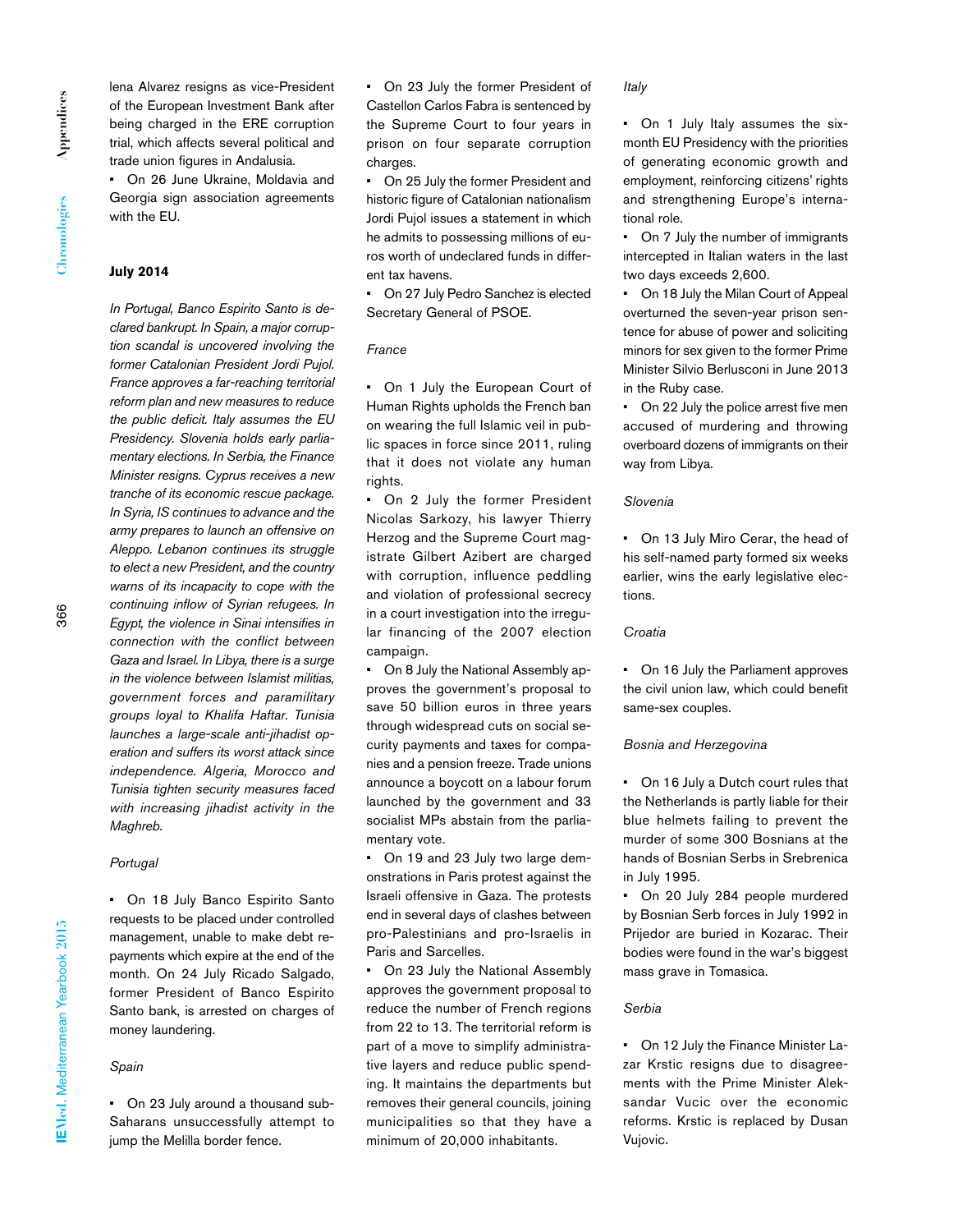lena Alvarez resigns as vice-President of the European Investment Bank after being charged in the ERE corruption trial, which affects several political and trade union figures in Andalusia.

• On 26 June Ukraine, Moldavia and Georgia sign association agreements with the EU.

# **July 2014**

*In Portugal, Banco Espirito Santo is declared bankrupt. In Spain, a major corruption scandal is uncovered involving the former Catalonian President Jordi Pujol. France approves a far-reaching territorial reform plan and new measures to reduce the public deficit. Italy assumes the EU Presidency. Slovenia holds early parliamentary elections. In Serbia, the Finance Minister resigns. Cyprus receives a new tranche of its economic rescue package. In Syria, IS continues to advance and the army prepares to launch an offensive on Aleppo. Lebanon continues its struggle to elect a new President, and the country warns of its incapacity to cope with the continuing inflow of Syrian refugees. In Egypt, the violence in Sinai intensifies in connection with the conflict between Gaza and Israel. In Libya, there is a surge in the violence between Islamist militias, government forces and paramilitary groups loyal to Khalifa Haftar. Tunisia launches a large-scale anti-jihadist operation and suffers its worst attack since independence. Algeria, Morocco and Tunisia tighten security measures faced with increasing jihadist activity in the Maghreb.*

# *Portugal*

• On 18 July Banco Espirito Santo requests to be placed under controlled management, unable to make debt repayments which expire at the end of the month. On 24 July Ricado Salgado, former President of Banco Espirito Santo bank, is arrested on charges of money laundering.

#### *Spain*

• On 23 July around a thousand sub-Saharans unsuccessfully attempt to jump the Melilla border fence.

• On 23 July the former President of Castellon Carlos Fabra is sentenced by the Supreme Court to four years in prison on four separate corruption charges.

• On 25 July the former President and historic figure of Catalonian nationalism Jordi Pujol issues a statement in which he admits to possessing millions of euros worth of undeclared funds in different tax havens.

• On 27 July Pedro Sanchez is elected Secretary General of PSOE.

#### *France*

• On 1 July the European Court of Human Rights upholds the French ban on wearing the full Islamic veil in public spaces in force since 2011, ruling that it does not violate any human rights.

• On 2 July the former President Nicolas Sarkozy, his lawyer Thierry Herzog and the Supreme Court magistrate Gilbert Azibert are charged with corruption, influence peddling and violation of professional secrecy in a court investigation into the irregular financing of the 2007 election campaign.

• On 8 July the National Assembly approves the government's proposal to save 50 billion euros in three years through widespread cuts on social security payments and taxes for companies and a pension freeze. Trade unions announce a boycott on a labour forum launched by the government and 33 socialist MPs abstain from the parliamentary vote.

• On 19 and 23 July two large demonstrations in Paris protest against the Israeli offensive in Gaza. The protests end in several days of clashes between pro-Palestinians and pro-Israelis in Paris and Sarcelles.

• On 23 July the National Assembly approves the government proposal to reduce the number of French regions from 22 to 13. The territorial reform is part of a move to simplify administrative layers and reduce public spending. It maintains the departments but removes their general councils, joining municipalities so that they have a minimum of 20,000 inhabitants.

*Italy*

• On 1 July Italy assumes the sixmonth EU Presidency with the priorities of generating economic growth and employment, reinforcing citizens' rights and strengthening Europe's international role.

• On 7 July the number of immigrants intercepted in Italian waters in the last two days exceeds 2,600.

• On 18 July the Milan Court of Appeal overturned the seven-year prison sentence for abuse of power and soliciting minors for sex given to the former Prime Minister Silvio Berlusconi in June 2013 in the Ruby case.

• On 22 July the police arrest five men accused of murdering and throwing overboard dozens of immigrants on their way from Libya.

#### *Slovenia*

• On 13 July Miro Cerar, the head of his self-named party formed six weeks earlier, wins the early legislative elections.

#### *Croatia*

• On 16 July the Parliament approves the civil union law, which could benefit same-sex couples.

#### *Bosnia and Herzegovina*

• On 16 July a Dutch court rules that the Netherlands is partly liable for their blue helmets failing to prevent the murder of some 300 Bosnians at the hands of Bosnian Serbs in Srebrenica in July 1995.

• On 20 July 284 people murdered by Bosnian Serb forces in July 1992 in Prijedor are buried in Kozarac. Their bodies were found in the war's biggest mass grave in Tomasica.

# *Serbia*

• On 12 July the Finance Minister Lazar Krstic resigns due to disagreements with the Prime Minister Aleksandar Vucic over the economic reforms. Krstic is replaced by Dusan Vujovic.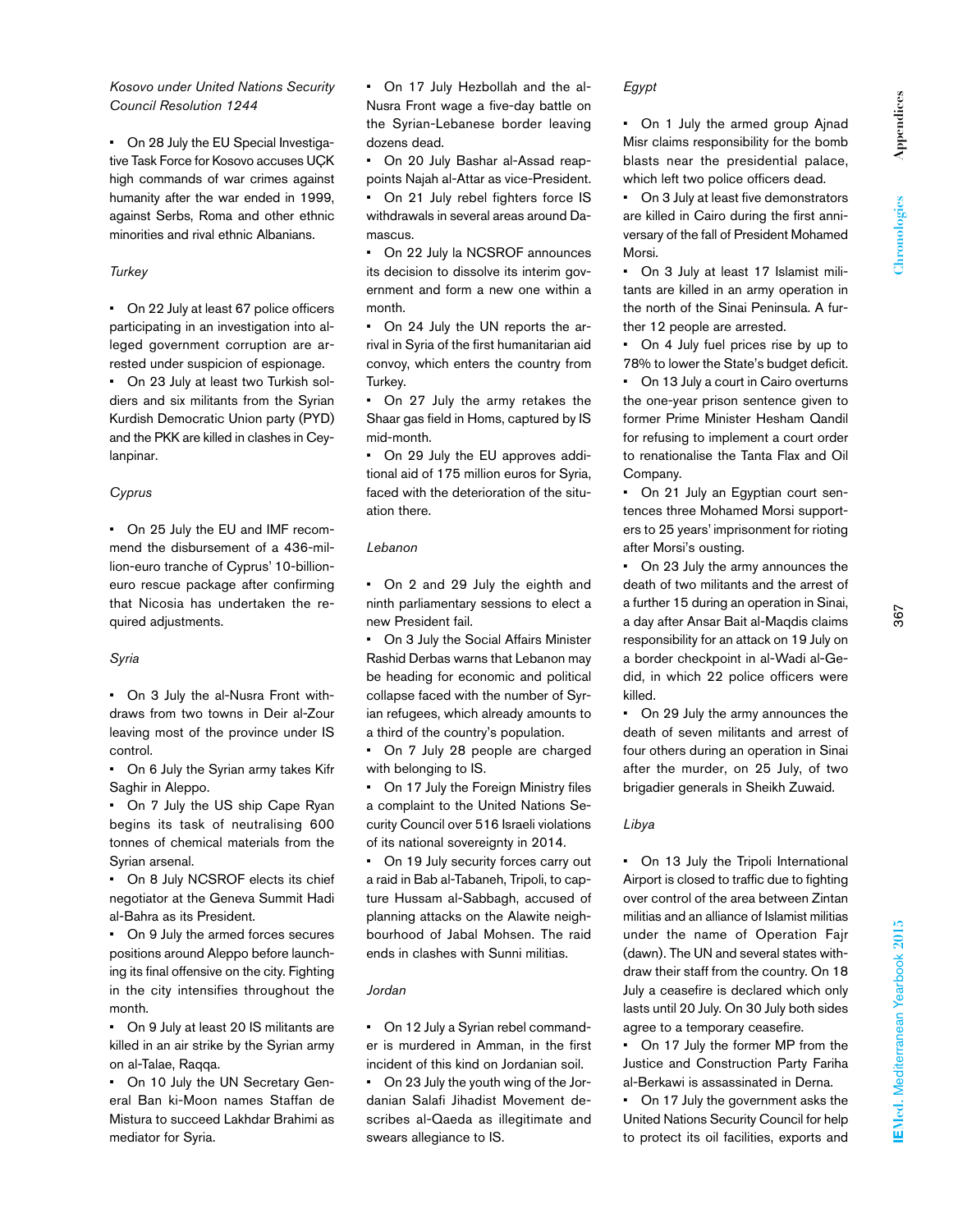# *Kosovo under United Nations Security Council Resolution 1244*

• On 28 July the EU Special Investigative Task Force for Kosovo accuses UÇK high commands of war crimes against humanity after the war ended in 1999, against Serbs, Roma and other ethnic minorities and rival ethnic Albanians.

# *Turkey*

• On 22 July at least 67 police officers participating in an investigation into alleged government corruption are arrested under suspicion of espionage. • On 23 July at least two Turkish soldiers and six militants from the Syrian Kurdish Democratic Union party (PYD) and the PKK are killed in clashes in Cey-

# *Cyprus*

lanpinar.

• On 25 July the EU and IMF recommend the disbursement of a 436-million-euro tranche of Cyprus' 10-billioneuro rescue package after confirming that Nicosia has undertaken the required adjustments.

# *Syria*

• On 3 July the al-Nusra Front withdraws from two towns in Deir al-Zour leaving most of the province under IS control.

• On 6 July the Syrian army takes Kifr Saghir in Aleppo.

• On 7 July the US ship Cape Ryan begins its task of neutralising 600 tonnes of chemical materials from the Syrian arsenal.

• On 8 July NCSROF elects its chief negotiator at the Geneva Summit Hadi al-Bahra as its President.

• On 9 July the armed forces secures positions around Aleppo before launching its final offensive on the city. Fighting in the city intensifies throughout the month.

• On 9 July at least 20 IS militants are killed in an air strike by the Syrian army on al-Talae, Raqqa.

• On 10 July the UN Secretary General Ban ki-Moon names Staffan de Mistura to succeed Lakhdar Brahimi as mediator for Syria.

• On 17 July Hezbollah and the al-Nusra Front wage a five-day battle on the Syrian-Lebanese border leaving dozens dead.

• On 20 July Bashar al-Assad reappoints Najah al-Attar as vice-President.

• On 21 July rebel fighters force IS withdrawals in several areas around Damascus.

• On 22 July la NCSROF announces its decision to dissolve its interim government and form a new one within a month.

• On 24 July the UN reports the arrival in Syria of the first humanitarian aid convoy, which enters the country from Turkey.

• On 27 July the army retakes the Shaar gas field in Homs, captured by IS mid-month.

• On 29 July the EU approves additional aid of 175 million euros for Syria, faced with the deterioration of the situation there.

# *Lebanon*

• On 2 and 29 July the eighth and ninth parliamentary sessions to elect a new President fail.

• On 3 July the Social Affairs Minister Rashid Derbas warns that Lebanon may be heading for economic and political collapse faced with the number of Syrian refugees, which already amounts to a third of the country's population.

• On 7 July 28 people are charged with belonging to IS.

On 17 July the Foreign Ministry files a complaint to the United Nations Security Council over 516 Israeli violations of its national sovereignty in 2014.

• On 19 July security forces carry out a raid in Bab al-Tabaneh, Tripoli, to capture Hussam al-Sabbagh, accused of planning attacks on the Alawite neighbourhood of Jabal Mohsen. The raid ends in clashes with Sunni militias.

# *Jordan*

• On 12 July a Syrian rebel commander is murdered in Amman, in the first incident of this kind on Jordanian soil.

• On 23 July the youth wing of the Jordanian Salafi Jihadist Movement describes al-Qaeda as illegitimate and swears allegiance to IS.

# *Egypt*

• On 1 July the armed group Ajnad Misr claims responsibility for the bomb blasts near the presidential palace, which left two police officers dead.

• On 3 July at least five demonstrators are killed in Cairo during the first anniversary of the fall of President Mohamed Morsi.

• On 3 July at least 17 Islamist militants are killed in an army operation in the north of the Sinai Peninsula. A further 12 people are arrested.

• On 4 July fuel prices rise by up to 78% to lower the State's budget deficit. • On 13 July a court in Cairo overturns the one-year prison sentence given to former Prime Minister Hesham Qandil for refusing to implement a court order to renationalise the Tanta Flax and Oil Company.

• On 21 July an Egyptian court sentences three Mohamed Morsi supporters to 25 years' imprisonment for rioting after Morsi's ousting.

On 23 July the army announces the death of two militants and the arrest of a further 15 during an operation in Sinai, a day after Ansar Bait al-Maqdis claims responsibility for an attack on 19 July on a border checkpoint in al-Wadi al-Gedid, in which 22 police officers were killed.

• On 29 July the army announces the death of seven militants and arrest of four others during an operation in Sinai after the murder, on 25 July, of two brigadier generals in Sheikh Zuwaid.

# *Libya*

• On 13 July the Tripoli International Airport is closed to traffic due to fighting over control of the area between Zintan militias and an alliance of Islamist militias under the name of Operation Fajr (dawn). The UN and several states withdraw their staff from the country. On 18 July a ceasefire is declared which only lasts until 20 July. On 30 July both sides agree to a temporary ceasefire.

• On 17 July the former MP from the Justice and Construction Party Fariha al-Berkawi is assassinated in Derna.

• On 17 July the government asks the United Nations Security Council for help to protect its oil facilities, exports and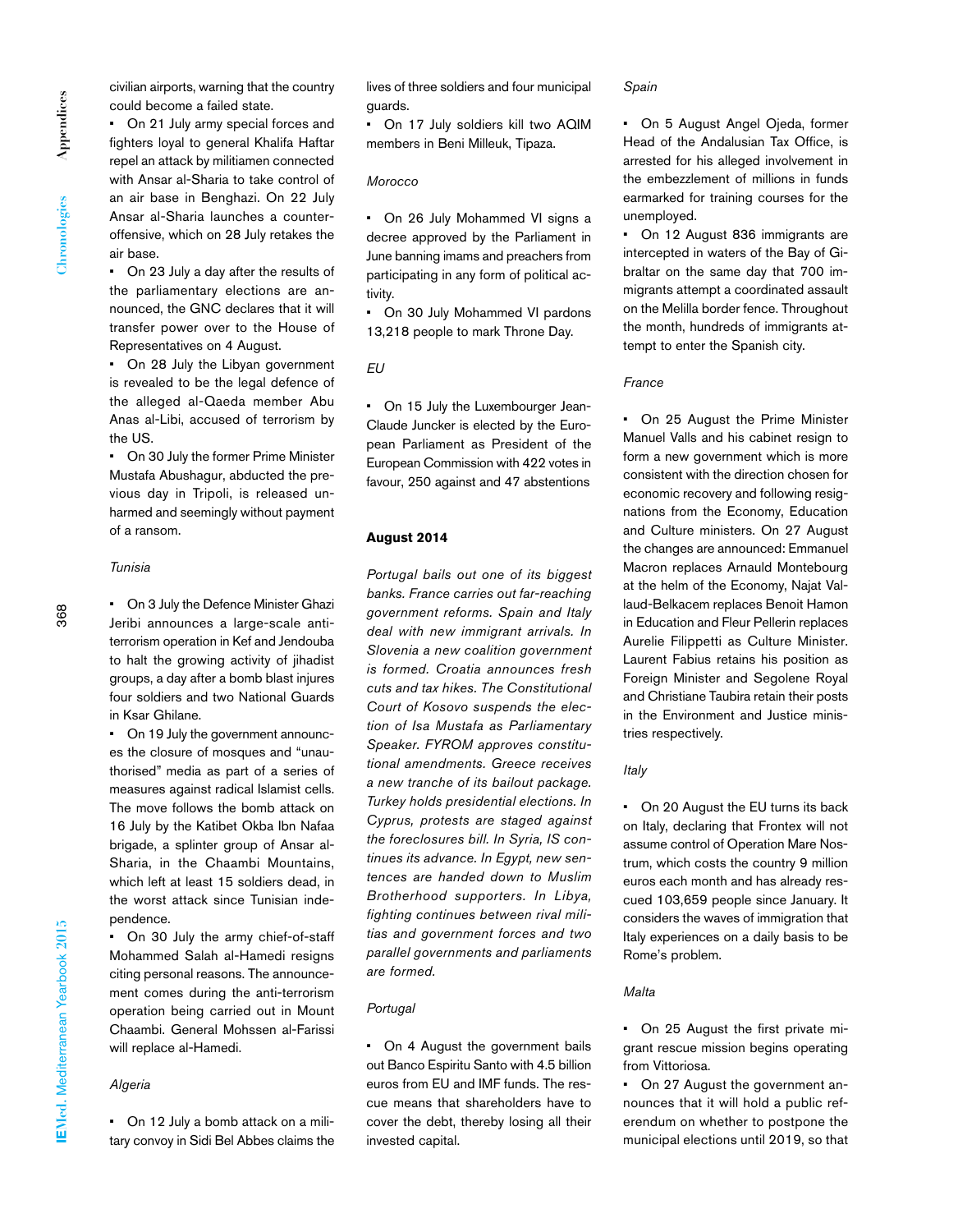civilian airports, warning that the country could become a failed state.

• On 21 July army special forces and fighters loyal to general Khalifa Haftar repel an attack by militiamen connected with Ansar al-Sharia to take control of an air base in Benghazi. On 22 July Ansar al-Sharia launches a counteroffensive, which on 28 July retakes the air base.

• On 23 July a day after the results of the parliamentary elections are announced, the GNC declares that it will transfer power over to the House of Representatives on 4 August.

• On 28 July the Libyan government is revealed to be the legal defence of the alleged al-Qaeda member Abu Anas al-Libi, accused of terrorism by the US.

• On 30 July the former Prime Minister Mustafa Abushagur, abducted the previous day in Tripoli, is released unharmed and seemingly without payment of a ransom.

# *Tunisia*

• On 3 July the Defence Minister Ghazi Jeribi announces a large-scale antiterrorism operation in Kef and Jendouba to halt the growing activity of jihadist groups, a day after a bomb blast injures four soldiers and two National Guards in Ksar Ghilane.

• On 19 July the government announces the closure of mosques and "unauthorised" media as part of a series of measures against radical Islamist cells. The move follows the bomb attack on 16 July by the Katibet Okba Ibn Nafaa brigade, a splinter group of Ansar al-Sharia, in the Chaambi Mountains, which left at least 15 soldiers dead, in the worst attack since Tunisian independence.

• On 30 July the army chief-of-staff Mohammed Salah al-Hamedi resigns citing personal reasons. The announcement comes during the anti-terrorism operation being carried out in Mount Chaambi. General Mohssen al-Farissi will replace al-Hamedi.

# *Algeria*

• On 12 July a bomb attack on a military convoy in Sidi Bel Abbes claims the lives of three soldiers and four municipal guards.

• On 17 July soldiers kill two AQIM members in Beni Milleuk, Tipaza.

# *Morocco*

• On 26 July Mohammed VI signs a decree approved by the Parliament in June banning imams and preachers from participating in any form of political activity.

• On 30 July Mohammed VI pardons 13,218 people to mark Throne Day.

### *EU*

• On 15 July the Luxembourger Jean-Claude Juncker is elected by the European Parliament as President of the European Commission with 422 votes in favour, 250 against and 47 abstentions

### **August 2014**

*Portugal bails out one of its biggest banks. France carries out far-reaching government reforms. Spain and Italy deal with new immigrant arrivals. In Slovenia a new coalition government is formed. Croatia announces fresh cuts and tax hikes. The Constitutional Court of Kosovo suspends the election of Isa Mustafa as Parliamentary Speaker. FYROM approves constitutional amendments. Greece receives a new tranche of its bailout package. Turkey holds presidential elections. In Cyprus, protests are staged against the foreclosures bill. In Syria, IS continues its advance. In Egypt, new sentences are handed down to Muslim Brotherhood supporters. In Libya, fighting continues between rival militias and government forces and two parallel governments and parliaments are formed.* 

# *Portugal*

• On 4 August the government bails out Banco Espiritu Santo with 4.5 billion euros from EU and IMF funds. The rescue means that shareholders have to cover the debt, thereby losing all their invested capital.

#### *Spain*

• On 5 August Angel Ojeda, former Head of the Andalusian Tax Office, is arrested for his alleged involvement in the embezzlement of millions in funds earmarked for training courses for the unemployed.

• On 12 August 836 immigrants are intercepted in waters of the Bay of Gibraltar on the same day that 700 immigrants attempt a coordinated assault on the Melilla border fence. Throughout the month, hundreds of immigrants attempt to enter the Spanish city.

### *France*

• On 25 August the Prime Minister Manuel Valls and his cabinet resign to form a new government which is more consistent with the direction chosen for economic recovery and following resignations from the Economy, Education and Culture ministers. On 27 August the changes are announced: Emmanuel Macron replaces Arnauld Montebourg at the helm of the Economy, Najat Vallaud-Belkacem replaces Benoit Hamon in Education and Fleur Pellerin replaces Aurelie Filippetti as Culture Minister. Laurent Fabius retains his position as Foreign Minister and Segolene Royal and Christiane Taubira retain their posts in the Environment and Justice ministries respectively.

# *Italy*

• On 20 August the EU turns its back on Italy, declaring that Frontex will not assume control of Operation Mare Nostrum, which costs the country 9 million euros each month and has already rescued 103,659 people since January. It considers the waves of immigration that Italy experiences on a daily basis to be Rome's problem.

# *Malta*

• On 25 August the first private migrant rescue mission begins operating from Vittoriosa.

• On 27 August the government announces that it will hold a public referendum on whether to postpone the municipal elections until 2019, so that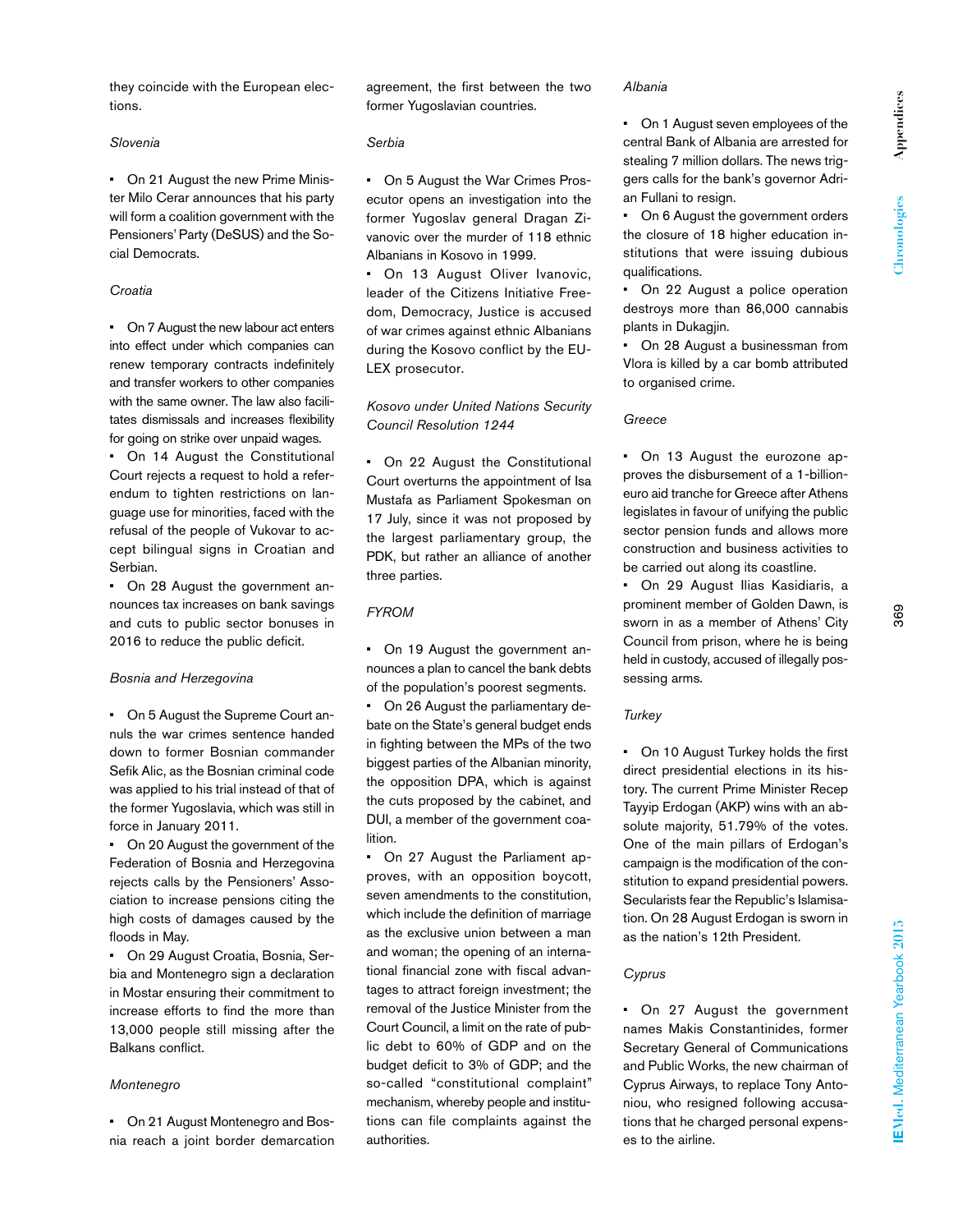they coincide with the European elections.

#### *Slovenia*

• On 21 August the new Prime Minister Milo Cerar announces that his party will form a coalition government with the Pensioners' Party (DeSUS) and the Social Democrats.

# *Croatia*

• On 7 August the new labour act enters into effect under which companies can renew temporary contracts indefinitely and transfer workers to other companies with the same owner. The law also facilitates dismissals and increases flexibility for going on strike over unpaid wages.

• On 14 August the Constitutional Court rejects a request to hold a referendum to tighten restrictions on language use for minorities, faced with the refusal of the people of Vukovar to accept bilingual signs in Croatian and Serbian.

• On 28 August the government announces tax increases on bank savings and cuts to public sector bonuses in 2016 to reduce the public deficit.

### *Bosnia and Herzegovina*

• On 5 August the Supreme Court annuls the war crimes sentence handed down to former Bosnian commander Sefik Alic, as the Bosnian criminal code was applied to his trial instead of that of the former Yugoslavia, which was still in force in January 2011.

• On 20 August the government of the Federation of Bosnia and Herzegovina rejects calls by the Pensioners' Association to increase pensions citing the high costs of damages caused by the floods in May.

• On 29 August Croatia, Bosnia, Serbia and Montenegro sign a declaration in Mostar ensuring their commitment to increase efforts to find the more than 13,000 people still missing after the Balkans conflict.

### *Montenegro*

• On 21 August Montenegro and Bosnia reach a joint border demarcation agreement, the first between the two former Yugoslavian countries.

# *Serbia*

• On 5 August the War Crimes Prosecutor opens an investigation into the former Yugoslav general Dragan Zivanovic over the murder of 118 ethnic Albanians in Kosovo in 1999.

• On 13 August Oliver Ivanovic, leader of the Citizens Initiative Freedom, Democracy, Justice is accused of war crimes against ethnic Albanians during the Kosovo conflict by the EU-LEX prosecutor.

# *Kosovo under United Nations Security Council Resolution 1244*

• On 22 August the Constitutional Court overturns the appointment of Isa Mustafa as Parliament Spokesman on 17 July, since it was not proposed by the largest parliamentary group, the PDK, but rather an alliance of another three parties.

# *FYROM*

• On 19 August the government announces a plan to cancel the bank debts of the population's poorest segments.

• On 26 August the parliamentary debate on the State's general budget ends in fighting between the MPs of the two biggest parties of the Albanian minority, the opposition DPA, which is against the cuts proposed by the cabinet, and DUI, a member of the government coalition.

• On 27 August the Parliament approves, with an opposition boycott, seven amendments to the constitution, which include the definition of marriage as the exclusive union between a man and woman; the opening of an international financial zone with fiscal advantages to attract foreign investment; the removal of the Justice Minister from the Court Council, a limit on the rate of public debt to 60% of GDP and on the budget deficit to 3% of GDP; and the so-called "constitutional complaint" mechanism, whereby people and institutions can file complaints against the authorities.

#### *Albania*

• On 1 August seven employees of the central Bank of Albania are arrested for stealing 7 million dollars. The news triggers calls for the bank's governor Adrian Fullani to resign.

• On 6 August the government orders the closure of 18 higher education institutions that were issuing dubious qualifications.

• On 22 August a police operation destroys more than 86,000 cannabis plants in Dukagjin.

• On 28 August a businessman from Vlora is killed by a car bomb attributed to organised crime.

# *Greece*

• On 13 August the eurozone approves the disbursement of a 1-billioneuro aid tranche for Greece after Athens legislates in favour of unifying the public sector pension funds and allows more construction and business activities to be carried out along its coastline.

• On 29 August Ilias Kasidiaris, a prominent member of Golden Dawn, is sworn in as a member of Athens' City Council from prison, where he is being held in custody, accused of illegally possessing arms.

#### *Turkey*

• On 10 August Turkey holds the first direct presidential elections in its history. The current Prime Minister Recep Tayyip Erdogan (AKP) wins with an absolute majority, 51.79% of the votes. One of the main pillars of Erdogan's campaign is the modification of the constitution to expand presidential powers. Secularists fear the Republic's Islamisation. On 28 August Erdogan is sworn in as the nation's 12th President.

# *Cyprus*

• On 27 August the government names Makis Constantinides, former Secretary General of Communications and Public Works, the new chairman of Cyprus Airways, to replace Tony Antoniou, who resigned following accusations that he charged personal expenses to the airline.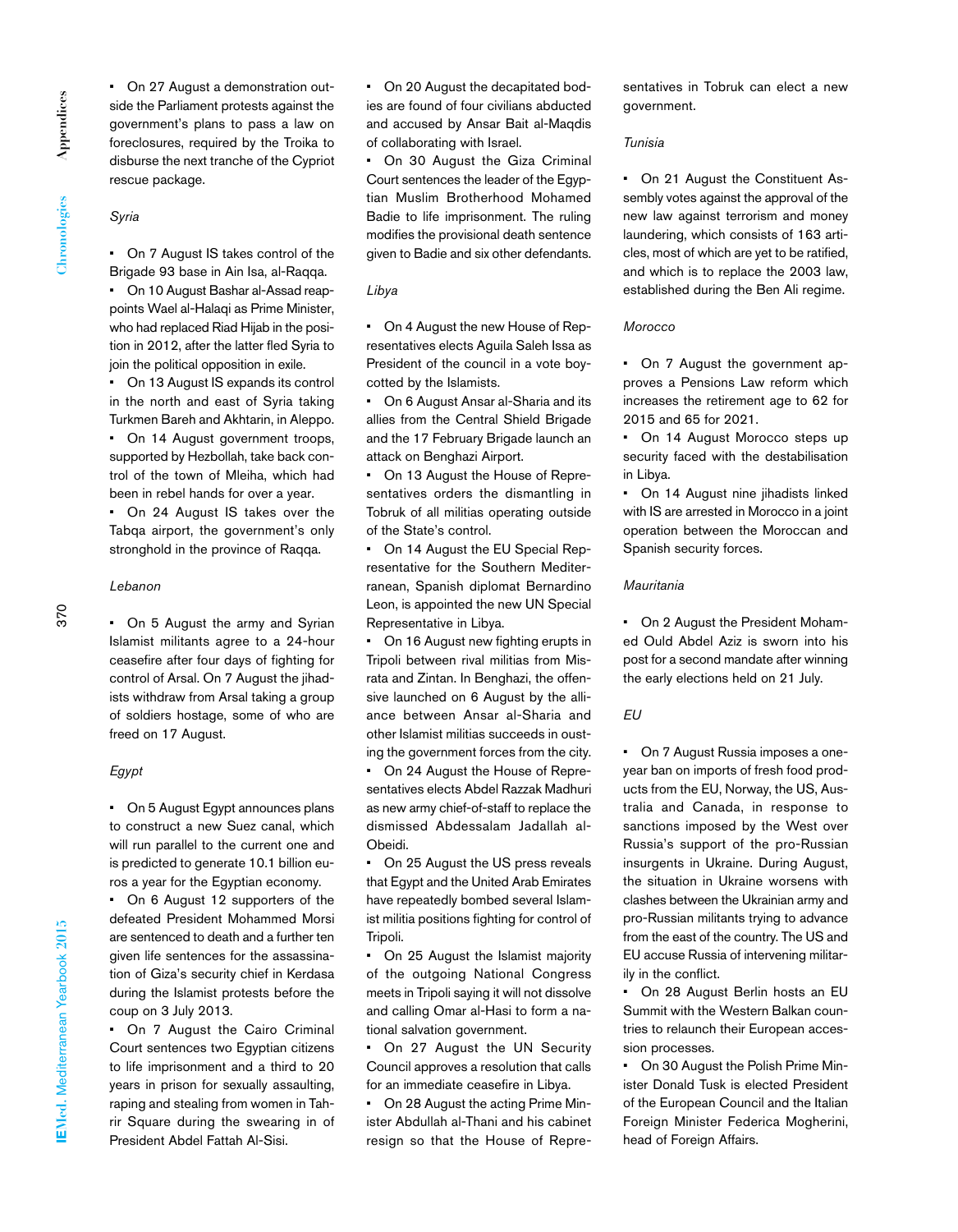• On 27 August a demonstration outside the Parliament protests against the government's plans to pass a law on foreclosures, required by the Troika to disburse the next tranche of the Cypriot rescue package.

# *Syria*

• On 7 August IS takes control of the Brigade 93 base in Ain Isa, al-Raqqa.

• On 10 August Bashar al-Assad reappoints Wael al-Halaqi as Prime Minister, who had replaced Riad Hijab in the position in 2012, after the latter fled Syria to join the political opposition in exile.

• On 13 August IS expands its control in the north and east of Syria taking Turkmen Bareh and Akhtarin, in Aleppo. • On 14 August government troops, supported by Hezbollah, take back control of the town of Mleiha, which had been in rebel hands for over a year.

• On 24 August IS takes over the Tabqa airport, the government's only stronghold in the province of Raqqa.

#### *Lebanon*

• On 5 August the army and Syrian Islamist militants agree to a 24-hour ceasefire after four days of fighting for control of Arsal. On 7 August the jihadists withdraw from Arsal taking a group of soldiers hostage, some of who are freed on 17 August.

# *Egypt*

• On 5 August Egypt announces plans to construct a new Suez canal, which will run parallel to the current one and is predicted to generate 10.1 billion euros a year for the Egyptian economy.

On 6 August 12 supporters of the defeated President Mohammed Morsi are sentenced to death and a further ten given life sentences for the assassination of Giza's security chief in Kerdasa during the Islamist protests before the coup on 3 July 2013.

• On 7 August the Cairo Criminal Court sentences two Egyptian citizens to life imprisonment and a third to 20 years in prison for sexually assaulting, raping and stealing from women in Tahrir Square during the swearing in of President Abdel Fattah Al-Sisi.

• On 20 August the decapitated bodies are found of four civilians abducted and accused by Ansar Bait al-Maqdis of collaborating with Israel.

• On 30 August the Giza Criminal Court sentences the leader of the Egyptian Muslim Brotherhood Mohamed Badie to life imprisonment. The ruling modifies the provisional death sentence given to Badie and six other defendants.

# *Libya*

• On 4 August the new House of Representatives elects Aguila Saleh Issa as President of the council in a vote boycotted by the Islamists.

• On 6 August Ansar al-Sharia and its allies from the Central Shield Brigade and the 17 February Brigade launch an attack on Benghazi Airport.

• On 13 August the House of Representatives orders the dismantling in Tobruk of all militias operating outside of the State's control.

• On 14 August the EU Special Representative for the Southern Mediterranean, Spanish diplomat Bernardino Leon, is appointed the new UN Special Representative in Libya.

• On 16 August new fighting erupts in Tripoli between rival militias from Misrata and Zintan. In Benghazi, the offensive launched on 6 August by the alliance between Ansar al-Sharia and other Islamist militias succeeds in ousting the government forces from the city.

• On 24 August the House of Representatives elects Abdel Razzak Madhuri as new army chief-of-staff to replace the dismissed Abdessalam Jadallah al-Obeidi.

• On 25 August the US press reveals that Egypt and the United Arab Emirates have repeatedly bombed several Islamist militia positions fighting for control of Tripoli.

• On 25 August the Islamist majority of the outgoing National Congress meets in Tripoli saying it will not dissolve and calling Omar al-Hasi to form a national salvation government.

• On 27 August the UN Security Council approves a resolution that calls for an immediate ceasefire in Libya.

• On 28 August the acting Prime Minister Abdullah al-Thani and his cabinet resign so that the House of Representatives in Tobruk can elect a new government.

### *Tunisia*

• On 21 August the Constituent Assembly votes against the approval of the new law against terrorism and money laundering, which consists of 163 articles, most of which are yet to be ratified, and which is to replace the 2003 law, established during the Ben Ali regime.

# *Morocco*

• On 7 August the government approves a Pensions Law reform which increases the retirement age to 62 for 2015 and 65 for 2021.

• On 14 August Morocco steps up security faced with the destabilisation in Libya.

• On 14 August nine jihadists linked with IS are arrested in Morocco in a joint operation between the Moroccan and Spanish security forces.

### *Mauritania*

• On 2 August the President Mohamed Ould Abdel Aziz is sworn into his post for a second mandate after winning the early elections held on 21 July.

# *EU*

• On 7 August Russia imposes a oneyear ban on imports of fresh food products from the EU, Norway, the US, Australia and Canada, in response to sanctions imposed by the West over Russia's support of the pro-Russian insurgents in Ukraine. During August, the situation in Ukraine worsens with clashes between the Ukrainian army and pro-Russian militants trying to advance from the east of the country. The US and EU accuse Russia of intervening militarily in the conflict.

• On 28 August Berlin hosts an EU Summit with the Western Balkan countries to relaunch their European accession processes.

• On 30 August the Polish Prime Minister Donald Tusk is elected President of the European Council and the Italian Foreign Minister Federica Mogherini, head of Foreign Affairs.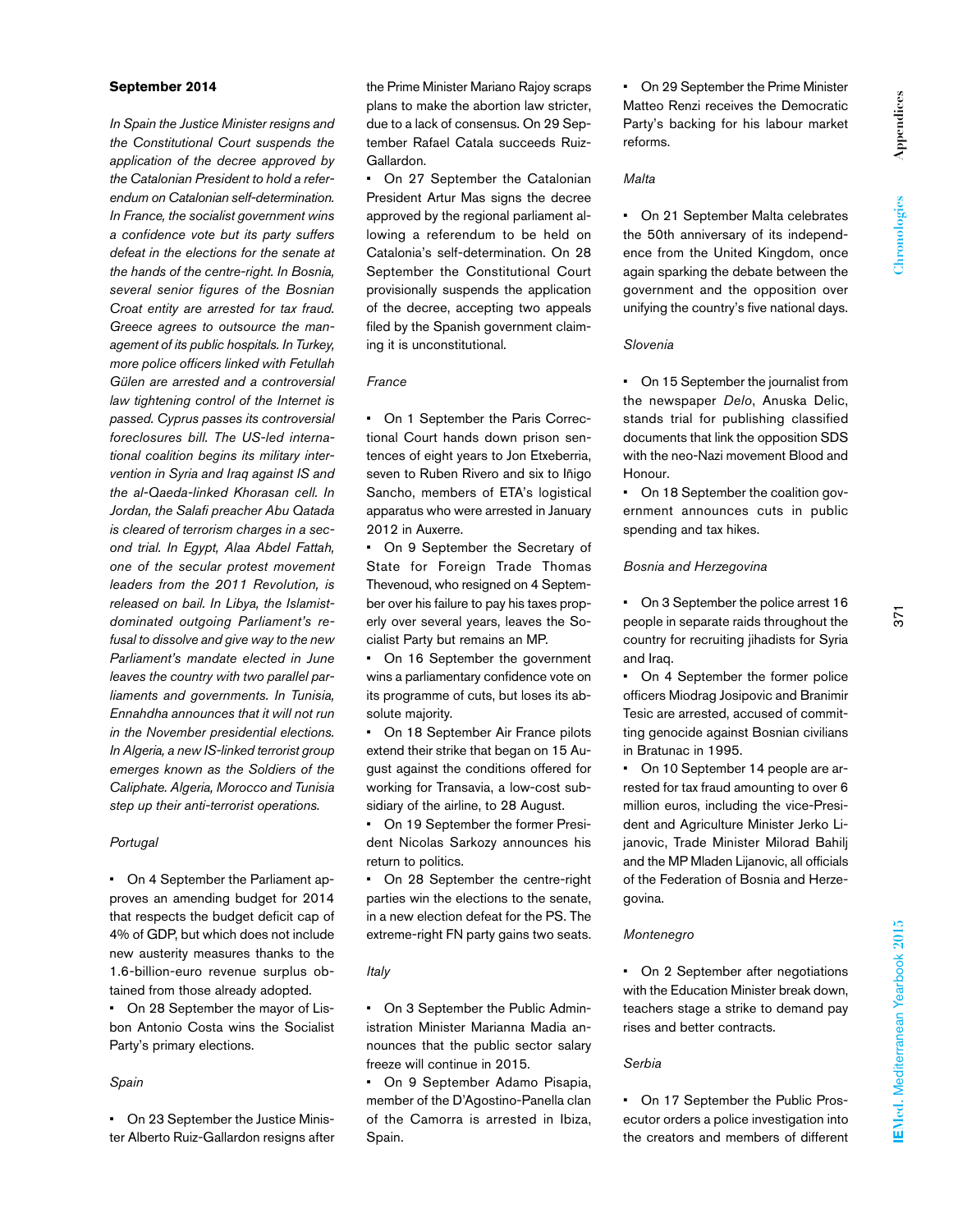### **September 2014**

*In Spain the Justice Minister resigns and the Constitutional Court suspends the application of the decree approved by the Catalonian President to hold a referendum on Catalonian self-determination. In France, the socialist government wins a confidence vote but its party suffers defeat in the elections for the senate at the hands of the centre-right. In Bosnia, several senior figures of the Bosnian Croat entity are arrested for tax fraud. Greece agrees to outsource the management of its public hospitals. In Turkey, more police officers linked with Fetullah Gülen are arrested and a controversial law tightening control of the Internet is passed. Cyprus passes its controversial foreclosures bill. The US-led international coalition begins its military intervention in Syria and Iraq against IS and the al-Qaeda-linked Khorasan cell. In Jordan, the Salafi preacher Abu Qatada is cleared of terrorism charges in a second trial. In Egypt, Alaa Abdel Fattah, one of the secular protest movement leaders from the 2011 Revolution, is released on bail. In Libya, the Islamistdominated outgoing Parliament's refusal to dissolve and give way to the new Parliament's mandate elected in June leaves the country with two parallel parliaments and governments. In Tunisia, Ennahdha announces that it will not run in the November presidential elections. In Algeria, a new IS-linked terrorist group emerges known as the Soldiers of the Caliphate. Algeria, Morocco and Tunisia step up their anti-terrorist operations.*

### *Portugal*

• On 4 September the Parliament approves an amending budget for 2014 that respects the budget deficit cap of 4% of GDP, but which does not include new austerity measures thanks to the 1.6-billion-euro revenue surplus obtained from those already adopted.

• On 28 September the mayor of Lisbon Antonio Costa wins the Socialist Party's primary elections.

#### *Spain*

• On 23 September the Justice Minister Alberto Ruiz-Gallardon resigns after the Prime Minister Mariano Rajoy scraps plans to make the abortion law stricter, due to a lack of consensus. On 29 September Rafael Catala succeeds Ruiz-Gallardon.

• On 27 September the Catalonian President Artur Mas signs the decree approved by the regional parliament allowing a referendum to be held on Catalonia's self-determination. On 28 September the Constitutional Court provisionally suspends the application of the decree, accepting two appeals filed by the Spanish government claiming it is unconstitutional.

#### *France*

• On 1 September the Paris Correctional Court hands down prison sentences of eight years to Jon Etxeberria, seven to Ruben Rivero and six to Iñigo Sancho, members of ETA's logistical apparatus who were arrested in January 2012 in Auxerre.

• On 9 September the Secretary of State for Foreign Trade Thomas Thevenoud, who resigned on 4 September over his failure to pay his taxes properly over several years, leaves the Socialist Party but remains an MP.

• On 16 September the government wins a parliamentary confidence vote on its programme of cuts, but loses its absolute majority.

• On 18 September Air France pilots extend their strike that began on 15 August against the conditions offered for working for Transavia, a low-cost subsidiary of the airline, to 28 August.

• On 19 September the former President Nicolas Sarkozy announces his return to politics.

• On 28 September the centre-right parties win the elections to the senate, in a new election defeat for the PS. The extreme-right FN party gains two seats.

#### *Italy*

• On 3 September the Public Administration Minister Marianna Madia announces that the public sector salary freeze will continue in 2015.

On 9 September Adamo Pisapia, member of the D'Agostino-Panella clan of the Camorra is arrested in Ibiza, Spain.

• On 29 September the Prime Minister Matteo Renzi receives the Democratic Party's backing for his labour market reforms.

# *Malta*

• On 21 September Malta celebrates the 50th anniversary of its independence from the United Kingdom, once again sparking the debate between the government and the opposition over unifying the country's five national days.

# *Slovenia*

• On 15 September the journalist from the newspaper *Delo*, Anuska Delic, stands trial for publishing classified documents that link the opposition SDS with the neo-Nazi movement Blood and Honour.

• On 18 September the coalition government announces cuts in public spending and tax hikes.

## *Bosnia and Herzegovina*

• On 3 September the police arrest 16 people in separate raids throughout the country for recruiting jihadists for Syria and Iraq.

• On 4 September the former police officers Miodrag Josipovic and Branimir Tesic are arrested, accused of committing genocide against Bosnian civilians in Bratunac in 1995.

• On 10 September 14 people are arrested for tax fraud amounting to over 6 million euros, including the vice-President and Agriculture Minister Jerko Lijanovic, Trade Minister Milorad Bahilj and the MP Mladen Lijanovic, all officials of the Federation of Bosnia and Herzegovina.

# *Montenegro*

• On 2 September after negotiations with the Education Minister break down, teachers stage a strike to demand pay rises and better contracts.

# *Serbia*

• On 17 September the Public Prosecutor orders a police investigation into the creators and members of different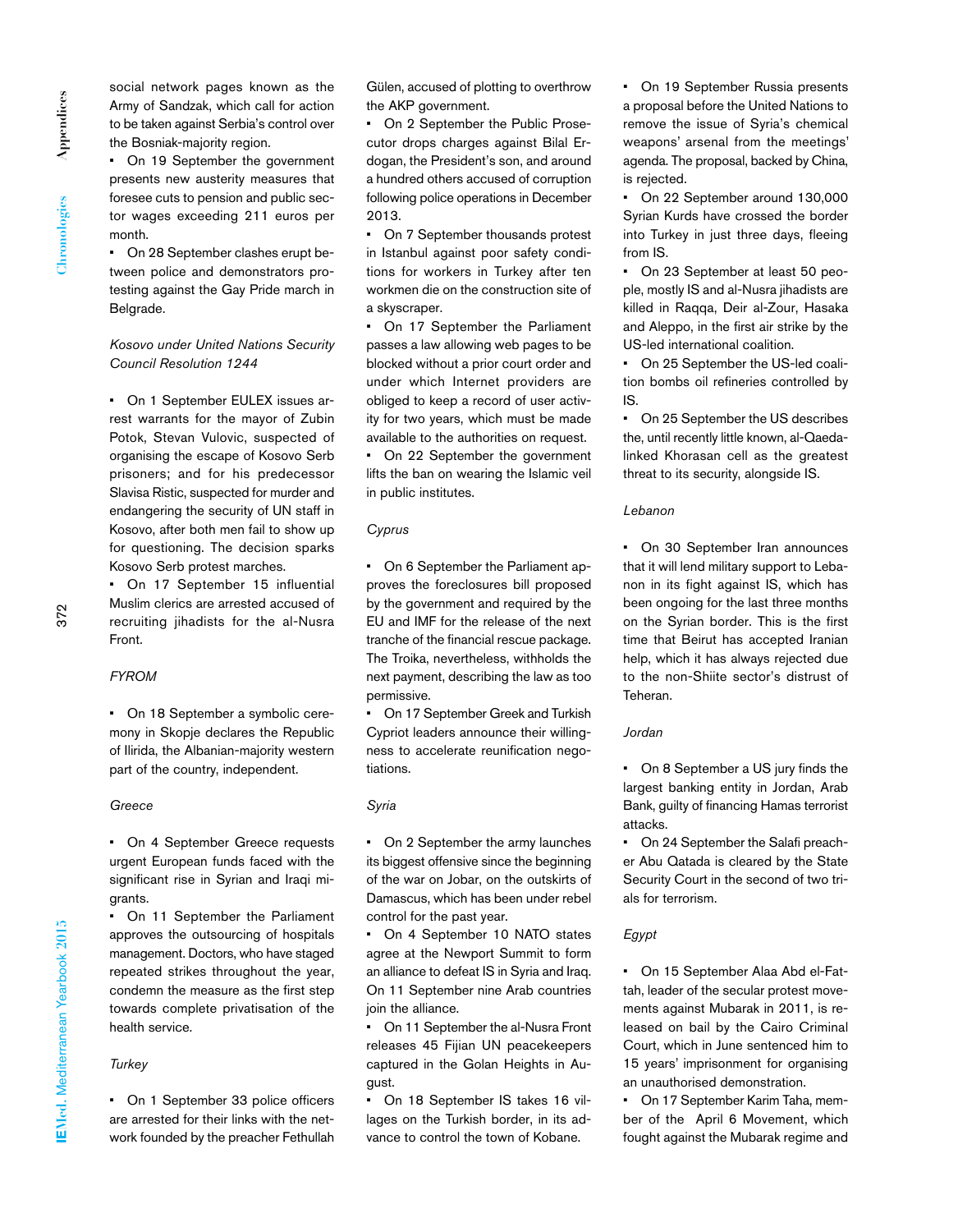social network pages known as the Army of Sandzak, which call for action to be taken against Serbia's control over the Bosniak-majority region.

• On 19 September the government presents new austerity measures that foresee cuts to pension and public sector wages exceeding 211 euros per month.

• On 28 September clashes erupt between police and demonstrators protesting against the Gay Pride march in Belgrade.

# *Kosovo under United Nations Security Council Resolution 1244*

• On 1 September EULEX issues arrest warrants for the mayor of Zubin Potok, Stevan Vulovic, suspected of organising the escape of Kosovo Serb prisoners; and for his predecessor Slavisa Ristic, suspected for murder and endangering the security of UN staff in Kosovo, after both men fail to show up for questioning. The decision sparks Kosovo Serb protest marches.

• On 17 September 15 influential Muslim clerics are arrested accused of recruiting jihadists for the al-Nusra Front.

### *FYROM*

• On 18 September a symbolic ceremony in Skopje declares the Republic of Ilirida, the Albanian-majority western part of the country, independent.

# *Greece*

• On 4 September Greece requests urgent European funds faced with the significant rise in Syrian and Iraqi migrants.

• On 11 September the Parliament approves the outsourcing of hospitals management. Doctors, who have staged repeated strikes throughout the year, condemn the measure as the first step towards complete privatisation of the health service.

### *Turkey*

• On 1 September 33 police officers are arrested for their links with the network founded by the preacher Fethullah Gülen, accused of plotting to overthrow the AKP government.

• On 2 September the Public Prosecutor drops charges against Bilal Erdogan, the President's son, and around a hundred others accused of corruption following police operations in December 2013.

• On 7 September thousands protest in Istanbul against poor safety conditions for workers in Turkey after ten workmen die on the construction site of a skyscraper.

• On 17 September the Parliament passes a law allowing web pages to be blocked without a prior court order and under which Internet providers are obliged to keep a record of user activity for two years, which must be made available to the authorities on request.

• On 22 September the government lifts the ban on wearing the Islamic veil in public institutes.

#### *Cyprus*

• On 6 September the Parliament approves the foreclosures bill proposed by the government and required by the EU and IMF for the release of the next tranche of the financial rescue package. The Troika, nevertheless, withholds the next payment, describing the law as too permissive.

On 17 September Greek and Turkish Cypriot leaders announce their willingness to accelerate reunification negotiations.

# *Syria*

• On 2 September the army launches its biggest offensive since the beginning of the war on Jobar, on the outskirts of Damascus, which has been under rebel control for the past year.

• On 4 September 10 NATO states agree at the Newport Summit to form an alliance to defeat IS in Syria and Iraq. On 11 September nine Arab countries join the alliance.

• On 11 September the al-Nusra Front releases 45 Fijian UN peacekeepers captured in the Golan Heights in August.

• On 18 September IS takes 16 villages on the Turkish border, in its advance to control the town of Kobane.

• On 19 September Russia presents a proposal before the United Nations to remove the issue of Syria's chemical weapons' arsenal from the meetings' agenda. The proposal, backed by China, is rejected.

• On 22 September around 130,000 Syrian Kurds have crossed the border into Turkey in just three days, fleeing from IS.

• On 23 September at least 50 people, mostly IS and al-Nusra jihadists are killed in Raqqa, Deir al-Zour, Hasaka and Aleppo, in the first air strike by the US-led international coalition.

• On 25 September the US-led coalition bombs oil refineries controlled by IS.

• On 25 September the US describes the, until recently little known, al-Qaedalinked Khorasan cell as the greatest threat to its security, alongside IS.

# *Lebanon*

• On 30 September Iran announces that it will lend military support to Lebanon in its fight against IS, which has been ongoing for the last three months on the Syrian border. This is the first time that Beirut has accepted Iranian help, which it has always rejected due to the non-Shiite sector's distrust of Teheran.

# *Jordan*

• On 8 September a US jury finds the largest banking entity in Jordan, Arab Bank, guilty of financing Hamas terrorist attacks.

• On 24 September the Salafi preacher Abu Qatada is cleared by the State Security Court in the second of two trials for terrorism.

### *Egypt*

• On 15 September Alaa Abd el-Fattah, leader of the secular protest movements against Mubarak in 2011, is released on bail by the Cairo Criminal Court, which in June sentenced him to 15 years' imprisonment for organising an unauthorised demonstration.

• On 17 September Karim Taha, member of the April 6 Movement, which fought against the Mubarak regime and

372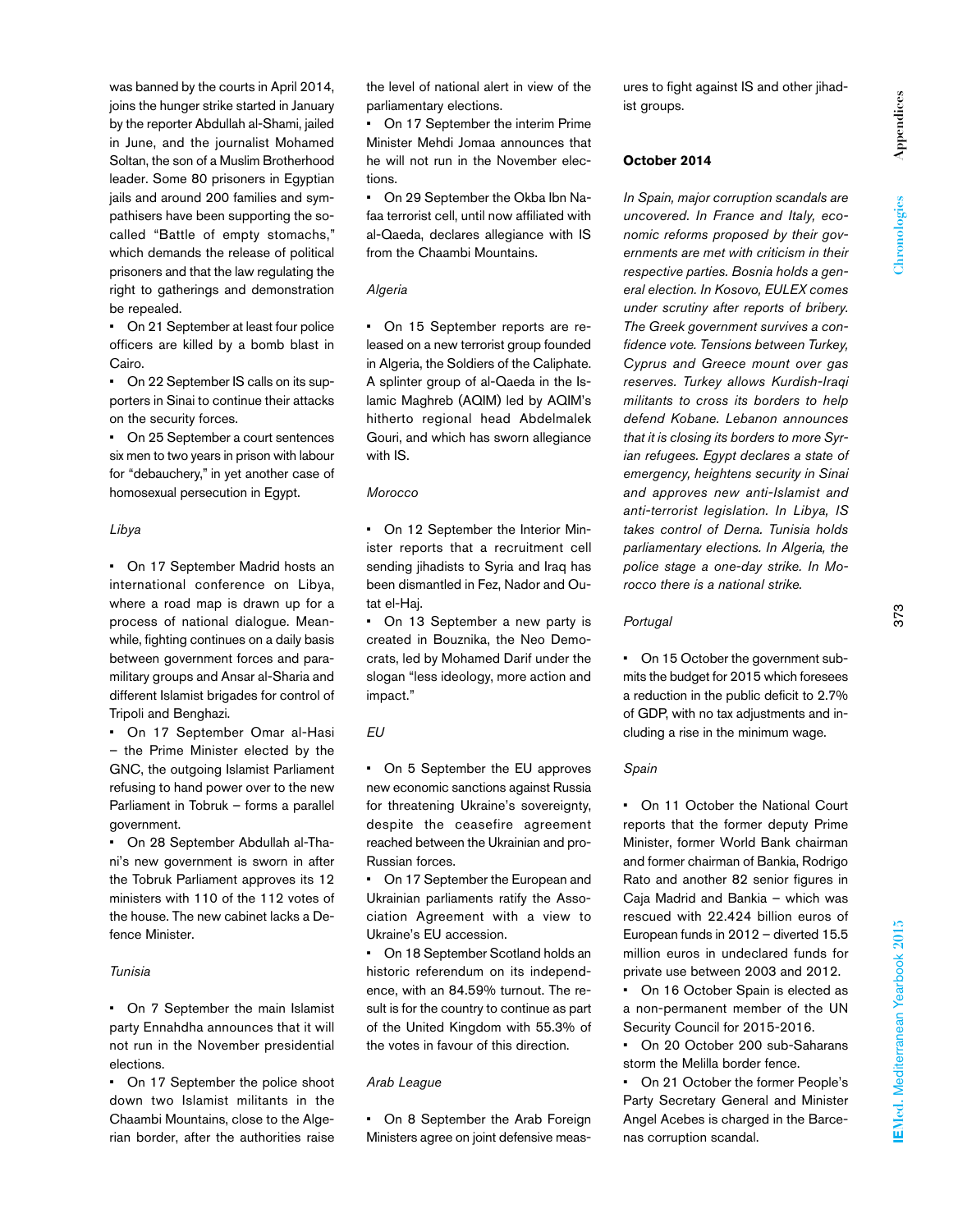was banned by the courts in April 2014, joins the hunger strike started in January by the reporter Abdullah al-Shami, jailed in June, and the journalist Mohamed Soltan, the son of a Muslim Brotherhood leader. Some 80 prisoners in Egyptian jails and around 200 families and sympathisers have been supporting the socalled "Battle of empty stomachs," which demands the release of political prisoners and that the law regulating the right to gatherings and demonstration be repealed.

• On 21 September at least four police officers are killed by a bomb blast in Cairo.

• On 22 September IS calls on its supporters in Sinai to continue their attacks on the security forces.

• On 25 September a court sentences six men to two years in prison with labour for "debauchery," in yet another case of homosexual persecution in Egypt.

### *Libya*

• On 17 September Madrid hosts an international conference on Libya, where a road map is drawn up for a process of national dialogue. Meanwhile, fighting continues on a daily basis between government forces and paramilitary groups and Ansar al-Sharia and different Islamist brigades for control of Tripoli and Benghazi.

• On 17 September Omar al-Hasi – the Prime Minister elected by the GNC, the outgoing Islamist Parliament refusing to hand power over to the new Parliament in Tobruk – forms a parallel government.

• On 28 September Abdullah al-Thani's new government is sworn in after the Tobruk Parliament approves its 12 ministers with 110 of the 112 votes of the house. The new cabinet lacks a Defence Minister.

# *Tunisia*

• On 7 September the main Islamist party Ennahdha announces that it will not run in the November presidential elections.

• On 17 September the police shoot down two Islamist militants in the Chaambi Mountains, close to the Algerian border, after the authorities raise

the level of national alert in view of the parliamentary elections.

• On 17 September the interim Prime Minister Mehdi Jomaa announces that he will not run in the November elections.

• On 29 September the Okba Ibn Nafaa terrorist cell, until now affiliated with al-Qaeda, declares allegiance with IS from the Chaambi Mountains.

# *Algeria*

• On 15 September reports are released on a new terrorist group founded in Algeria, the Soldiers of the Caliphate. A splinter group of al-Qaeda in the Islamic Maghreb (AQIM) led by AQIM's hitherto regional head Abdelmalek Gouri, and which has sworn allegiance with IS.

# *Morocco*

• On 12 September the Interior Minister reports that a recruitment cell sending jihadists to Syria and Iraq has been dismantled in Fez, Nador and Outat el-Haj.

• On 13 September a new party is created in Bouznika, the Neo Democrats, led by Mohamed Darif under the slogan "less ideology, more action and impact."

# *EU*

• On 5 September the EU approves new economic sanctions against Russia for threatening Ukraine's sovereignty, despite the ceasefire agreement reached between the Ukrainian and pro-Russian forces.

• On 17 September the European and Ukrainian parliaments ratify the Association Agreement with a view to Ukraine's EU accession.

• On 18 September Scotland holds an historic referendum on its independence, with an 84.59% turnout. The result is for the country to continue as part of the United Kingdom with 55.3% of the votes in favour of this direction.

# *Arab League*

• On 8 September the Arab Foreign Ministers agree on joint defensive measures to fight against IS and other jihadist groups.

# **October 2014**

*In Spain, major corruption scandals are uncovered. In France and Italy, economic reforms proposed by their governments are met with criticism in their respective parties. Bosnia holds a general election. In Kosovo, EULEX comes under scrutiny after reports of bribery. The Greek government survives a confidence vote. Tensions between Turkey, Cyprus and Greece mount over gas reserves. Turkey allows Kurdish-Iraqi militants to cross its borders to help defend Kobane. Lebanon announces that it is closing its borders to more Syrian refugees. Egypt declares a state of emergency, heightens security in Sinai and approves new anti-Islamist and anti-terrorist legislation. In Libya, IS takes control of Derna. Tunisia holds parliamentary elections. In Algeria, the police stage a one-day strike. In Morocco there is a national strike.*

# *Portugal*

• On 15 October the government submits the budget for 2015 which foresees a reduction in the public deficit to 2.7% of GDP, with no tax adjustments and including a rise in the minimum wage.

# *Spain*

• On 11 October the National Court reports that the former deputy Prime Minister, former World Bank chairman and former chairman of Bankia, Rodrigo Rato and another 82 senior figures in Caja Madrid and Bankia – which was rescued with 22.424 billion euros of European funds in 2012 – diverted 15.5 million euros in undeclared funds for private use between 2003 and 2012.

• On 16 October Spain is elected as a non-permanent member of the UN Security Council for 2015-2016.

• On 20 October 200 sub-Saharans storm the Melilla border fence.

• On 21 October the former People's Party Secretary General and Minister Angel Acebes is charged in the Barcenas corruption scandal.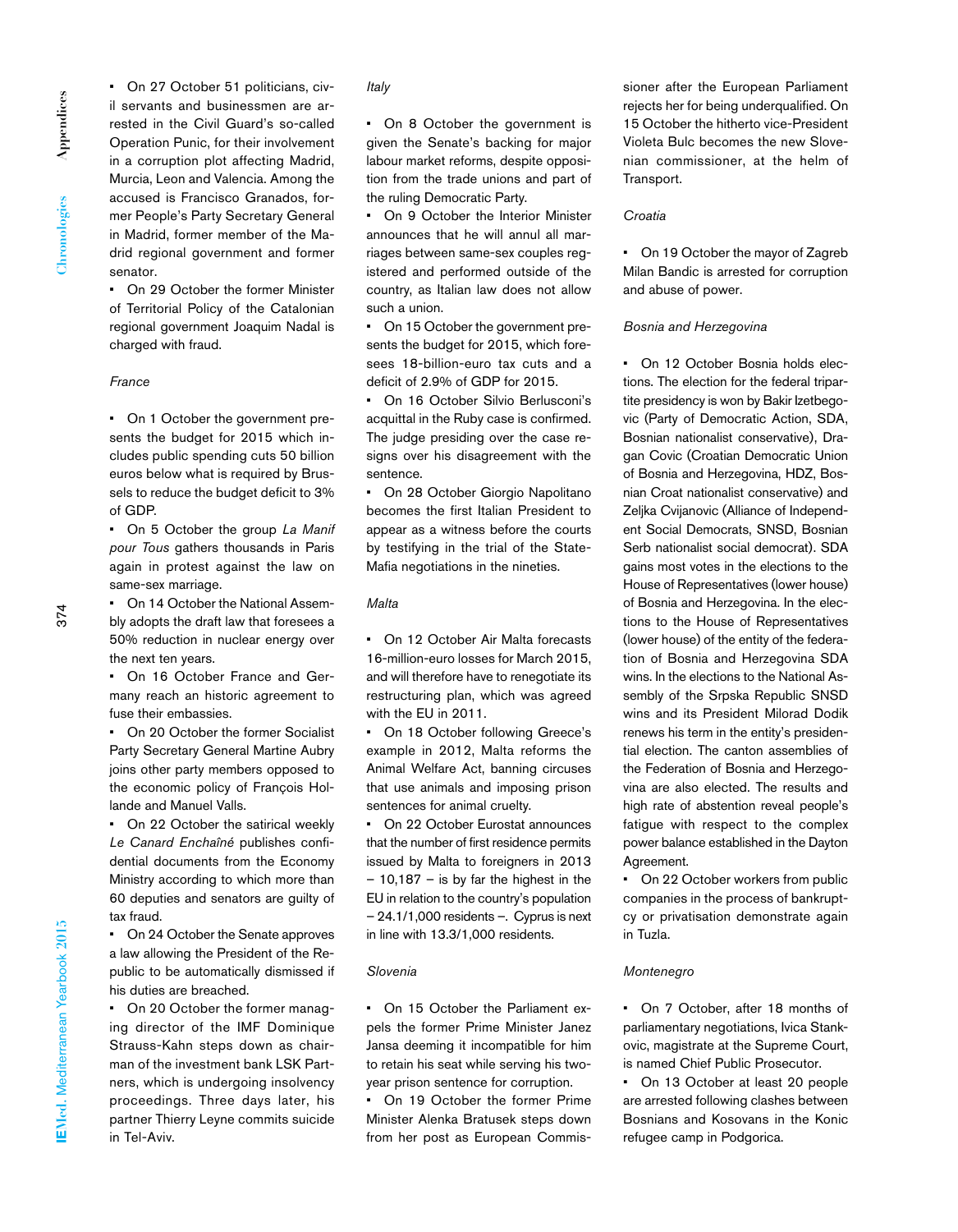Appendices **Appendices** Chronologies **Chronologies** • On 27 October 51 politicians, civil servants and businessmen are arrested in the Civil Guard's so-called Operation Punic, for their involvement in a corruption plot affecting Madrid, Murcia, Leon and Valencia. Among the accused is Francisco Granados, former People's Party Secretary General in Madrid, former member of the Madrid regional government and former senator.

• On 29 October the former Minister of Territorial Policy of the Catalonian regional government Joaquim Nadal is charged with fraud.

#### *France*

• On 1 October the government presents the budget for 2015 which includes public spending cuts 50 billion euros below what is required by Brussels to reduce the budget deficit to 3% of GDP.

• On 5 October the group *La Manif pour Tous* gathers thousands in Paris again in protest against the law on same-sex marriage.

• On 14 October the National Assembly adopts the draft law that foresees a 50% reduction in nuclear energy over the next ten years.

• On 16 October France and Germany reach an historic agreement to fuse their embassies.

• On 20 October the former Socialist Party Secretary General Martine Aubry joins other party members opposed to the economic policy of François Hollande and Manuel Valls.

• On 22 October the satirical weekly *Le Canard Enchaîné* publishes confidential documents from the Economy Ministry according to which more than 60 deputies and senators are guilty of tax fraud.

• On 24 October the Senate approves a law allowing the President of the Republic to be automatically dismissed if his duties are breached.

• On 20 October the former managing director of the IMF Dominique Strauss-Kahn steps down as chairman of the investment bank LSK Partners, which is undergoing insolvency proceedings. Three days later, his partner Thierry Leyne commits suicide in Tel-Aviv.

# *Italy*

• On 8 October the government is given the Senate's backing for major labour market reforms, despite opposition from the trade unions and part of the ruling Democratic Party.

• On 9 October the Interior Minister announces that he will annul all marriages between same-sex couples registered and performed outside of the country, as Italian law does not allow such a union.

• On 15 October the government presents the budget for 2015, which foresees 18-billion-euro tax cuts and a deficit of 2.9% of GDP for 2015.

• On 16 October Silvio Berlusconi's acquittal in the Ruby case is confirmed. The judge presiding over the case resigns over his disagreement with the sentence.

• On 28 October Giorgio Napolitano becomes the first Italian President to appear as a witness before the courts by testifying in the trial of the State-Mafia negotiations in the nineties.

# *Malta*

• On 12 October Air Malta forecasts 16-million-euro losses for March 2015, and will therefore have to renegotiate its restructuring plan, which was agreed with the EU in 2011.

• On 18 October following Greece's example in 2012, Malta reforms the Animal Welfare Act, banning circuses that use animals and imposing prison sentences for animal cruelty.

• On 22 October Eurostat announces that the number of first residence permits issued by Malta to foreigners in 2013  $-10,187 -$  is by far the highest in the EU in relation to the country's population – 24.1/1,000 residents –. Cyprus is next in line with 13.3/1,000 residents.

# *Slovenia*

• On 15 October the Parliament expels the former Prime Minister Janez Jansa deeming it incompatible for him to retain his seat while serving his twoyear prison sentence for corruption.

• On 19 October the former Prime Minister Alenka Bratusek steps down from her post as European Commissioner after the European Parliament rejects her for being underqualified. On 15 October the hitherto vice-President Violeta Bulc becomes the new Slovenian commissioner, at the helm of Transport.

#### *Croatia*

• On 19 October the mayor of Zagreb Milan Bandic is arrested for corruption and abuse of power.

#### *Bosnia and Herzegovina*

• On 12 October Bosnia holds elections. The election for the federal tripartite presidency is won by Bakir Izetbegovic (Party of Democratic Action, SDA, Bosnian nationalist conservative), Dragan Covic (Croatian Democratic Union of Bosnia and Herzegovina, HDZ, Bosnian Croat nationalist conservative) and Zeljka Cvijanovic (Alliance of Independent Social Democrats, SNSD, Bosnian Serb nationalist social democrat). SDA gains most votes in the elections to the House of Representatives (lower house) of Bosnia and Herzegovina. In the elections to the House of Representatives (lower house) of the entity of the federation of Bosnia and Herzegovina SDA wins. In the elections to the National Assembly of the Srpska Republic SNSD wins and its President Milorad Dodik renews his term in the entity's presidential election. The canton assemblies of the Federation of Bosnia and Herzegovina are also elected. The results and high rate of abstention reveal people's fatigue with respect to the complex power balance established in the Dayton Agreement.

• On 22 October workers from public companies in the process of bankruptcy or privatisation demonstrate again in Tuzla.

#### *Montenegro*

• On 7 October, after 18 months of parliamentary negotiations, Ivica Stankovic, magistrate at the Supreme Court, is named Chief Public Prosecutor.

On 13 October at least 20 people are arrested following clashes between Bosnians and Kosovans in the Konic refugee camp in Podgorica.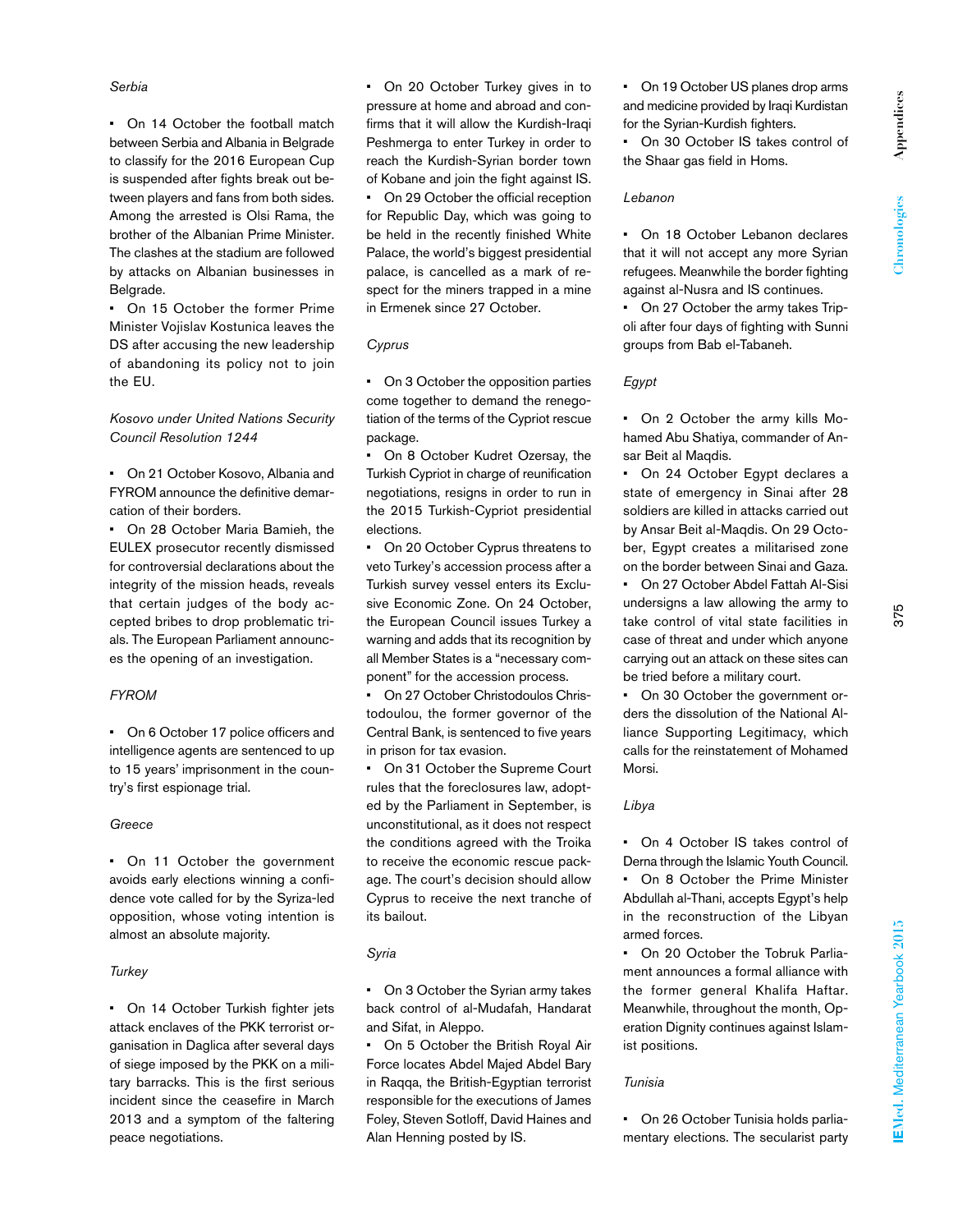# *Serbia*

• On 14 October the football match between Serbia and Albania in Belgrade to classify for the 2016 European Cup is suspended after fights break out between players and fans from both sides. Among the arrested is Olsi Rama, the brother of the Albanian Prime Minister. The clashes at the stadium are followed by attacks on Albanian businesses in Belgrade.

• On 15 October the former Prime Minister Vojislav Kostunica leaves the DS after accusing the new leadership of abandoning its policy not to join the EU.

# *Kosovo under United Nations Security Council Resolution 1244*

• On 21 October Kosovo, Albania and FYROM announce the definitive demarcation of their borders.

• On 28 October Maria Bamieh, the EULEX prosecutor recently dismissed for controversial declarations about the integrity of the mission heads, reveals that certain judges of the body accepted bribes to drop problematic trials. The European Parliament announces the opening of an investigation.

# *FYROM*

• On 6 October 17 police officers and intelligence agents are sentenced to up to 15 years' imprisonment in the country's first espionage trial.

# *Greece*

• On 11 October the government avoids early elections winning a confidence vote called for by the Syriza-led opposition, whose voting intention is almost an absolute majority.

# *Turkey*

• On 14 October Turkish fighter jets attack enclaves of the PKK terrorist organisation in Daglica after several days of siege imposed by the PKK on a military barracks. This is the first serious incident since the ceasefire in March 2013 and a symptom of the faltering peace negotiations.

• On 20 October Turkey gives in to pressure at home and abroad and confirms that it will allow the Kurdish-Iraqi Peshmerga to enter Turkey in order to reach the Kurdish-Syrian border town of Kobane and join the fight against IS. • On 29 October the official reception

for Republic Day, which was going to be held in the recently finished White Palace, the world's biggest presidential palace, is cancelled as a mark of respect for the miners trapped in a mine in Ermenek since 27 October.

# *Cyprus*

• On 3 October the opposition parties come together to demand the renegotiation of the terms of the Cypriot rescue package.

• On 8 October Kudret Ozersay, the Turkish Cypriot in charge of reunification negotiations, resigns in order to run in the 2015 Turkish-Cypriot presidential elections.

• On 20 October Cyprus threatens to veto Turkey's accession process after a Turkish survey vessel enters its Exclusive Economic Zone. On 24 October, the European Council issues Turkey a warning and adds that its recognition by all Member States is a "necessary component" for the accession process.

• On 27 October Christodoulos Christodoulou, the former governor of the Central Bank, is sentenced to five years in prison for tax evasion.

• On 31 October the Supreme Court rules that the foreclosures law, adopted by the Parliament in September, is unconstitutional, as it does not respect the conditions agreed with the Troika to receive the economic rescue package. The court's decision should allow Cyprus to receive the next tranche of its bailout.

# *Syria*

• On 3 October the Syrian army takes back control of al-Mudafah, Handarat and Sifat, in Aleppo.

• On 5 October the British Royal Air Force locates Abdel Majed Abdel Bary in Raqqa, the British-Egyptian terrorist responsible for the executions of James Foley, Steven Sotloff, David Haines and Alan Henning posted by IS.

• On 19 October US planes drop arms and medicine provided by Iraqi Kurdistan for the Syrian-Kurdish fighters.

• On 30 October IS takes control of the Shaar gas field in Homs.

# *Lebanon*

• On 18 October Lebanon declares that it will not accept any more Syrian refugees. Meanwhile the border fighting against al-Nusra and IS continues.

• On 27 October the army takes Tripoli after four days of fighting with Sunni groups from Bab el-Tabaneh.

# *Egypt*

• On 2 October the army kills Mohamed Abu Shatiya, commander of Ansar Beit al Maqdis.

• On 24 October Egypt declares a state of emergency in Sinai after 28 soldiers are killed in attacks carried out by Ansar Beit al-Maqdis. On 29 October, Egypt creates a militarised zone on the border between Sinai and Gaza. • On 27 October Abdel Fattah Al-Sisi

undersigns a law allowing the army to take control of vital state facilities in case of threat and under which anyone carrying out an attack on these sites can be tried before a military court.

• On 30 October the government orders the dissolution of the National Alliance Supporting Legitimacy, which calls for the reinstatement of Mohamed Morsi.

# *Libya*

• On 4 October IS takes control of Derna through the Islamic Youth Council. On 8 October the Prime Minister Abdullah al-Thani, accepts Egypt's help in the reconstruction of the Libyan armed forces.

On 20 October the Tobruk Parliament announces a formal alliance with the former general Khalifa Haftar. Meanwhile, throughout the month, Operation Dignity continues against Islamist positions.

# *Tunisia*

• On 26 October Tunisia holds parliamentary elections. The secularist party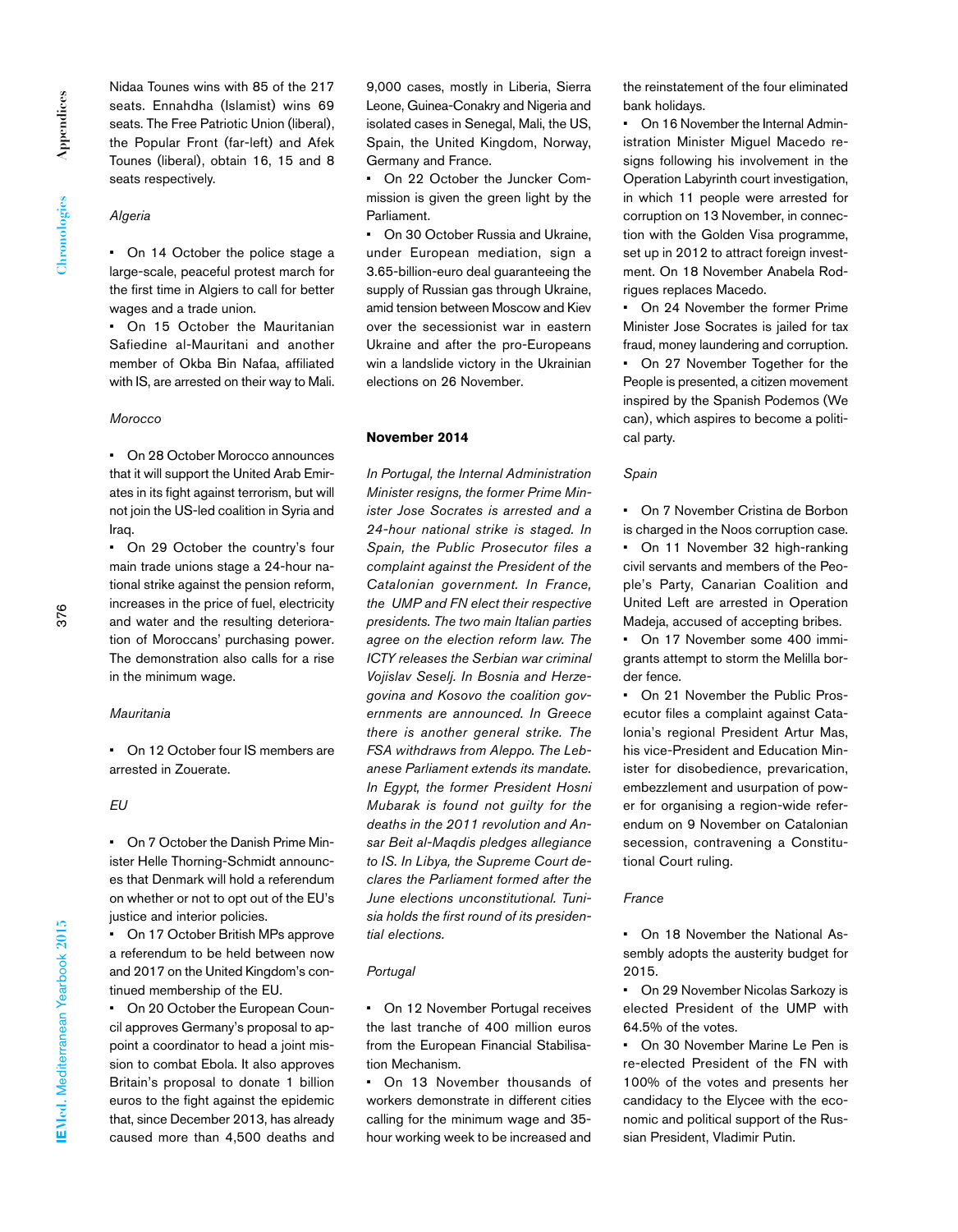Nidaa Tounes wins with 85 of the 217 seats. Ennahdha (Islamist) wins 69 seats. The Free Patriotic Union (liberal), the Popular Front (far-left) and Afek Tounes (liberal), obtain 16, 15 and 8 seats respectively.

#### *Algeria*

• On 14 October the police stage a large-scale, peaceful protest march for the first time in Algiers to call for better wages and a trade union.

• On 15 October the Mauritanian Safiedine al-Mauritani and another member of Okba Bin Nafaa, affiliated with IS, are arrested on their way to Mali.

#### *Morocco*

• On 28 October Morocco announces that it will support the United Arab Emirates in its fight against terrorism, but will not join the US-led coalition in Syria and Iraq.

• On 29 October the country's four main trade unions stage a 24-hour national strike against the pension reform, increases in the price of fuel, electricity and water and the resulting deterioration of Moroccans' purchasing power. The demonstration also calls for a rise in the minimum wage.

#### *Mauritania*

• On 12 October four IS members are arrested in Zouerate.

# *EU*

• On 7 October the Danish Prime Minister Helle Thorning-Schmidt announces that Denmark will hold a referendum on whether or not to opt out of the EU's justice and interior policies.

• On 17 October British MPs approve a referendum to be held between now and 2017 on the United Kingdom's continued membership of the EU.

• On 20 October the European Council approves Germany's proposal to appoint a coordinator to head a joint mission to combat Ebola. It also approves Britain's proposal to donate 1 billion euros to the fight against the epidemic that, since December 2013, has already caused more than 4,500 deaths and

9,000 cases, mostly in Liberia, Sierra Leone, Guinea-Conakry and Nigeria and isolated cases in Senegal, Mali, the US, Spain, the United Kingdom, Norway, Germany and France.

• On 22 October the Juncker Commission is given the green light by the Parliament.

• On 30 October Russia and Ukraine, under European mediation, sign a 3.65-billion-euro deal guaranteeing the supply of Russian gas through Ukraine, amid tension between Moscow and Kiev over the secessionist war in eastern Ukraine and after the pro-Europeans win a landslide victory in the Ukrainian elections on 26 November.

# **November 2014**

*In Portugal, the Internal Administration Minister resigns, the former Prime Minister Jose Socrates is arrested and a 24-hour national strike is staged. In Spain, the Public Prosecutor files a complaint against the President of the Catalonian government. In France, the UMP and FN elect their respective presidents. The two main Italian parties agree on the election reform law. The ICTY releases the Serbian war criminal Vojislav Seselj. In Bosnia and Herzegovina and Kosovo the coalition governments are announced. In Greece there is another general strike. The FSA withdraws from Aleppo. The Lebanese Parliament extends its mandate. In Egypt, the former President Hosni Mubarak is found not guilty for the deaths in the 2011 revolution and Ansar Beit al-Maqdis pledges allegiance to IS. In Libya, the Supreme Court declares the Parliament formed after the June elections unconstitutional. Tunisia holds the first round of its presidential elections.*

### *Portugal*

• On 12 November Portugal receives the last tranche of 400 million euros from the European Financial Stabilisation Mechanism.

• On 13 November thousands of workers demonstrate in different cities calling for the minimum wage and 35 hour working week to be increased and the reinstatement of the four eliminated bank holidays.

• On 16 November the Internal Administration Minister Miguel Macedo resigns following his involvement in the Operation Labyrinth court investigation, in which 11 people were arrested for corruption on 13 November, in connection with the Golden Visa programme, set up in 2012 to attract foreign investment. On 18 November Anabela Rodrigues replaces Macedo.

• On 24 November the former Prime Minister Jose Socrates is jailed for tax fraud, money laundering and corruption. • On 27 November Together for the People is presented, a citizen movement inspired by the Spanish Podemos (We can), which aspires to become a political party.

#### *Spain*

• On 7 November Cristina de Borbon is charged in the Noos corruption case. • On 11 November 32 high-ranking civil servants and members of the People's Party, Canarian Coalition and United Left are arrested in Operation

Madeja, accused of accepting bribes. On 17 November some 400 immigrants attempt to storm the Melilla bor-

der fence. • On 21 November the Public Prosecutor files a complaint against Catalonia's regional President Artur Mas, his vice-President and Education Minister for disobedience, prevarication, embezzlement and usurpation of power for organising a region-wide referendum on 9 November on Catalonian secession, contravening a Constitutional Court ruling.

#### *France*

• On 18 November the National Assembly adopts the austerity budget for 2015.

• On 29 November Nicolas Sarkozy is elected President of the UMP with 64.5% of the votes.

• On 30 November Marine Le Pen is re-elected President of the FN with 100% of the votes and presents her candidacy to the Elycee with the economic and political support of the Russian President, Vladimir Putin.

376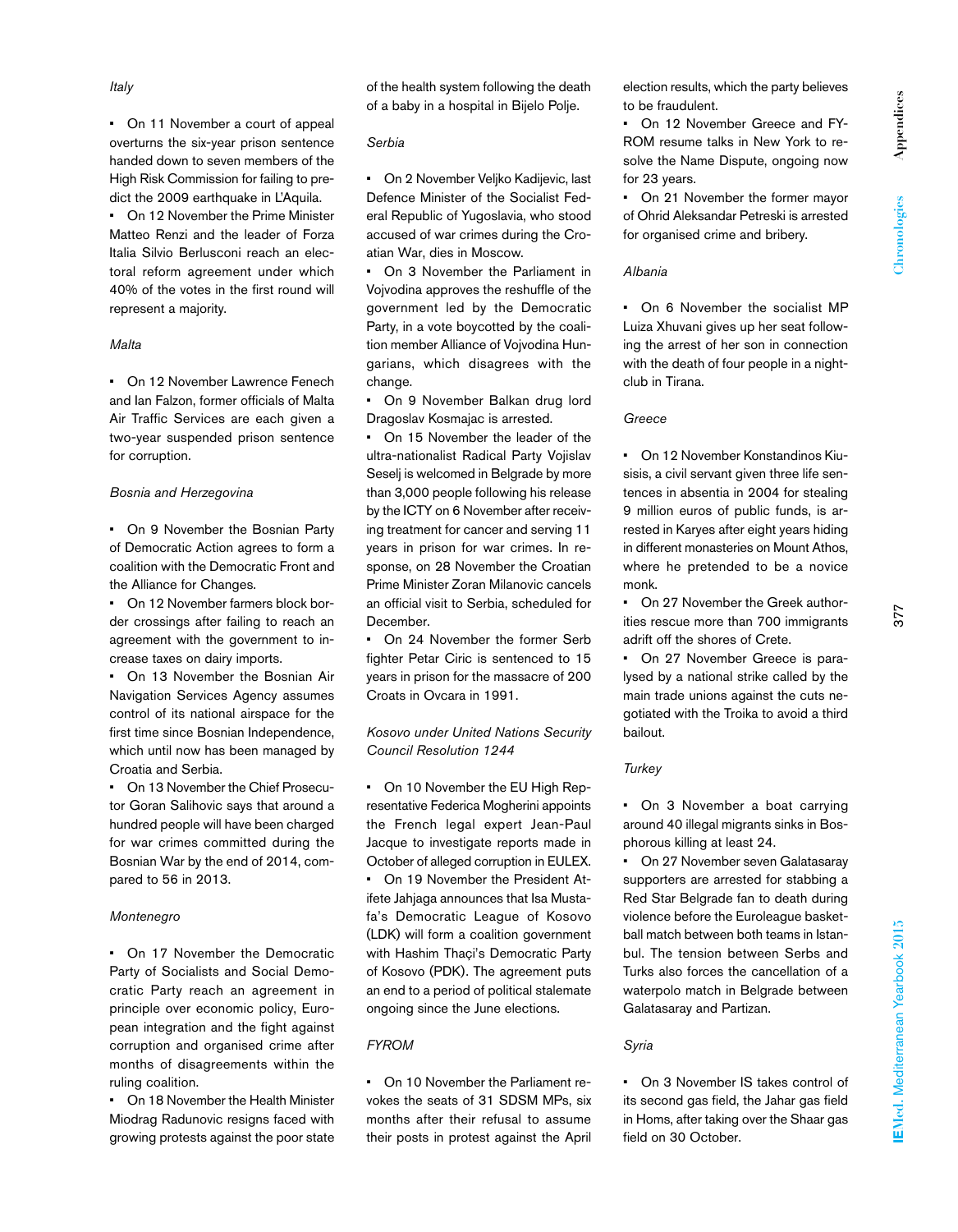for 23 years. • On 21 November the former mayor of Ohrid Aleksandar Petreski is arrested for organised crime and bribery.

# *Albania*

to be fraudulent.

• On 6 November the socialist MP Luiza Xhuvani gives up her seat following the arrest of her son in connection with the death of four people in a nightclub in Tirana.

# *Greece*

• On 12 November Konstandinos Kiusisis, a civil servant given three life sentences in absentia in 2004 for stealing 9 million euros of public funds, is arrested in Karyes after eight years hiding in different monasteries on Mount Athos, where he pretended to be a novice monk.

• On 27 November the Greek authorities rescue more than 700 immigrants adrift off the shores of Crete.

• On 27 November Greece is paralysed by a national strike called by the main trade unions against the cuts negotiated with the Troika to avoid a third bailout.

# *Turkey*

• On 3 November a boat carrying around 40 illegal migrants sinks in Bosphorous killing at least 24.

• On 27 November seven Galatasaray supporters are arrested for stabbing a Red Star Belgrade fan to death during violence before the Euroleague basketball match between both teams in Istanbul. The tension between Serbs and Turks also forces the cancellation of a waterpolo match in Belgrade between Galatasaray and Partizan.

# *Syria*

• On 3 November IS takes control of its second gas field, the Jahar gas field in Homs, after taking over the Shaar gas field on 30 October.

• On 11 November a court of appeal overturns the six-year prison sentence handed down to seven members of the High Risk Commission for failing to predict the 2009 earthquake in L'Aquila. • On 12 November the Prime Minister Matteo Renzi and the leader of Forza

Italia Silvio Berlusconi reach an electoral reform agreement under which 40% of the votes in the first round will represent a majority.

# *Malta*

• On 12 November Lawrence Fenech and Ian Falzon, former officials of Malta Air Traffic Services are each given a two-year suspended prison sentence for corruption.

# *Bosnia and Herzegovina*

• On 9 November the Bosnian Party of Democratic Action agrees to form a coalition with the Democratic Front and the Alliance for Changes.

• On 12 November farmers block border crossings after failing to reach an agreement with the government to increase taxes on dairy imports.

• On 13 November the Bosnian Air Navigation Services Agency assumes control of its national airspace for the first time since Bosnian Independence, which until now has been managed by Croatia and Serbia.

• On 13 November the Chief Prosecutor Goran Salihovic says that around a hundred people will have been charged for war crimes committed during the Bosnian War by the end of 2014, compared to 56 in 2013.

# *Montenegro*

• On 17 November the Democratic Party of Socialists and Social Democratic Party reach an agreement in principle over economic policy, European integration and the fight against corruption and organised crime after months of disagreements within the ruling coalition.

• On 18 November the Health Minister Miodrag Radunovic resigns faced with growing protests against the poor state

of the health system following the death of a baby in a hospital in Bijelo Polje.

# *Serbia*

• On 2 November Veljko Kadijevic, last Defence Minister of the Socialist Federal Republic of Yugoslavia, who stood accused of war crimes during the Croatian War, dies in Moscow.

• On 3 November the Parliament in Vojvodina approves the reshuffle of the government led by the Democratic Party, in a vote boycotted by the coalition member Alliance of Vojvodina Hungarians, which disagrees with the change.

• On 9 November Balkan drug lord Dragoslav Kosmajac is arrested.

• On 15 November the leader of the ultra-nationalist Radical Party Vojislav Seselj is welcomed in Belgrade by more than 3,000 people following his release by the ICTY on 6 November after receiving treatment for cancer and serving 11 years in prison for war crimes. In response, on 28 November the Croatian Prime Minister Zoran Milanovic cancels an official visit to Serbia, scheduled for December.

• On 24 November the former Serb fighter Petar Ciric is sentenced to 15 years in prison for the massacre of 200 Croats in Ovcara in 1991.

# *Kosovo under United Nations Security Council Resolution 1244*

• On 10 November the EU High Representative Federica Mogherini appoints the French legal expert Jean-Paul Jacque to investigate reports made in October of alleged corruption in EULEX. • On 19 November the President Atifete Jahjaga announces that Isa Mustafa's Democratic League of Kosovo (LDK) will form a coalition government with Hashim Thaçi's Democratic Party of Kosovo (PDK). The agreement puts an end to a period of political stalemate ongoing since the June elections.

# *FYROM*

• On 10 November the Parliament revokes the seats of 31 SDSM MPs, six months after their refusal to assume their posts in protest against the April EMed. Mediterranean Yearbook 2015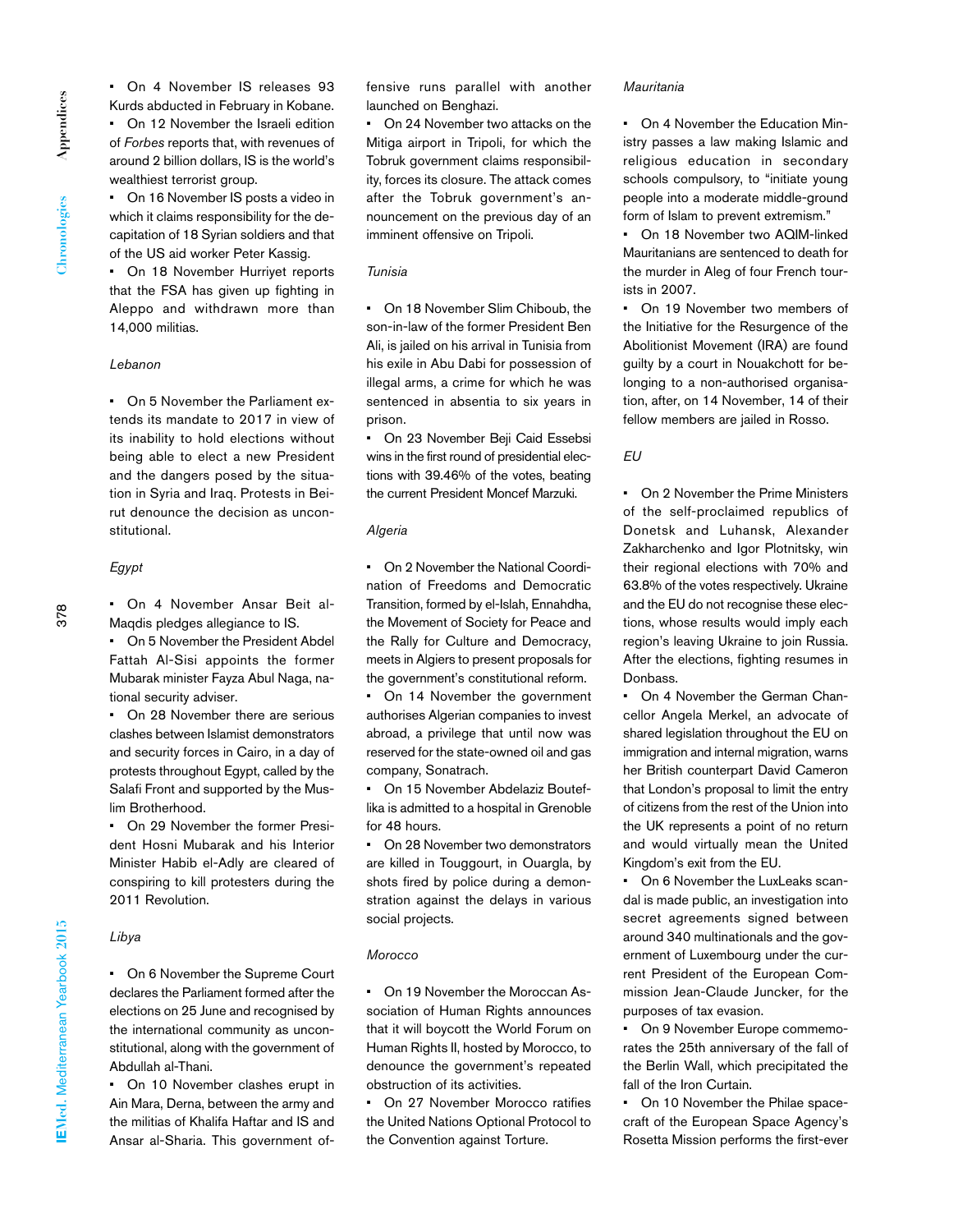• On 4 November IS releases 93 Kurds abducted in February in Kobane. • On 12 November the Israeli edition of *Forbes* reports that, with revenues of around 2 billion dollars, IS is the world's wealthiest terrorist group.

• On 16 November IS posts a video in which it claims responsibility for the decapitation of 18 Syrian soldiers and that of the US aid worker Peter Kassig.

• On 18 November Hurriyet reports that the FSA has given up fighting in Aleppo and withdrawn more than 14,000 militias.

#### *Lebanon*

• On 5 November the Parliament extends its mandate to 2017 in view of its inability to hold elections without being able to elect a new President and the dangers posed by the situation in Syria and Iraq. Protests in Beirut denounce the decision as unconstitutional.

# *Egypt*

378

• On 4 November Ansar Beit al-Maqdis pledges allegiance to IS.

On 5 November the President Abdel Fattah Al-Sisi appoints the former Mubarak minister Fayza Abul Naga, national security adviser.

• On 28 November there are serious clashes between Islamist demonstrators and security forces in Cairo, in a day of protests throughout Egypt, called by the Salafi Front and supported by the Muslim Brotherhood.

• On 29 November the former President Hosni Mubarak and his Interior Minister Habib el-Adly are cleared of conspiring to kill protesters during the 2011 Revolution.

# *Libya*

• On 6 November the Supreme Court declares the Parliament formed after the elections on 25 June and recognised by the international community as unconstitutional, along with the government of Abdullah al-Thani.

• On 10 November clashes erupt in Ain Mara, Derna, between the army and the militias of Khalifa Haftar and IS and Ansar al-Sharia. This government offensive runs parallel with another launched on Benghazi.

• On 24 November two attacks on the Mitiga airport in Tripoli, for which the Tobruk government claims responsibility, forces its closure. The attack comes after the Tobruk government's announcement on the previous day of an imminent offensive on Tripoli.

# *Tunisia*

• On 18 November Slim Chiboub, the son-in-law of the former President Ben Ali, is jailed on his arrival in Tunisia from his exile in Abu Dabi for possession of illegal arms, a crime for which he was sentenced in absentia to six years in prison.

• On 23 November Beji Caid Essebsi wins in the first round of presidential elections with 39.46% of the votes, beating the current President Moncef Marzuki.

#### *Algeria*

• On 2 November the National Coordination of Freedoms and Democratic Transition, formed by el-Islah, Ennahdha, the Movement of Society for Peace and the Rally for Culture and Democracy, meets in Algiers to present proposals for the government's constitutional reform.

• On 14 November the government authorises Algerian companies to invest abroad, a privilege that until now was reserved for the state-owned oil and gas company, Sonatrach.

On 15 November Abdelaziz Bouteflika is admitted to a hospital in Grenoble for 48 hours.

• On 28 November two demonstrators are killed in Touggourt, in Ouargla, by shots fired by police during a demonstration against the delays in various social projects.

#### *Morocco*

• On 19 November the Moroccan Association of Human Rights announces that it will boycott the World Forum on Human Rights II, hosted by Morocco, to denounce the government's repeated obstruction of its activities.

• On 27 November Morocco ratifies the United Nations Optional Protocol to the Convention against Torture.

#### *Mauritania*

• On 4 November the Education Ministry passes a law making Islamic and religious education in secondary schools compulsory, to "initiate young people into a moderate middle-ground form of Islam to prevent extremism."

• On 18 November two AQIM-linked Mauritanians are sentenced to death for the murder in Aleg of four French tourists in 2007.

• On 19 November two members of the Initiative for the Resurgence of the Abolitionist Movement (IRA) are found guilty by a court in Nouakchott for belonging to a non-authorised organisation, after, on 14 November, 14 of their fellow members are jailed in Rosso.

# *EU*

• On 2 November the Prime Ministers of the self-proclaimed republics of Donetsk and Luhansk, Alexander Zakharchenko and Igor Plotnitsky, win their regional elections with 70% and 63.8% of the votes respectively. Ukraine and the EU do not recognise these elections, whose results would imply each region's leaving Ukraine to join Russia. After the elections, fighting resumes in **Donbass** 

• On 4 November the German Chancellor Angela Merkel, an advocate of shared legislation throughout the EU on immigration and internal migration, warns her British counterpart David Cameron that London's proposal to limit the entry of citizens from the rest of the Union into the UK represents a point of no return and would virtually mean the United Kingdom's exit from the EU.

• On 6 November the LuxLeaks scandal is made public, an investigation into secret agreements signed between around 340 multinationals and the government of Luxembourg under the current President of the European Commission Jean-Claude Juncker, for the purposes of tax evasion.

• On 9 November Europe commemorates the 25th anniversary of the fall of the Berlin Wall, which precipitated the fall of the Iron Curtain.

• On 10 November the Philae spacecraft of the European Space Agency's Rosetta Mission performs the first-ever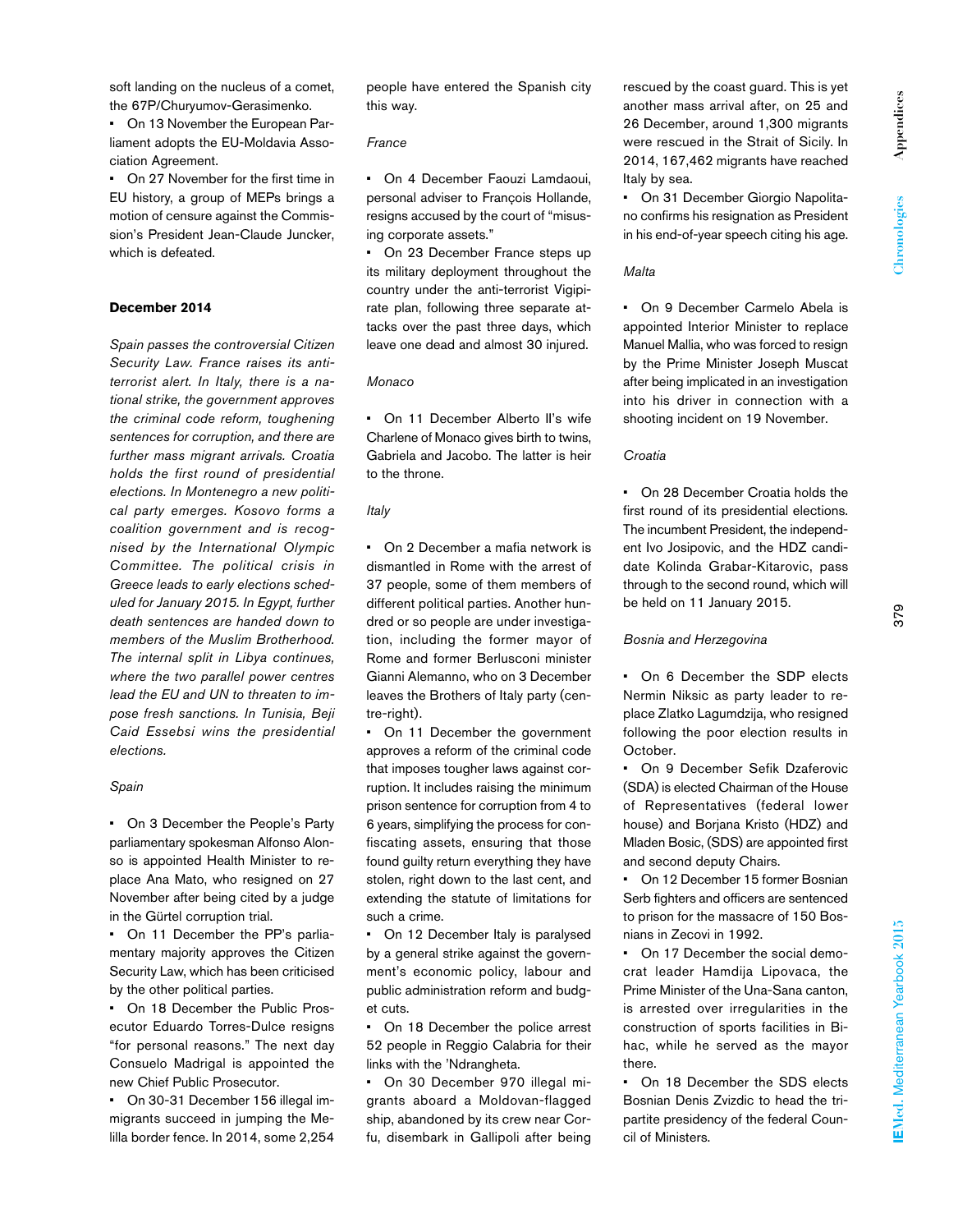soft landing on the nucleus of a comet, the 67P/Churyumov-Gerasimenko.

• On 13 November the European Parliament adopts the EU-Moldavia Association Agreement.

• On 27 November for the first time in EU history, a group of MEPs brings a motion of censure against the Commission's President Jean-Claude Juncker, which is defeated.

# **December 2014**

*Spain passes the controversial Citizen Security Law. France raises its antiterrorist alert. In Italy, there is a national strike, the government approves the criminal code reform, toughening sentences for corruption, and there are further mass migrant arrivals. Croatia holds the first round of presidential elections. In Montenegro a new political party emerges. Kosovo forms a coalition government and is recognised by the International Olympic Committee. The political crisis in Greece leads to early elections scheduled for January 2015. In Egypt, further death sentences are handed down to members of the Muslim Brotherhood. The internal split in Libya continues, where the two parallel power centres lead the EU and UN to threaten to impose fresh sanctions. In Tunisia, Beji Caid Essebsi wins the presidential elections.*

#### *Spain*

• On 3 December the People's Party parliamentary spokesman Alfonso Alonso is appointed Health Minister to replace Ana Mato, who resigned on 27 November after being cited by a judge in the Gürtel corruption trial.

• On 11 December the PP's parliamentary majority approves the Citizen Security Law, which has been criticised by the other political parties.

• On 18 December the Public Prosecutor Eduardo Torres-Dulce resigns "for personal reasons." The next day Consuelo Madrigal is appointed the new Chief Public Prosecutor.

• On 30-31 December 156 illegal immigrants succeed in jumping the Melilla border fence. In 2014, some 2,254 people have entered the Spanish city this way.

#### *France*

• On 4 December Faouzi Lamdaoui, personal adviser to François Hollande, resigns accused by the court of "misusing corporate assets."

• On 23 December France steps up its military deployment throughout the country under the anti-terrorist Vigipirate plan, following three separate attacks over the past three days, which leave one dead and almost 30 injured.

### *Monaco*

• On 11 December Alberto II's wife Charlene of Monaco gives birth to twins, Gabriela and Jacobo. The latter is heir to the throne.

# *Italy*

• On 2 December a mafia network is dismantled in Rome with the arrest of 37 people, some of them members of different political parties. Another hundred or so people are under investigation, including the former mayor of Rome and former Berlusconi minister Gianni Alemanno, who on 3 December leaves the Brothers of Italy party (centre-right).

• On 11 December the government approves a reform of the criminal code that imposes tougher laws against corruption. It includes raising the minimum prison sentence for corruption from 4 to 6 years, simplifying the process for confiscating assets, ensuring that those found guilty return everything they have stolen, right down to the last cent, and extending the statute of limitations for such a crime.

• On 12 December Italy is paralysed by a general strike against the government's economic policy, labour and public administration reform and budget cuts.

• On 18 December the police arrest 52 people in Reggio Calabria for their links with the 'Ndrangheta.

• On 30 December 970 illegal migrants aboard a Moldovan-flagged ship, abandoned by its crew near Corfu, disembark in Gallipoli after being rescued by the coast guard. This is yet another mass arrival after, on 25 and 26 December, around 1,300 migrants were rescued in the Strait of Sicily. In 2014, 167,462 migrants have reached Italy by sea.

• On 31 December Giorgio Napolitano confirms his resignation as President in his end-of-year speech citing his age.

### *Malta*

• On 9 December Carmelo Abela is appointed Interior Minister to replace Manuel Mallia, who was forced to resign by the Prime Minister Joseph Muscat after being implicated in an investigation into his driver in connection with a shooting incident on 19 November.

# *Croatia*

• On 28 December Croatia holds the first round of its presidential elections. The incumbent President, the independent Ivo Josipovic, and the HDZ candidate Kolinda Grabar-Kitarovic, pass through to the second round, which will be held on 11 January 2015.

# *Bosnia and Herzegovina*

• On 6 December the SDP elects Nermin Niksic as party leader to replace Zlatko Lagumdzija, who resigned following the poor election results in October.

• On 9 December Sefik Dzaferovic (SDA) is elected Chairman of the House of Representatives (federal lower house) and Borjana Kristo (HDZ) and Mladen Bosic, (SDS) are appointed first and second deputy Chairs.

• On 12 December 15 former Bosnian Serb fighters and officers are sentenced to prison for the massacre of 150 Bosnians in Zecovi in 1992.

On 17 December the social democrat leader Hamdija Lipovaca, the Prime Minister of the Una-Sana canton, is arrested over irregularities in the construction of sports facilities in Bihac, while he served as the mayor there.

• On 18 December the SDS elects Bosnian Denis Zvizdic to head the tripartite presidency of the federal Council of Ministers.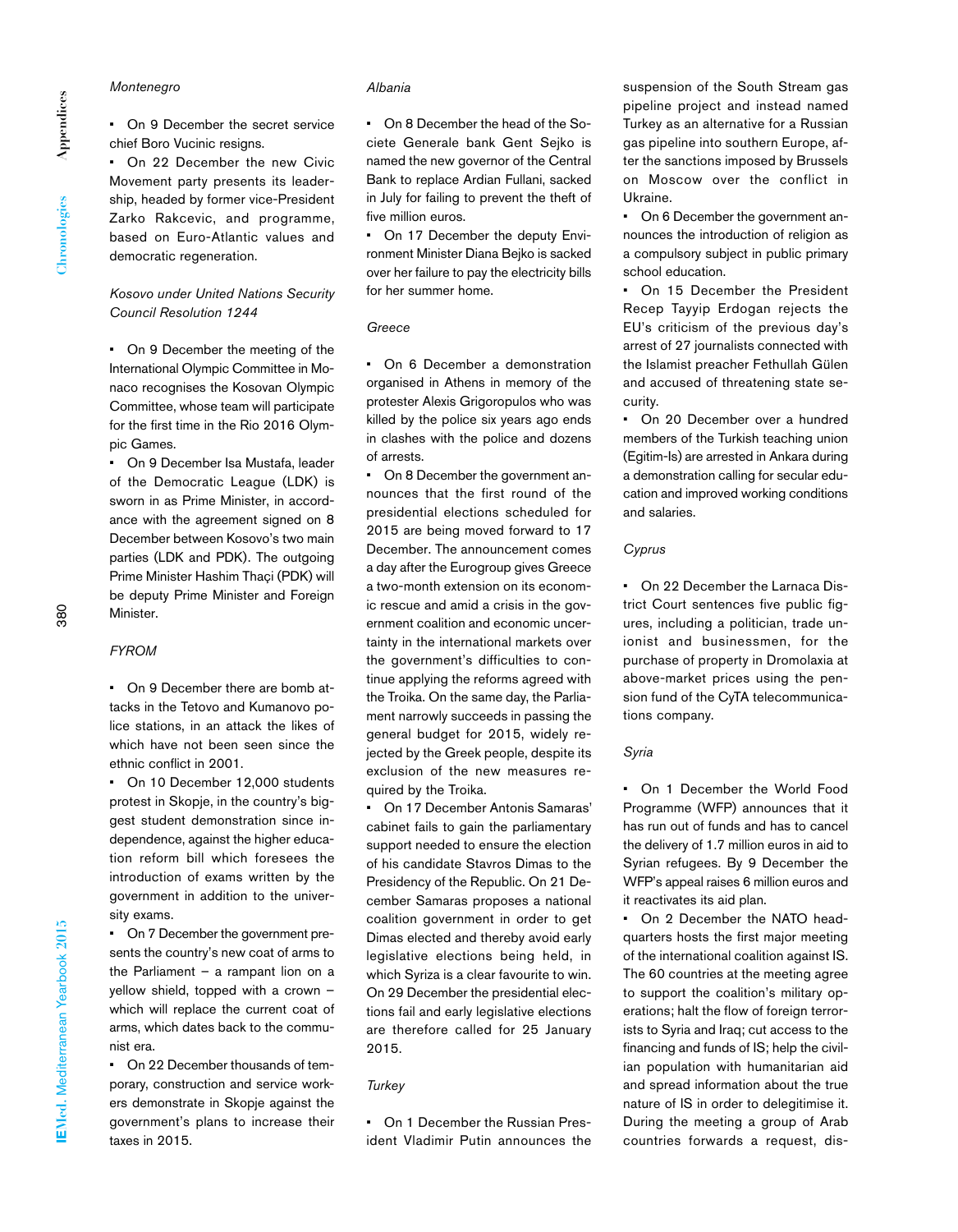*Montenegro*

*Albania*

• On 9 December the secret service chief Boro Vucinic resigns.

• On 22 December the new Civic Movement party presents its leadership, headed by former vice-President Zarko Rakcevic, and programme, based on Euro-Atlantic values and democratic regeneration.

# *Kosovo under United Nations Security Council Resolution 1244*

• On 9 December the meeting of the International Olympic Committee in Monaco recognises the Kosovan Olympic Committee, whose team will participate for the first time in the Rio 2016 Olympic Games.

• On 9 December Isa Mustafa, leader of the Democratic League (LDK) is sworn in as Prime Minister, in accordance with the agreement signed on 8 December between Kosovo's two main parties (LDK and PDK). The outgoing Prime Minister Hashim Thaçi (PDK) will be deputy Prime Minister and Foreign Minister.

# *FYROM*

• On 9 December there are bomb attacks in the Tetovo and Kumanovo police stations, in an attack the likes of which have not been seen since the ethnic conflict in 2001.

• On 10 December 12,000 students protest in Skopje, in the country's biggest student demonstration since independence, against the higher education reform bill which foresees the introduction of exams written by the government in addition to the university exams.

• On 7 December the government presents the country's new coat of arms to the Parliament – a rampant lion on a yellow shield, topped with a crown – which will replace the current coat of arms, which dates back to the communist era.

• On 22 December thousands of temporary, construction and service workers demonstrate in Skopje against the government's plans to increase their taxes in 2015.

• On 8 December the head of the Societe Generale bank Gent Sejko is named the new governor of the Central Bank to replace Ardian Fullani, sacked in July for failing to prevent the theft of five million euros.

• On 17 December the deputy Environment Minister Diana Bejko is sacked over her failure to pay the electricity bills for her summer home.

#### *Greece*

• On 6 December a demonstration organised in Athens in memory of the protester Alexis Grigoropulos who was killed by the police six years ago ends in clashes with the police and dozens of arrests.

• On 8 December the government announces that the first round of the presidential elections scheduled for 2015 are being moved forward to 17 December. The announcement comes a day after the Eurogroup gives Greece a two-month extension on its economic rescue and amid a crisis in the government coalition and economic uncertainty in the international markets over the government's difficulties to continue applying the reforms agreed with the Troika. On the same day, the Parliament narrowly succeeds in passing the general budget for 2015, widely rejected by the Greek people, despite its exclusion of the new measures required by the Troika.

• On 17 December Antonis Samaras' cabinet fails to gain the parliamentary support needed to ensure the election of his candidate Stavros Dimas to the Presidency of the Republic. On 21 December Samaras proposes a national coalition government in order to get Dimas elected and thereby avoid early legislative elections being held, in which Syriza is a clear favourite to win. On 29 December the presidential elections fail and early legislative elections are therefore called for 25 January 2015.

### *Turkey*

• On 1 December the Russian President Vladimir Putin announces the suspension of the South Stream gas pipeline project and instead named Turkey as an alternative for a Russian gas pipeline into southern Europe, after the sanctions imposed by Brussels on Moscow over the conflict in Ukraine.

• On 6 December the government announces the introduction of religion as a compulsory subject in public primary school education.

• On 15 December the President Recep Tayyip Erdogan rejects the EU's criticism of the previous day's arrest of 27 journalists connected with the Islamist preacher Fethullah Gülen and accused of threatening state security.

• On 20 December over a hundred members of the Turkish teaching union (Egitim-Is) are arrested in Ankara during a demonstration calling for secular education and improved working conditions and salaries.

# *Cyprus*

• On 22 December the Larnaca District Court sentences five public figures, including a politician, trade unionist and businessmen, for the purchase of property in Dromolaxia at above-market prices using the pension fund of the CyTA telecommunications company.

# *Syria*

• On 1 December the World Food Programme (WFP) announces that it has run out of funds and has to cancel the delivery of 1.7 million euros in aid to Syrian refugees. By 9 December the WFP's appeal raises 6 million euros and it reactivates its aid plan.

• On 2 December the NATO headquarters hosts the first major meeting of the international coalition against IS. The 60 countries at the meeting agree to support the coalition's military operations; halt the flow of foreign terrorists to Syria and Iraq; cut access to the financing and funds of IS; help the civilian population with humanitarian aid and spread information about the true nature of IS in order to delegitimise it. During the meeting a group of Arab countries forwards a request, dis-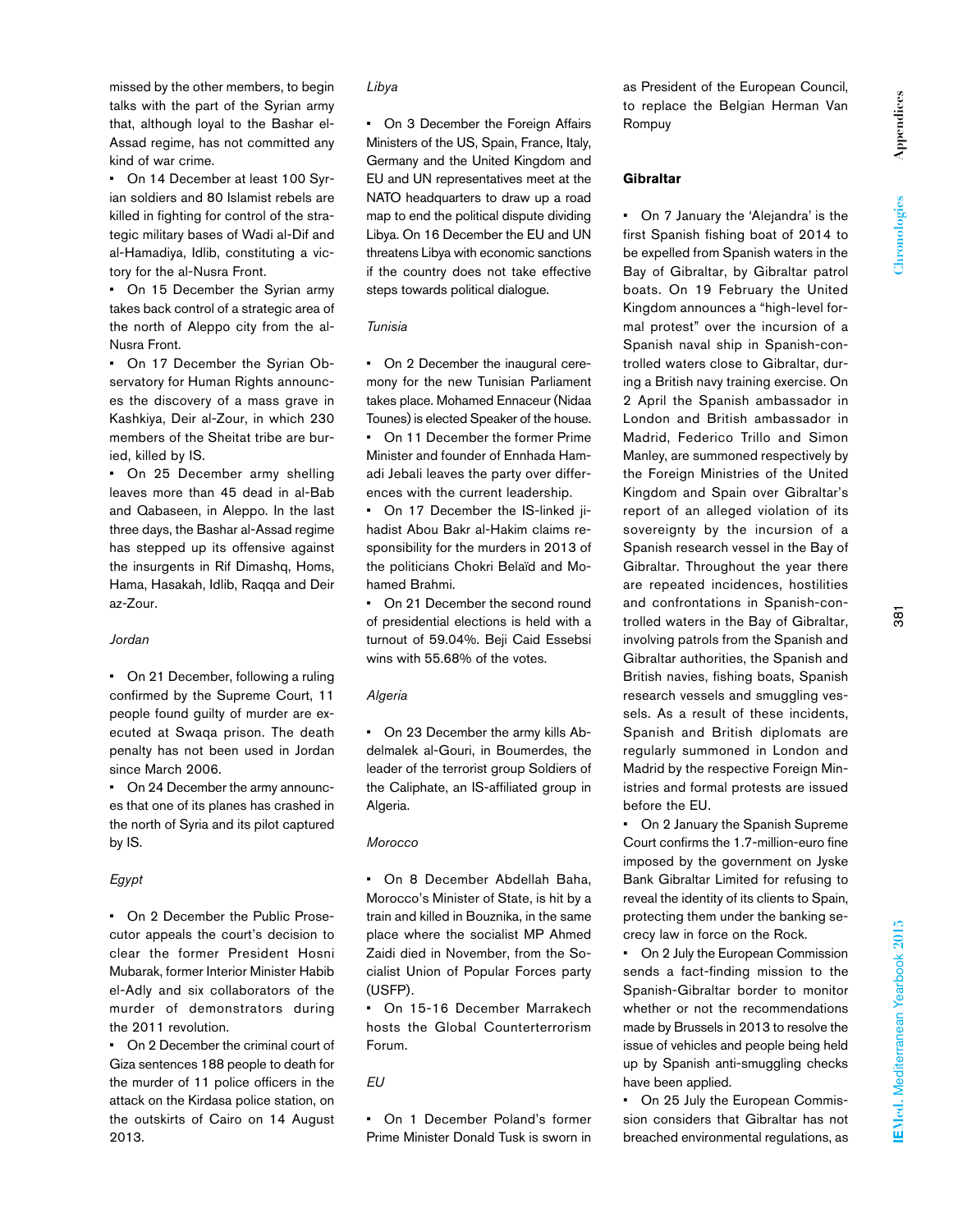Appendices **Appendices** Chronologies **Chronologies**

EMed. Mediterranean Yearbook 2015

missed by the other members, to begin talks with the part of the Syrian army that, although loyal to the Bashar el-Assad regime, has not committed any kind of war crime.

• On 14 December at least 100 Syrian soldiers and 80 Islamist rebels are killed in fighting for control of the strategic military bases of Wadi al-Dif and al-Hamadiya, Idlib, constituting a victory for the al-Nusra Front.

• On 15 December the Syrian army takes back control of a strategic area of the north of Aleppo city from the al-Nusra Front.

• On 17 December the Syrian Observatory for Human Rights announces the discovery of a mass grave in Kashkiya, Deir al-Zour, in which 230 members of the Sheitat tribe are buried, killed by IS.

• On 25 December army shelling leaves more than 45 dead in al-Bab and Qabaseen, in Aleppo. In the last three days, the Bashar al-Assad regime has stepped up its offensive against the insurgents in Rif Dimashq, Homs, Hama, Hasakah, Idlib, Raqqa and Deir az-Zour.

# *Jordan*

• On 21 December, following a ruling confirmed by the Supreme Court, 11 people found guilty of murder are executed at Swaqa prison. The death penalty has not been used in Jordan since March 2006.

• On 24 December the army announces that one of its planes has crashed in the north of Syria and its pilot captured by IS.

# *Egypt*

• On 2 December the Public Prosecutor appeals the court's decision to clear the former President Hosni Mubarak, former Interior Minister Habib el-Adly and six collaborators of the murder of demonstrators during the 2011 revolution.

• On 2 December the criminal court of Giza sentences 188 people to death for the murder of 11 police officers in the attack on the Kirdasa police station, on the outskirts of Cairo on 14 August 2013.

# *Libya*

• On 3 December the Foreign Affairs Ministers of the US, Spain, France, Italy, Germany and the United Kingdom and EU and UN representatives meet at the NATO headquarters to draw up a road map to end the political dispute dividing Libya. On 16 December the EU and UN threatens Libya with economic sanctions if the country does not take effective steps towards political dialogue.

### *Tunisia*

• On 2 December the inaugural ceremony for the new Tunisian Parliament takes place. Mohamed Ennaceur (Nidaa Tounes) is elected Speaker of the house. • On 11 December the former Prime Minister and founder of Ennhada Hamadi Jebali leaves the party over differences with the current leadership.

• On 17 December the IS-linked jihadist Abou Bakr al-Hakim claims responsibility for the murders in 2013 of the politicians Chokri Belaïd and Mohamed Brahmi.

• On 21 December the second round of presidential elections is held with a turnout of 59.04%. Beji Caid Essebsi wins with 55.68% of the votes.

# *Algeria*

• On 23 December the army kills Abdelmalek al-Gouri, in Boumerdes, the leader of the terrorist group Soldiers of the Caliphate, an IS-affiliated group in Algeria.

#### *Morocco*

• On 8 December Abdellah Baha, Morocco's Minister of State, is hit by a train and killed in Bouznika, in the same place where the socialist MP Ahmed Zaidi died in November, from the Socialist Union of Popular Forces party (USFP).

• On 15-16 December Marrakech hosts the Global Counterterrorism Forum.

# *EU*

• On 1 December Poland's former Prime Minister Donald Tusk is sworn in as President of the European Council, to replace the Belgian Herman Van Rompuy

# **Gibraltar**

• On 7 January the 'Alejandra' is the first Spanish fishing boat of 2014 to be expelled from Spanish waters in the Bay of Gibraltar, by Gibraltar patrol boats. On 19 February the United Kingdom announces a "high-level formal protest" over the incursion of a Spanish naval ship in Spanish-controlled waters close to Gibraltar, during a British navy training exercise. On 2 April the Spanish ambassador in London and British ambassador in Madrid, Federico Trillo and Simon Manley, are summoned respectively by the Foreign Ministries of the United Kingdom and Spain over Gibraltar's report of an alleged violation of its sovereignty by the incursion of a Spanish research vessel in the Bay of Gibraltar. Throughout the year there are repeated incidences, hostilities and confrontations in Spanish-controlled waters in the Bay of Gibraltar, involving patrols from the Spanish and Gibraltar authorities, the Spanish and British navies, fishing boats, Spanish research vessels and smuggling vessels. As a result of these incidents, Spanish and British diplomats are regularly summoned in London and Madrid by the respective Foreign Ministries and formal protests are issued before the EU.

• On 2 January the Spanish Supreme Court confirms the 1.7-million-euro fine imposed by the government on Jyske Bank Gibraltar Limited for refusing to reveal the identity of its clients to Spain, protecting them under the banking secrecy law in force on the Rock.

• On 2 July the European Commission sends a fact-finding mission to the Spanish-Gibraltar border to monitor whether or not the recommendations made by Brussels in 2013 to resolve the issue of vehicles and people being held up by Spanish anti-smuggling checks have been applied.

• On 25 July the European Commission considers that Gibraltar has not breached environmental regulations, as